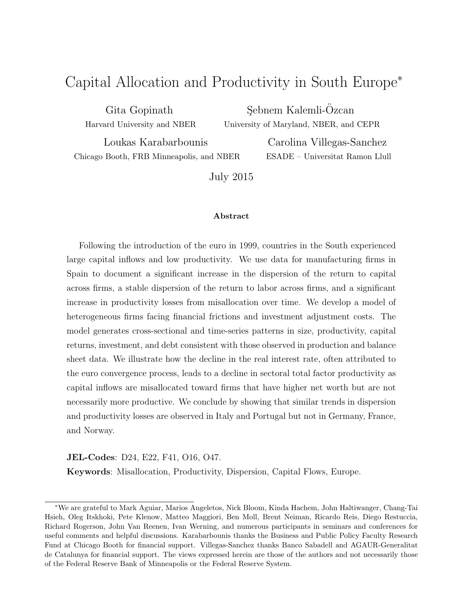# Capital Allocation and Productivity in South Europe<sup>∗</sup>

Gita Gopinath Harvard University and NBER

Sebnem Kalemli-Özcan University of Maryland, NBER, and CEPR

Loukas Karabarbounis Chicago Booth, FRB Minneapolis, and NBER

Carolina Villegas-Sanchez ESADE – Universitat Ramon Llull

July 2015

#### Abstract

Following the introduction of the euro in 1999, countries in the South experienced large capital inflows and low productivity. We use data for manufacturing firms in Spain to document a significant increase in the dispersion of the return to capital across firms, a stable dispersion of the return to labor across firms, and a significant increase in productivity losses from misallocation over time. We develop a model of heterogeneous firms facing financial frictions and investment adjustment costs. The model generates cross-sectional and time-series patterns in size, productivity, capital returns, investment, and debt consistent with those observed in production and balance sheet data. We illustrate how the decline in the real interest rate, often attributed to the euro convergence process, leads to a decline in sectoral total factor productivity as capital inflows are misallocated toward firms that have higher net worth but are not necessarily more productive. We conclude by showing that similar trends in dispersion and productivity losses are observed in Italy and Portugal but not in Germany, France, and Norway.

JEL-Codes: D24, E22, F41, O16, O47.

Keywords: Misallocation, Productivity, Dispersion, Capital Flows, Europe.

<sup>∗</sup>We are grateful to Mark Aguiar, Marios Angeletos, Nick Bloom, Kinda Hachem, John Haltiwanger, Chang-Tai Hsieh, Oleg Itskhoki, Pete Klenow, Matteo Maggiori, Ben Moll, Brent Neiman, Ricardo Reis, Diego Restuccia, Richard Rogerson, John Van Reenen, Ivan Werning, and numerous participants in seminars and conferences for useful comments and helpful discussions. Karabarbounis thanks the Business and Public Policy Faculty Research Fund at Chicago Booth for financial support. Villegas-Sanchez thanks Banco Sabadell and AGAUR-Generalitat de Catalunya for financial support. The views expressed herein are those of the authors and not necessarily those of the Federal Reserve Bank of Minneapolis or the Federal Reserve System.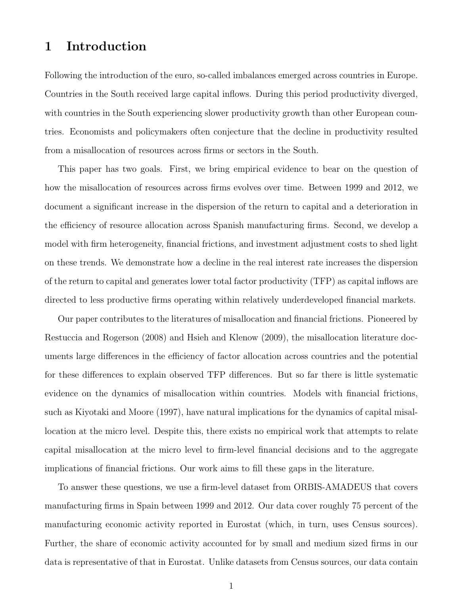# 1 Introduction

Following the introduction of the euro, so-called imbalances emerged across countries in Europe. Countries in the South received large capital inflows. During this period productivity diverged, with countries in the South experiencing slower productivity growth than other European countries. Economists and policymakers often conjecture that the decline in productivity resulted from a misallocation of resources across firms or sectors in the South.

This paper has two goals. First, we bring empirical evidence to bear on the question of how the misallocation of resources across firms evolves over time. Between 1999 and 2012, we document a significant increase in the dispersion of the return to capital and a deterioration in the efficiency of resource allocation across Spanish manufacturing firms. Second, we develop a model with firm heterogeneity, financial frictions, and investment adjustment costs to shed light on these trends. We demonstrate how a decline in the real interest rate increases the dispersion of the return to capital and generates lower total factor productivity (TFP) as capital inflows are directed to less productive firms operating within relatively underdeveloped financial markets.

Our paper contributes to the literatures of misallocation and financial frictions. Pioneered by [Restuccia and Rogerson](#page-62-0) [\(2008\)](#page-62-0) and [Hsieh and Klenow](#page-60-0) [\(2009\)](#page-60-0), the misallocation literature documents large differences in the efficiency of factor allocation across countries and the potential for these differences to explain observed TFP differences. But so far there is little systematic evidence on the dynamics of misallocation within countries. Models with financial frictions, such as [Kiyotaki and Moore](#page-61-0) [\(1997\)](#page-61-0), have natural implications for the dynamics of capital misallocation at the micro level. Despite this, there exists no empirical work that attempts to relate capital misallocation at the micro level to firm-level financial decisions and to the aggregate implications of financial frictions. Our work aims to fill these gaps in the literature.

To answer these questions, we use a firm-level dataset from ORBIS-AMADEUS that covers manufacturing firms in Spain between 1999 and 2012. Our data cover roughly 75 percent of the manufacturing economic activity reported in Eurostat (which, in turn, uses Census sources). Further, the share of economic activity accounted for by small and medium sized firms in our data is representative of that in Eurostat. Unlike datasets from Census sources, our data contain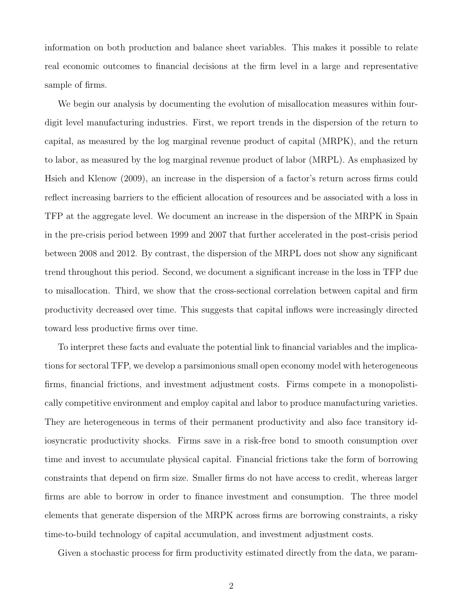information on both production and balance sheet variables. This makes it possible to relate real economic outcomes to financial decisions at the firm level in a large and representative sample of firms.

We begin our analysis by documenting the evolution of misallocation measures within fourdigit level manufacturing industries. First, we report trends in the dispersion of the return to capital, as measured by the log marginal revenue product of capital (MRPK), and the return to labor, as measured by the log marginal revenue product of labor (MRPL). As emphasized by [Hsieh and Klenow](#page-60-0) [\(2009\)](#page-60-0), an increase in the dispersion of a factor's return across firms could reflect increasing barriers to the efficient allocation of resources and be associated with a loss in TFP at the aggregate level. We document an increase in the dispersion of the MRPK in Spain in the pre-crisis period between 1999 and 2007 that further accelerated in the post-crisis period between 2008 and 2012. By contrast, the dispersion of the MRPL does not show any significant trend throughout this period. Second, we document a significant increase in the loss in TFP due to misallocation. Third, we show that the cross-sectional correlation between capital and firm productivity decreased over time. This suggests that capital inflows were increasingly directed toward less productive firms over time.

To interpret these facts and evaluate the potential link to financial variables and the implications for sectoral TFP, we develop a parsimonious small open economy model with heterogeneous firms, financial frictions, and investment adjustment costs. Firms compete in a monopolistically competitive environment and employ capital and labor to produce manufacturing varieties. They are heterogeneous in terms of their permanent productivity and also face transitory idiosyncratic productivity shocks. Firms save in a risk-free bond to smooth consumption over time and invest to accumulate physical capital. Financial frictions take the form of borrowing constraints that depend on firm size. Smaller firms do not have access to credit, whereas larger firms are able to borrow in order to finance investment and consumption. The three model elements that generate dispersion of the MRPK across firms are borrowing constraints, a risky time-to-build technology of capital accumulation, and investment adjustment costs.

Given a stochastic process for firm productivity estimated directly from the data, we param-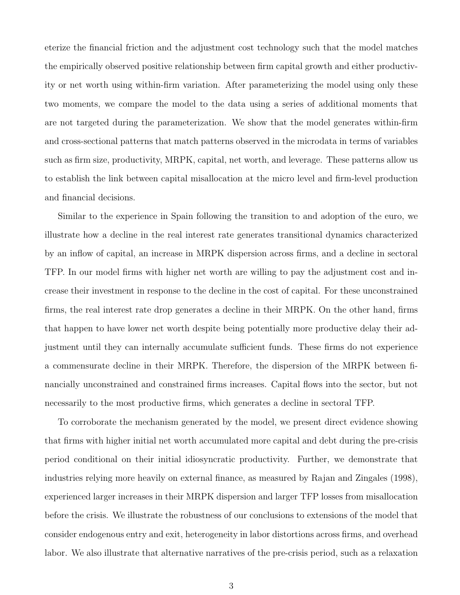eterize the financial friction and the adjustment cost technology such that the model matches the empirically observed positive relationship between firm capital growth and either productivity or net worth using within-firm variation. After parameterizing the model using only these two moments, we compare the model to the data using a series of additional moments that are not targeted during the parameterization. We show that the model generates within-firm and cross-sectional patterns that match patterns observed in the microdata in terms of variables such as firm size, productivity, MRPK, capital, net worth, and leverage. These patterns allow us to establish the link between capital misallocation at the micro level and firm-level production and financial decisions.

Similar to the experience in Spain following the transition to and adoption of the euro, we illustrate how a decline in the real interest rate generates transitional dynamics characterized by an inflow of capital, an increase in MRPK dispersion across firms, and a decline in sectoral TFP. In our model firms with higher net worth are willing to pay the adjustment cost and increase their investment in response to the decline in the cost of capital. For these unconstrained firms, the real interest rate drop generates a decline in their MRPK. On the other hand, firms that happen to have lower net worth despite being potentially more productive delay their adjustment until they can internally accumulate sufficient funds. These firms do not experience a commensurate decline in their MRPK. Therefore, the dispersion of the MRPK between financially unconstrained and constrained firms increases. Capital flows into the sector, but not necessarily to the most productive firms, which generates a decline in sectoral TFP.

To corroborate the mechanism generated by the model, we present direct evidence showing that firms with higher initial net worth accumulated more capital and debt during the pre-crisis period conditional on their initial idiosyncratic productivity. Further, we demonstrate that industries relying more heavily on external finance, as measured by [Rajan and Zingales](#page-62-1) [\(1998\)](#page-62-1), experienced larger increases in their MRPK dispersion and larger TFP losses from misallocation before the crisis. We illustrate the robustness of our conclusions to extensions of the model that consider endogenous entry and exit, heterogeneity in labor distortions across firms, and overhead labor. We also illustrate that alternative narratives of the pre-crisis period, such as a relaxation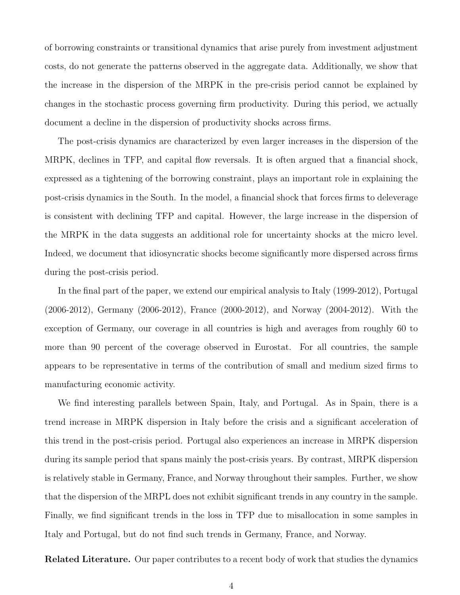of borrowing constraints or transitional dynamics that arise purely from investment adjustment costs, do not generate the patterns observed in the aggregate data. Additionally, we show that the increase in the dispersion of the MRPK in the pre-crisis period cannot be explained by changes in the stochastic process governing firm productivity. During this period, we actually document a decline in the dispersion of productivity shocks across firms.

The post-crisis dynamics are characterized by even larger increases in the dispersion of the MRPK, declines in TFP, and capital flow reversals. It is often argued that a financial shock, expressed as a tightening of the borrowing constraint, plays an important role in explaining the post-crisis dynamics in the South. In the model, a financial shock that forces firms to deleverage is consistent with declining TFP and capital. However, the large increase in the dispersion of the MRPK in the data suggests an additional role for uncertainty shocks at the micro level. Indeed, we document that idiosyncratic shocks become significantly more dispersed across firms during the post-crisis period.

In the final part of the paper, we extend our empirical analysis to Italy (1999-2012), Portugal (2006-2012), Germany (2006-2012), France (2000-2012), and Norway (2004-2012). With the exception of Germany, our coverage in all countries is high and averages from roughly 60 to more than 90 percent of the coverage observed in Eurostat. For all countries, the sample appears to be representative in terms of the contribution of small and medium sized firms to manufacturing economic activity.

We find interesting parallels between Spain, Italy, and Portugal. As in Spain, there is a trend increase in MRPK dispersion in Italy before the crisis and a significant acceleration of this trend in the post-crisis period. Portugal also experiences an increase in MRPK dispersion during its sample period that spans mainly the post-crisis years. By contrast, MRPK dispersion is relatively stable in Germany, France, and Norway throughout their samples. Further, we show that the dispersion of the MRPL does not exhibit significant trends in any country in the sample. Finally, we find significant trends in the loss in TFP due to misallocation in some samples in Italy and Portugal, but do not find such trends in Germany, France, and Norway.

Related Literature. Our paper contributes to a recent body of work that studies the dynamics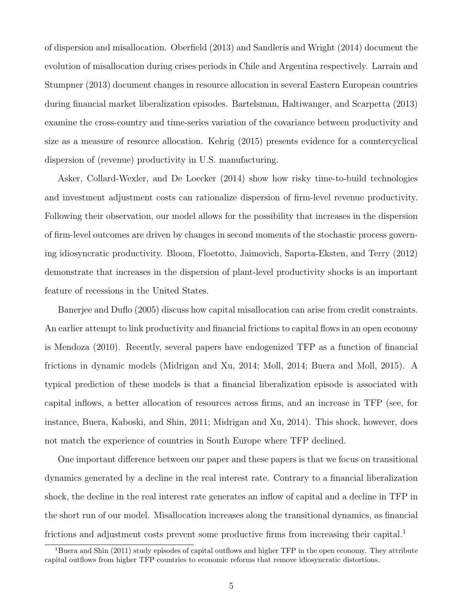of dispersion and misallocation. [Oberfield](#page-61-1) [\(2013\)](#page-61-1) and [Sandleris and Wright](#page-62-2) [\(2014\)](#page-62-2) document the evolution of misallocation during crises periods in Chile and Argentina respectively. [Larrain and](#page-61-2) [Stumpner](#page-61-2) [\(2013\)](#page-61-2) document changes in resource allocation in several Eastern European countries during financial market liberalization episodes. [Bartelsman, Haltiwanger, and Scarpetta](#page-59-0) [\(2013\)](#page-59-0) examine the cross-country and time-series variation of the covariance between productivity and size as a measure of resource allocation. [Kehrig](#page-61-3) [\(2015\)](#page-61-3) presents evidence for a countercyclical dispersion of (revenue) productivity in U.S. manufacturing.

[Asker, Collard-Wexler, and De Loecker](#page-59-1) [\(2014\)](#page-59-1) show how risky time-to-build technologies and investment adjustment costs can rationalize dispersion of firm-level revenue productivity. Following their observation, our model allows for the possibility that increases in the dispersion of firm-level outcomes are driven by changes in second moments of the stochastic process governing idiosyncratic productivity. [Bloom, Floetotto, Jaimovich, Saporta-Eksten, and Terry](#page-60-1) [\(2012\)](#page-60-1) demonstrate that increases in the dispersion of plant-level productivity shocks is an important feature of recessions in the United States.

[Banerjee and Duflo](#page-59-2) [\(2005\)](#page-59-2) discuss how capital misallocation can arise from credit constraints. An earlier attempt to link productivity and financial frictions to capital flows in an open economy is [Mendoza](#page-61-4) [\(2010\)](#page-61-4). Recently, several papers have endogenized TFP as a function of financial frictions in dynamic models [\(Midrigan and Xu,](#page-61-5) [2014;](#page-61-5) [Moll,](#page-61-6) [2014;](#page-61-6) [Buera and Moll,](#page-60-2) [2015\)](#page-60-2). A typical prediction of these models is that a financial liberalization episode is associated with capital inflows, a better allocation of resources across firms, and an increase in TFP (see, for instance, [Buera, Kaboski, and Shin,](#page-60-3) [2011;](#page-60-3) [Midrigan and Xu,](#page-61-5) [2014\)](#page-61-5). This shock, however, does not match the experience of countries in South Europe where TFP declined.

One important difference between our paper and these papers is that we focus on transitional dynamics generated by a decline in the real interest rate. Contrary to a financial liberalization shock, the decline in the real interest rate generates an inflow of capital and a decline in TFP in the short run of our model. Misallocation increases along the transitional dynamics, as financial frictions and adjustment costs prevent some productive firms from increasing their capital.<sup>[1](#page-5-0)</sup>

<span id="page-5-0"></span><sup>&</sup>lt;sup>1</sup>[Buera and Shin](#page-60-4) [\(2011\)](#page-60-4) study episodes of capital outflows and higher TFP in the open economy. They attribute capital outflows from higher TFP countries to economic reforms that remove idiosyncratic distortions.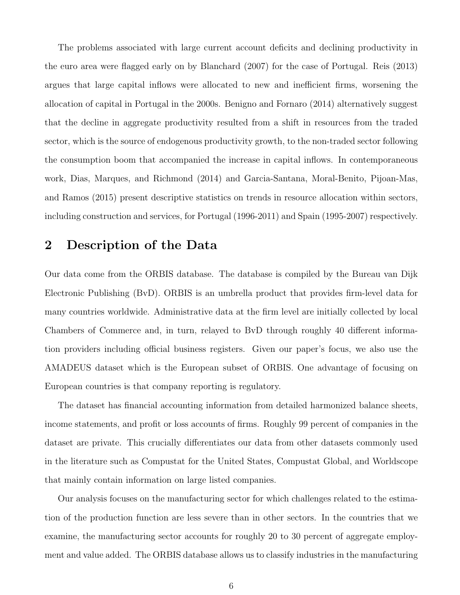The problems associated with large current account deficits and declining productivity in the euro area were flagged early on by [Blanchard](#page-60-5) [\(2007\)](#page-60-5) for the case of Portugal. [Reis](#page-62-3) [\(2013\)](#page-62-3) argues that large capital inflows were allocated to new and inefficient firms, worsening the allocation of capital in Portugal in the 2000s. [Benigno and Fornaro](#page-60-6) [\(2014\)](#page-60-6) alternatively suggest that the decline in aggregate productivity resulted from a shift in resources from the traded sector, which is the source of endogenous productivity growth, to the non-traded sector following the consumption boom that accompanied the increase in capital inflows. In contemporaneous work, [Dias, Marques, and Richmond](#page-60-7) [\(2014\)](#page-60-7) and [Garcia-Santana, Moral-Benito, Pijoan-Mas,](#page-60-8) [and Ramos](#page-60-8) [\(2015\)](#page-60-8) present descriptive statistics on trends in resource allocation within sectors, including construction and services, for Portugal (1996-2011) and Spain (1995-2007) respectively.

# 2 Description of the Data

Our data come from the ORBIS database. The database is compiled by the Bureau van Dijk Electronic Publishing (BvD). ORBIS is an umbrella product that provides firm-level data for many countries worldwide. Administrative data at the firm level are initially collected by local Chambers of Commerce and, in turn, relayed to BvD through roughly 40 different information providers including official business registers. Given our paper's focus, we also use the AMADEUS dataset which is the European subset of ORBIS. One advantage of focusing on European countries is that company reporting is regulatory.

The dataset has financial accounting information from detailed harmonized balance sheets, income statements, and profit or loss accounts of firms. Roughly 99 percent of companies in the dataset are private. This crucially differentiates our data from other datasets commonly used in the literature such as Compustat for the United States, Compustat Global, and Worldscope that mainly contain information on large listed companies.

Our analysis focuses on the manufacturing sector for which challenges related to the estimation of the production function are less severe than in other sectors. In the countries that we examine, the manufacturing sector accounts for roughly 20 to 30 percent of aggregate employment and value added. The ORBIS database allows us to classify industries in the manufacturing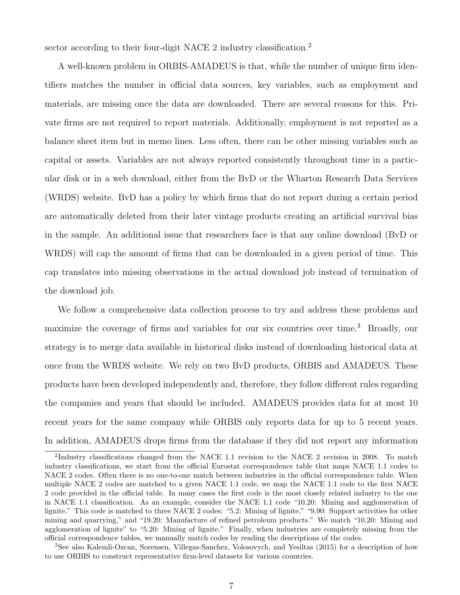sector according to their four-digit NACE [2](#page-7-0) industry classification.<sup>2</sup>

A well-known problem in ORBIS-AMADEUS is that, while the number of unique firm identifiers matches the number in official data sources, key variables, such as employment and materials, are missing once the data are downloaded. There are several reasons for this. Private firms are not required to report materials. Additionally, employment is not reported as a balance sheet item but in memo lines. Less often, there can be other missing variables such as capital or assets. Variables are not always reported consistently throughout time in a particular disk or in a web download, either from the BvD or the Wharton Research Data Services (WRDS) website. BvD has a policy by which firms that do not report during a certain period are automatically deleted from their later vintage products creating an artificial survival bias in the sample. An additional issue that researchers face is that any online download (BvD or WRDS) will cap the amount of firms that can be downloaded in a given period of time. This cap translates into missing observations in the actual download job instead of termination of the download job.

We follow a comprehensive data collection process to try and address these problems and maximize the coverage of firms and variables for our six countries over time.<sup>[3](#page-7-1)</sup> Broadly, our strategy is to merge data available in historical disks instead of downloading historical data at once from the WRDS website. We rely on two BvD products, ORBIS and AMADEUS. These products have been developed independently and, therefore, they follow different rules regarding the companies and years that should be included. AMADEUS provides data for at most 10 recent years for the same company while ORBIS only reports data for up to 5 recent years. In addition, AMADEUS drops firms from the database if they did not report any information

<span id="page-7-0"></span><sup>&</sup>lt;sup>2</sup>Industry classifications changed from the NACE 1.1 revision to the NACE 2 revision in 2008. To match industry classifications, we start from the official Eurostat correspondence table that maps NACE 1.1 codes to NACE 2 codes. Often there is no one-to-one match between industries in the official correspondence table. When multiple NACE 2 codes are matched to a given NACE 1.1 code, we map the NACE 1.1 code to the first NACE 2 code provided in the official table. In many cases the first code is the most closely related industry to the one in NACE 1.1 classification. As an example, consider the NACE 1.1 code "10.20: Mining and agglomeration of lignite." This code is matched to three NACE 2 codes: "5.2: Mining of lignite," "9.90: Support activities for other mining and quarrying," and "19.20: Manufacture of refined petroleum products." We match "10.20: Mining and agglomeration of lignite" to "5.20: Mining of lignite." Finally, when industries are completely missing from the official correspondence tables, we manually match codes by reading the descriptions of the codes.

<span id="page-7-1"></span><sup>3</sup>See also [Kalemli-Ozcan, Sorensen, Villegas-Sanchez, Volosovych, and Yesiltas](#page-61-7) [\(2015\)](#page-61-7) for a description of how to use ORBIS to construct representative firm-level datasets for various countries.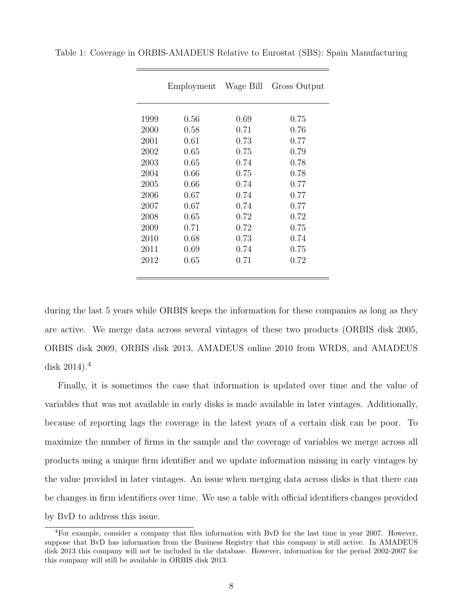|      | Employment | Wage Bill | Gross Output |
|------|------------|-----------|--------------|
|      |            |           |              |
| 1999 | 0.56       | 0.69      | 0.75         |
| 2000 | 0.58       | 0.71      | 0.76         |
| 2001 | 0.61       | 0.73      | 0.77         |
| 2002 | 0.65       | 0.75      | 0.79         |
| 2003 | 0.65       | 0.74      | 0.78         |
| 2004 | 0.66       | 0.75      | 0.78         |
| 2005 | 0.66       | 0.74      | 0.77         |
| 2006 | 0.67       | 0.74      | 0.77         |
| 2007 | 0.67       | 0.74      | 0.77         |
| 2008 | 0.65       | 0.72      | 0.72         |
| 2009 | 0.71       | 0.72      | 0.75         |
| 2010 | 0.68       | 0.73      | 0.74         |
| 2011 | 0.69       | 0.74      | 0.75         |
| 2012 | 0.65       | 0.71      | 0.72         |
|      |            |           |              |

<span id="page-8-1"></span>Table 1: Coverage in ORBIS-AMADEUS Relative to Eurostat (SBS): Spain Manufacturing

during the last 5 years while ORBIS keeps the information for these companies as long as they are active. We merge data across several vintages of these two products (ORBIS disk 2005, ORBIS disk 2009, ORBIS disk 2013, AMADEUS online 2010 from WRDS, and AMADEUS disk  $2014$  $2014$ .<sup>4</sup>

Finally, it is sometimes the case that information is updated over time and the value of variables that was not available in early disks is made available in later vintages. Additionally, because of reporting lags the coverage in the latest years of a certain disk can be poor. To maximize the number of firms in the sample and the coverage of variables we merge across all products using a unique firm identifier and we update information missing in early vintages by the value provided in later vintages. An issue when merging data across disks is that there can be changes in firm identifiers over time. We use a table with official identifiers changes provided by BvD to address this issue.

<span id="page-8-0"></span><sup>4</sup>For example, consider a company that files information with BvD for the last time in year 2007. However, suppose that BvD has information from the Business Registry that this company is still active. In AMADEUS disk 2013 this company will not be included in the database. However, information for the period 2002-2007 for this company will still be available in ORBIS disk 2013.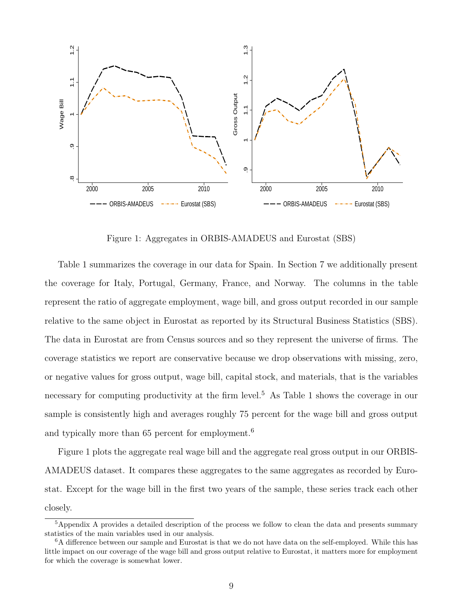

Figure 1: Aggregates in ORBIS-AMADEUS and Eurostat (SBS)

<span id="page-9-2"></span>Table [1](#page-8-1) summarizes the coverage in our data for Spain. In Section [7](#page-53-0) we additionally present the coverage for Italy, Portugal, Germany, France, and Norway. The columns in the table represent the ratio of aggregate employment, wage bill, and gross output recorded in our sample relative to the same object in Eurostat as reported by its Structural Business Statistics (SBS). The data in Eurostat are from Census sources and so they represent the universe of firms. The coverage statistics we report are conservative because we drop observations with missing, zero, or negative values for gross output, wage bill, capital stock, and materials, that is the variables necessary for computing productivity at the firm level.<sup>[5](#page-9-0)</sup> As Table [1](#page-8-1) shows the coverage in our sample is consistently high and averages roughly 75 percent for the wage bill and gross output and typically more than [6](#page-9-1)5 percent for employment.<sup>6</sup>

Figure [1](#page-9-2) plots the aggregate real wage bill and the aggregate real gross output in our ORBIS-AMADEUS dataset. It compares these aggregates to the same aggregates as recorded by Eurostat. Except for the wage bill in the first two years of the sample, these series track each other closely.

<span id="page-9-0"></span><sup>&</sup>lt;sup>5</sup>[A](#page-63-0)ppendix A provides a detailed description of the process we follow to clean the data and presents summary statistics of the main variables used in our analysis.

<span id="page-9-1"></span><sup>6</sup>A difference between our sample and Eurostat is that we do not have data on the self-employed. While this has little impact on our coverage of the wage bill and gross output relative to Eurostat, it matters more for employment for which the coverage is somewhat lower.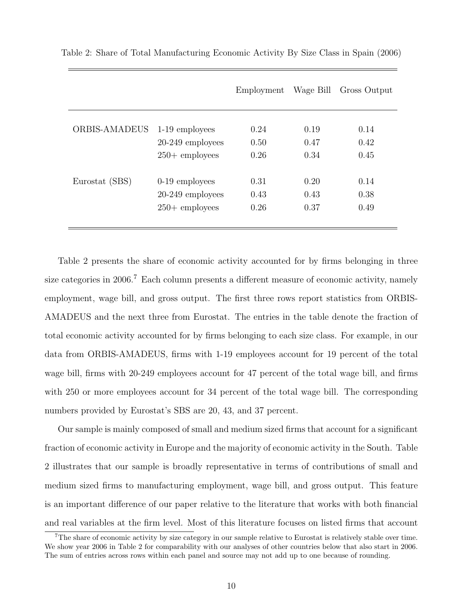|                      |                    | Employment | Wage Bill | Gross Output |
|----------------------|--------------------|------------|-----------|--------------|
|                      |                    |            |           |              |
| <b>ORBIS-AMADEUS</b> | 1-19 employees     | 0.24       | 0.19      | 0.14         |
|                      | $20-249$ employees | 0.50       | 0.47      | 0.42         |
|                      | $250 +$ employees  | 0.26       | 0.34      | 0.45         |
| Eurostat (SBS)       | $0-19$ employees   | 0.31       | 0.20      | 0.14         |
|                      | $20-249$ employees | 0.43       | 0.43      | 0.38         |
|                      | $250 +$ employees  | 0.26       | 0.37      | 0.49         |
|                      |                    |            |           |              |

<span id="page-10-0"></span>Table 2: Share of Total Manufacturing Economic Activity By Size Class in Spain (2006)

Table [2](#page-10-0) presents the share of economic activity accounted for by firms belonging in three size categories in 2006.<sup>[7](#page-10-1)</sup> Each column presents a different measure of economic activity, namely employment, wage bill, and gross output. The first three rows report statistics from ORBIS-AMADEUS and the next three from Eurostat. The entries in the table denote the fraction of total economic activity accounted for by firms belonging to each size class. For example, in our data from ORBIS-AMADEUS, firms with 1-19 employees account for 19 percent of the total wage bill, firms with 20-249 employees account for 47 percent of the total wage bill, and firms with 250 or more employees account for 34 percent of the total wage bill. The corresponding numbers provided by Eurostat's SBS are 20, 43, and 37 percent.

Our sample is mainly composed of small and medium sized firms that account for a significant fraction of economic activity in Europe and the majority of economic activity in the South. Table [2](#page-10-0) illustrates that our sample is broadly representative in terms of contributions of small and medium sized firms to manufacturing employment, wage bill, and gross output. This feature is an important difference of our paper relative to the literature that works with both financial and real variables at the firm level. Most of this literature focuses on listed firms that account

<span id="page-10-1"></span><sup>7</sup>The share of economic activity by size category in our sample relative to Eurostat is relatively stable over time. We show year [2](#page-10-0)006 in Table 2 for comparability with our analyses of other countries below that also start in 2006. The sum of entries across rows within each panel and source may not add up to one because of rounding.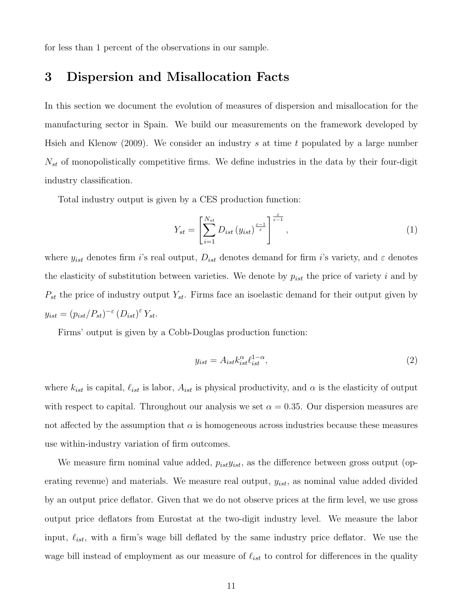for less than 1 percent of the observations in our sample.

# <span id="page-11-0"></span>3 Dispersion and Misallocation Facts

In this section we document the evolution of measures of dispersion and misallocation for the manufacturing sector in Spain. We build our measurements on the framework developed by [Hsieh and Klenow](#page-60-0) [\(2009\)](#page-60-0). We consider an industry s at time t populated by a large number  $N_{st}$  of monopolistically competitive firms. We define industries in the data by their four-digit industry classification.

Total industry output is given by a CES production function:

$$
Y_{st} = \left[\sum_{i=1}^{N_{st}} D_{ist} \left(y_{ist}\right)^{\frac{\varepsilon-1}{\varepsilon}}\right]^{\frac{\varepsilon}{\varepsilon-1}},\tag{1}
$$

where  $y_{ist}$  denotes firm i's real output,  $D_{ist}$  denotes demand for firm i's variety, and  $\varepsilon$  denotes the elasticity of substitution between varieties. We denote by  $p_{ist}$  the price of variety i and by  $P_{st}$  the price of industry output  $Y_{st}$ . Firms face an isoelastic demand for their output given by  $y_{ist} = (p_{ist}/P_{st})^{-\varepsilon} (D_{ist})^{\varepsilon} Y_{st}.$ 

Firms' output is given by a Cobb-Douglas production function:

$$
y_{ist} = A_{ist} k_{ist}^{\alpha} \ell_{ist}^{1-\alpha},\tag{2}
$$

where  $k_{ist}$  is capital,  $\ell_{ist}$  is labor,  $A_{ist}$  is physical productivity, and  $\alpha$  is the elasticity of output with respect to capital. Throughout our analysis we set  $\alpha = 0.35$ . Our dispersion measures are not affected by the assumption that  $\alpha$  is homogeneous across industries because these measures use within-industry variation of firm outcomes.

We measure firm nominal value added,  $p_{ist}y_{ist}$ , as the difference between gross output (operating revenue) and materials. We measure real output,  $y_{ist}$ , as nominal value added divided by an output price deflator. Given that we do not observe prices at the firm level, we use gross output price deflators from Eurostat at the two-digit industry level. We measure the labor input,  $\ell_{ist}$ , with a firm's wage bill deflated by the same industry price deflator. We use the wage bill instead of employment as our measure of  $\ell_{ist}$  to control for differences in the quality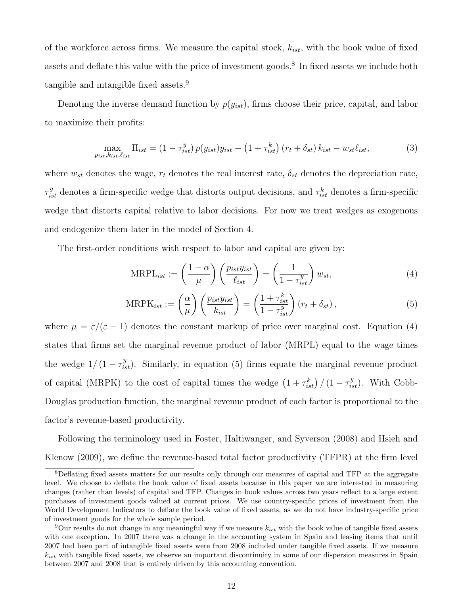of the workforce across firms. We measure the capital stock,  $k_{ist}$ , with the book value of fixed assets and deflate this value with the price of investment goods.[8](#page-12-0) In fixed assets we include both tangible and intangible fixed assets.[9](#page-12-1)

Denoting the inverse demand function by  $p(y_{ist})$ , firms choose their price, capital, and labor to maximize their profits:

$$
\max_{p_{ist}, k_{ist}, \ell_{ist}} \Pi_{ist} = (1 - \tau_{ist}^y) p(y_{ist}) y_{ist} - (1 + \tau_{ist}^k) (r_t + \delta_{st}) k_{ist} - w_{st} \ell_{ist},
$$
\n(3)

where  $w_{st}$  denotes the wage,  $r_t$  denotes the real interest rate,  $\delta_{st}$  denotes the depreciation rate,  $\tau_{ist}^y$  denotes a firm-specific wedge that distorts output decisions, and  $\tau_{ist}^k$  denotes a firm-specific wedge that distorts capital relative to labor decisions. For now we treat wedges as exogenous and endogenize them later in the model of Section [4.](#page-19-0)

The first-order conditions with respect to labor and capital are given by:

<span id="page-12-2"></span>
$$
\text{MRPL}_{ist} := \left(\frac{1-\alpha}{\mu}\right) \left(\frac{p_{ist}y_{ist}}{\ell_{ist}}\right) = \left(\frac{1}{1-\tau_{ist}^y}\right) w_{st},\tag{4}
$$

<span id="page-12-3"></span>
$$
\text{MRPK}_{ist} := \left(\frac{\alpha}{\mu}\right) \left(\frac{p_{ist}y_{ist}}{k_{ist}}\right) = \left(\frac{1 + \tau_{ist}^k}{1 - \tau_{ist}^y}\right) \left(r_t + \delta_{st}\right),\tag{5}
$$

where  $\mu = \varepsilon/(\varepsilon - 1)$  denotes the constant markup of price over marginal cost. Equation [\(4\)](#page-12-2) states that firms set the marginal revenue product of labor (MRPL) equal to the wage times the wedge  $1/(1 - \tau_{ist}^y)$ . Similarly, in equation [\(5\)](#page-12-3) firms equate the marginal revenue product of capital (MRPK) to the cost of capital times the wedge  $(1 + \tau_{ist}^k) / (1 - \tau_{ist}^y)$ . With Cobb-Douglas production function, the marginal revenue product of each factor is proportional to the factor's revenue-based productivity.

Following the terminology used in [Foster, Haltiwanger, and Syverson](#page-60-9) [\(2008\)](#page-60-9) and [Hsieh and](#page-60-0) [Klenow](#page-60-0) [\(2009\)](#page-60-0), we define the revenue-based total factor productivity (TFPR) at the firm level

<span id="page-12-0"></span><sup>8</sup>Deflating fixed assets matters for our results only through our measures of capital and TFP at the aggregate level. We choose to deflate the book value of fixed assets because in this paper we are interested in measuring changes (rather than levels) of capital and TFP. Changes in book values across two years reflect to a large extent purchases of investment goods valued at current prices. We use country-specific prices of investment from the World Development Indicators to deflate the book value of fixed assets, as we do not have industry-specific price of investment goods for the whole sample period.

<span id="page-12-1"></span><sup>&</sup>lt;sup>9</sup>Our results do not change in any meaningful way if we measure  $k_{ist}$  with the book value of tangible fixed assets with one exception. In 2007 there was a change in the accounting system in Spain and leasing items that until 2007 had been part of intangible fixed assets were from 2008 included under tangible fixed assets. If we measure  $k_{ist}$  with tangible fixed assets, we observe an important discontinuity in some of our dispersion measures in Spain between 2007 and 2008 that is entirely driven by this accounting convention.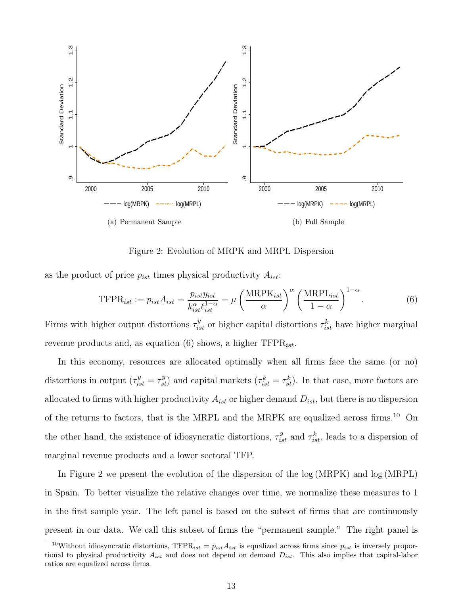

Figure 2: Evolution of MRPK and MRPL Dispersion

<span id="page-13-2"></span>as the product of price  $p_{ist}$  times physical productivity  $A_{ist}$ :

<span id="page-13-0"></span>
$$
\text{TFPR}_{ist} := p_{ist} A_{ist} = \frac{p_{ist} y_{ist}}{k_{ist}^{\alpha} \ell_{ist}^{1-\alpha}} = \mu \left(\frac{\text{MRPK}_{ist}}{\alpha}\right)^{\alpha} \left(\frac{\text{MRPL}_{ist}}{1-\alpha}\right)^{1-\alpha}.
$$
 (6)

Firms with higher output distortions  $\tau_{ist}^y$  or higher capital distortions  $\tau_{ist}^k$  have higher marginal revenue products and, as equation [\(6\)](#page-13-0) shows, a higher  $TFPR_{ist}$ .

In this economy, resources are allocated optimally when all firms face the same (or no) distortions in output  $(\tau_{ist}^y = \tau_{st}^y)$  and capital markets  $(\tau_{ist}^k = \tau_{st}^k)$ . In that case, more factors are allocated to firms with higher productivity  $A_{ist}$  or higher demand  $D_{ist}$ , but there is no dispersion of the returns to factors, that is the MRPL and the MRPK are equalized across firms.<sup>[10](#page-13-1)</sup> On the other hand, the existence of idiosyncratic distortions,  $\tau_{ist}^y$  and  $\tau_{ist}^k$ , leads to a dispersion of marginal revenue products and a lower sectoral TFP.

In Figure [2](#page-13-2) we present the evolution of the dispersion of the log (MRPK) and log (MRPL) in Spain. To better visualize the relative changes over time, we normalize these measures to 1 in the first sample year. The left panel is based on the subset of firms that are continuously present in our data. We call this subset of firms the "permanent sample." The right panel is

<span id="page-13-1"></span><sup>&</sup>lt;sup>10</sup>Without idiosyncratic distortions, TFPR<sub>ist</sub> =  $p_{ist}A_{ist}$  is equalized across firms since  $p_{ist}$  is inversely proportional to physical productivity  $A_{ist}$  and does not depend on demand  $D_{ist}$ . This also implies that capital-labor ratios are equalized across firms.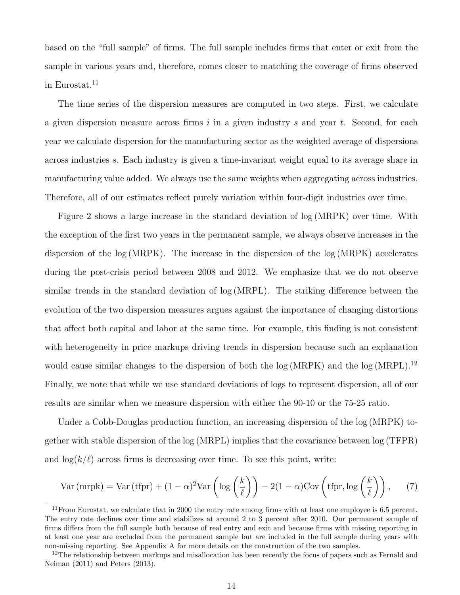based on the "full sample" of firms. The full sample includes firms that enter or exit from the sample in various years and, therefore, comes closer to matching the coverage of firms observed in Eurostat.<sup>[11](#page-14-0)</sup>

The time series of the dispersion measures are computed in two steps. First, we calculate a given dispersion measure across firms  $i$  in a given industry  $s$  and year  $t$ . Second, for each year we calculate dispersion for the manufacturing sector as the weighted average of dispersions across industries s. Each industry is given a time-invariant weight equal to its average share in manufacturing value added. We always use the same weights when aggregating across industries. Therefore, all of our estimates reflect purely variation within four-digit industries over time.

Figure [2](#page-13-2) shows a large increase in the standard deviation of log (MRPK) over time. With the exception of the first two years in the permanent sample, we always observe increases in the dispersion of the log (MRPK). The increase in the dispersion of the log (MRPK) accelerates during the post-crisis period between 2008 and 2012. We emphasize that we do not observe similar trends in the standard deviation of log (MRPL). The striking difference between the evolution of the two dispersion measures argues against the importance of changing distortions that affect both capital and labor at the same time. For example, this finding is not consistent with heterogeneity in price markups driving trends in dispersion because such an explanation would cause similar changes to the dispersion of both the  $log(MRPK)$  and the  $log(MRPL)$ .<sup>[12](#page-14-1)</sup> Finally, we note that while we use standard deviations of logs to represent dispersion, all of our results are similar when we measure dispersion with either the 90-10 or the 75-25 ratio.

Under a Cobb-Douglas production function, an increasing dispersion of the log (MRPK) together with stable dispersion of the log (MRPL) implies that the covariance between log (TFPR) and  $\log(k/\ell)$  across firms is decreasing over time. To see this point, write:

$$
\text{Var (mrpk)} = \text{Var (tfpr)} + (1 - \alpha)^2 \text{Var}\left(\log\left(\frac{k}{\ell}\right)\right) - 2(1 - \alpha)\text{Cov}\left(\text{tfpr}, \log\left(\frac{k}{\ell}\right)\right),\tag{7}
$$

<span id="page-14-0"></span><sup>&</sup>lt;sup>11</sup> From Eurostat, we calculate that in 2000 the entry rate among firms with at least one employee is 6.5 percent. The entry rate declines over time and stabilizes at around 2 to 3 percent after 2010. Our permanent sample of firms differs from the full sample both because of real entry and exit and because firms with missing reporting in at least one year are excluded from the permanent sample but are included in the full sample during years with non-missing reporting. See Appendix [A](#page-63-0) for more details on the construction of the two samples.

<span id="page-14-1"></span><sup>&</sup>lt;sup>12</sup>The relationship between markups and misallocation has been recently the focus of papers such as [Fernald and](#page-60-10) [Neiman](#page-60-10) [\(2011\)](#page-60-10) and [Peters](#page-62-4) [\(2013\)](#page-62-4).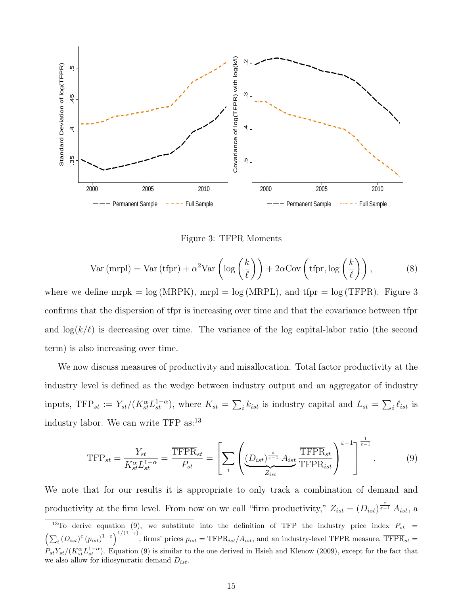

Figure 3: TFPR Moments

<span id="page-15-0"></span>
$$
\text{Var (mrpl)} = \text{Var (tfpr)} + \alpha^2 \text{Var}\left(\log\left(\frac{k}{\ell}\right)\right) + 2\alpha \text{Cov}\left(\text{tfpr}, \log\left(\frac{k}{\ell}\right)\right),\tag{8}
$$

where we define mrpk =  $log(MRPK)$ , mrpl =  $log(MRPL)$ , and tfpr =  $log(TFPR)$ . Figure [3](#page-15-0) confirms that the dispersion of tfpr is increasing over time and that the covariance between tfpr and  $\log(k/\ell)$  is decreasing over time. The variance of the log capital-labor ratio (the second term) is also increasing over time.

We now discuss measures of productivity and misallocation. Total factor productivity at the industry level is defined as the wedge between industry output and an aggregator of industry inputs, TFP<sub>st</sub> :=  $Y_{st}/(K_{st}^{\alpha}L_{st}^{1-\alpha})$ , where  $K_{st} = \sum_{i} k_{ist}$  is industry capital and  $L_{st} = \sum_{i} \ell_{ist}$  is industry labor. We can write TFP as:<sup>[13](#page-15-1)</sup>

<span id="page-15-2"></span>
$$
\text{TFP}_{st} = \frac{Y_{st}}{K_{st}^{\alpha} L_{st}^{1-\alpha}} = \frac{\overline{\text{TFPR}}_{st}}{P_{st}} = \left[ \sum_{i} \left( \underbrace{(D_{ist})^{\frac{\varepsilon}{\varepsilon-1}} A_{ist}}_{Z_{ist}} \frac{\overline{\text{TFPR}}_{st}}{\text{TFPR}_{ist}} \right)^{\varepsilon-1} \right]^{\frac{1}{\varepsilon-1}}. \tag{9}
$$

We note that for our results it is appropriate to only track a combination of demand and productivity at the firm level. From now on we call "firm productivity,"  $Z_{ist} = (D_{ist})^{\frac{\varepsilon}{\varepsilon-1}} A_{ist}$ , a

<span id="page-15-1"></span><sup>&</sup>lt;sup>13</sup>To derive equation [\(9\)](#page-15-2), we substitute into the definition of TFP the industry price index  $P_{st}$  =  $\left(\sum_i\left(D_{ist}\right)^{\varepsilon}\left(p_{ist}\right)^{1-\varepsilon}\right)^{1/(1-\varepsilon)}$ , firms' prices  $p_{ist} = \text{TFPR}_{ist}/A_{ist}$ , and an industry-level TFPR measure,  $\overline{\text{TFPR}}_{st}$  =  $P_{st}Y_{st}/(K_{st}^{\alpha}L_{st}^{1-\alpha})$ . Equation [\(9\)](#page-15-2) is similar to the one derived in [Hsieh and Klenow](#page-60-0) [\(2009\)](#page-60-0), except for the fact that we also allow for idiosyncratic demand  $D_{ist}$ .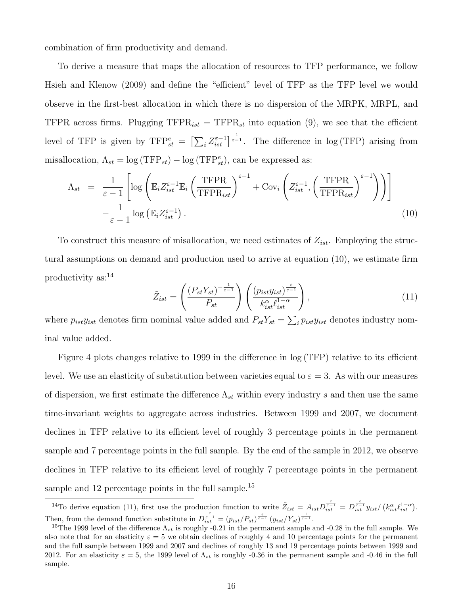combination of firm productivity and demand.

To derive a measure that maps the allocation of resources to TFP performance, we follow [Hsieh and Klenow](#page-60-0) [\(2009\)](#page-60-0) and define the "efficient" level of TFP as the TFP level we would observe in the first-best allocation in which there is no dispersion of the MRPK, MRPL, and TFPR across firms. Plugging  $TFPR_{ist} = \overline{TFPR}_{st}$  into equation [\(9\)](#page-15-2), we see that the efficient level of TFP is given by  $TFP_{st}^e = \left[\sum_i Z_{ist}^{\varepsilon-1}\right]^{\frac{1}{\varepsilon-1}}$ . The difference in log (TFP) arising from misallocation,  $\Lambda_{st} = \log(\text{TFP}_{st}) - \log(\text{TFP}_{st}^e)$ , can be expressed as:

<span id="page-16-0"></span>
$$
\Lambda_{st} = \frac{1}{\varepsilon - 1} \left[ \log \left( \mathbb{E}_{i} Z_{ist}^{\varepsilon - 1} \mathbb{E}_{i} \left( \frac{\overline{\text{TFPR}}}{\text{TFPR}_{ist}} \right)^{\varepsilon - 1} + \text{Cov}_{i} \left( Z_{ist}^{\varepsilon - 1}, \left( \frac{\overline{\text{TFPR}}}{\text{TFPR}_{ist}} \right)^{\varepsilon - 1} \right) \right) \right] - \frac{1}{\varepsilon - 1} \log \left( \mathbb{E}_{i} Z_{ist}^{\varepsilon - 1} \right). \tag{10}
$$

To construct this measure of misallocation, we need estimates of  $Z_{ist}$ . Employing the structural assumptions on demand and production used to arrive at equation [\(10\)](#page-16-0), we estimate firm productivity as:[14](#page-16-1)

<span id="page-16-3"></span>
$$
\tilde{Z}_{ist} = \left(\frac{(P_{st}Y_{st})^{-\frac{1}{\varepsilon - 1}}}{P_{st}}\right) \left(\frac{(p_{ist}y_{ist})^{\frac{\varepsilon}{\varepsilon - 1}}}{k_{ist}^{\alpha} \ell_{ist}^{1 - \alpha}}\right),\tag{11}
$$

where  $p_{ist}y_{ist}$  denotes firm nominal value added and  $P_{st}Y_{st} = \sum_i p_{ist}y_{ist}$  denotes industry nominal value added.

Figure [4](#page-17-0) plots changes relative to 1999 in the difference in log (TFP) relative to its efficient level. We use an elasticity of substitution between varieties equal to  $\varepsilon = 3$ . As with our measures of dispersion, we first estimate the difference  $\Lambda_{st}$  within every industry s and then use the same time-invariant weights to aggregate across industries. Between 1999 and 2007, we document declines in TFP relative to its efficient level of roughly 3 percentage points in the permanent sample and 7 percentage points in the full sample. By the end of the sample in 2012, we observe declines in TFP relative to its efficient level of roughly 7 percentage points in the permanent sample and 12 percentage points in the full sample.<sup>[15](#page-16-2)</sup>

<span id="page-16-1"></span><sup>&</sup>lt;sup>14</sup>To derive equation [\(11\)](#page-16-3), first use the production function to write  $\tilde{Z}_{ist} = A_{ist} D_{ist}^{\epsilon} = D_{ist}^{\epsilon} y_{ist}/(k_{ist}^{\alpha} l_{ist}^{1-\alpha}).$ Then, from the demand function substitute in  $D_{ist}^{\frac{\varepsilon}{\varepsilon-1}} = (p_{ist}/P_{st})^{\frac{\varepsilon}{\varepsilon-1}} (y_{ist}/Y_{st})^{\frac{1}{\varepsilon-1}}$ .

<span id="page-16-2"></span><sup>&</sup>lt;sup>15</sup>The 1999 level of the difference  $\Lambda_{st}$  is roughly -0.21 in the permanent sample and -0.28 in the full sample. We also note that for an elasticity  $\varepsilon = 5$  we obtain declines of roughly 4 and 10 percentage points for the permanent and the full sample between 1999 and 2007 and declines of roughly 13 and 19 percentage points between 1999 and 2012. For an elasticity  $\varepsilon = 5$ , the 1999 level of  $\Lambda_{st}$  is roughly -0.36 in the permanent sample and -0.46 in the full sample.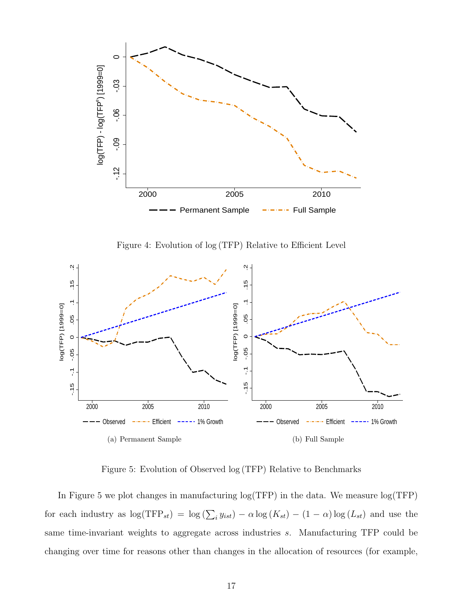

Figure 4: Evolution of log (TFP) Relative to Efficient Level

<span id="page-17-0"></span>

Figure 5: Evolution of Observed log (TFP) Relative to Benchmarks

<span id="page-17-1"></span>In Figure [5](#page-17-1) we plot changes in manufacturing log(TFP) in the data. We measure log(TFP) for each industry as  $\log(\text{TFP}_{st}) = \log(\sum_i y_{ist}) - \alpha \log(K_{st}) - (1 - \alpha) \log(L_{st})$  and use the same time-invariant weights to aggregate across industries s. Manufacturing TFP could be changing over time for reasons other than changes in the allocation of resources (for example,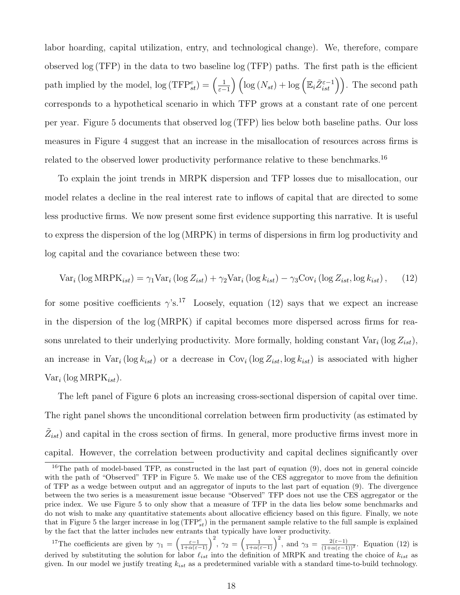labor hoarding, capital utilization, entry, and technological change). We, therefore, compare observed log (TFP) in the data to two baseline log (TFP) paths. The first path is the efficient path implied by the model,  $\log(\text{TFP}^e_{st}) = \left(\frac{1}{\varepsilon}\right)$  $\frac{1}{\varepsilon-1}$   $\left(\log(N_{st}) + \log\left(\mathbb{E}_{i}\tilde{Z}_{ist}^{\varepsilon-1}\right)\right)$ . The second path corresponds to a hypothetical scenario in which TFP grows at a constant rate of one percent per year. Figure [5](#page-17-1) documents that observed log (TFP) lies below both baseline paths. Our loss measures in Figure [4](#page-17-0) suggest that an increase in the misallocation of resources across firms is related to the observed lower productivity performance relative to these benchmarks.<sup>[16](#page-18-0)</sup>

To explain the joint trends in MRPK dispersion and TFP losses due to misallocation, our model relates a decline in the real interest rate to inflows of capital that are directed to some less productive firms. We now present some first evidence supporting this narrative. It is useful to express the dispersion of the log (MRPK) in terms of dispersions in firm log productivity and log capital and the covariance between these two:

<span id="page-18-2"></span>
$$
\text{Var}_i\left(\log \text{MRPK}_{ist}\right) = \gamma_1 \text{Var}_i\left(\log Z_{ist}\right) + \gamma_2 \text{Var}_i\left(\log k_{ist}\right) - \gamma_3 \text{Cov}_i\left(\log Z_{ist}, \log k_{ist}\right),\tag{12}
$$

for some positive coefficients  $\gamma$ 's.<sup>[17](#page-18-1)</sup> Loosely, equation [\(12\)](#page-18-2) says that we expect an increase in the dispersion of the log (MRPK) if capital becomes more dispersed across firms for reasons unrelated to their underlying productivity. More formally, holding constant  $Var_i$  (log  $Z_{ist}$ ), an increase in  $Var_i(\log k_{ist})$  or a decrease in  $Cov_i(\log Z_{ist}, \log k_{ist})$  is associated with higher  $Var_i$  (log MRP $K_{ist}$ ).

The left panel of Figure [6](#page-19-1) plots an increasing cross-sectional dispersion of capital over time. The right panel shows the unconditional correlation between firm productivity (as estimated by  $\tilde{Z}_{ist}$ ) and capital in the cross section of firms. In general, more productive firms invest more in capital. However, the correlation between productivity and capital declines significantly over

<span id="page-18-0"></span><sup>&</sup>lt;sup>16</sup>The path of model-based TFP, as constructed in the last part of equation [\(9\)](#page-15-2), does not in general coincide with the path of "Observed" TFP in Figure [5.](#page-17-1) We make use of the CES aggregator to move from the definition of TFP as a wedge between output and an aggregator of inputs to the last part of equation [\(9\)](#page-15-2). The divergence between the two series is a measurement issue because "Observed" TFP does not use the CES aggregator or the price index. We use Figure [5](#page-17-1) to only show that a measure of TFP in the data lies below some benchmarks and do not wish to make any quantitative statements about allocative efficiency based on this figure. Finally, we note that in Figure [5](#page-17-1) the larger increase in  $\log(\text{TFP}_{st}^e)$  in the permanent sample relative to the full sample is explained by the fact that the latter includes new entrants that typically have lower productivity.

<span id="page-18-1"></span><sup>&</sup>lt;sup>17</sup>The coefficients are given by  $\gamma_1 = \left(\frac{\varepsilon - 1}{1 + \alpha(\varepsilon - 1)}\right)^2$ ,  $\gamma_2 = \left(\frac{1}{1 + \alpha(\varepsilon - 1)}\right)^2$ , and  $\gamma_3 = \frac{2(\varepsilon - 1)}{(1 + \alpha(\varepsilon - 1))^2}$ . Equation [\(12\)](#page-18-2) is derived by substituting the solution for labor  $\ell_{ist}$  into the definition of MRPK and treating the choice of  $k_{ist}$  as given. In our model we justify treating  $k_{ist}$  as a predetermined variable with a standard time-to-build technology.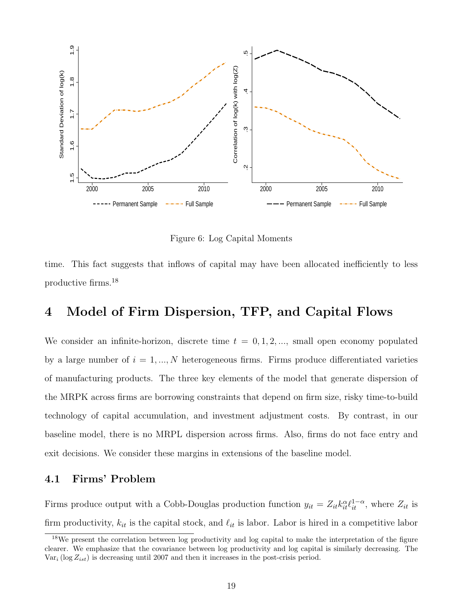

Figure 6: Log Capital Moments

<span id="page-19-1"></span>time. This fact suggests that inflows of capital may have been allocated inefficiently to less productive firms.[18](#page-19-2)

## <span id="page-19-0"></span>4 Model of Firm Dispersion, TFP, and Capital Flows

We consider an infinite-horizon, discrete time  $t = 0, 1, 2, \dots$ , small open economy populated by a large number of  $i = 1, ..., N$  heterogeneous firms. Firms produce differentiated varieties of manufacturing products. The three key elements of the model that generate dispersion of the MRPK across firms are borrowing constraints that depend on firm size, risky time-to-build technology of capital accumulation, and investment adjustment costs. By contrast, in our baseline model, there is no MRPL dispersion across firms. Also, firms do not face entry and exit decisions. We consider these margins in extensions of the baseline model.

#### 4.1 Firms' Problem

Firms produce output with a Cobb-Douglas production function  $y_{it} = Z_{it} k_{it}^{\alpha} \ell_{it}^{1-\alpha}$ , where  $Z_{it}$  is firm productivity,  $k_{it}$  is the capital stock, and  $\ell_{it}$  is labor. Labor is hired in a competitive labor

<span id="page-19-2"></span><sup>&</sup>lt;sup>18</sup>We present the correlation between log productivity and log capital to make the interpretation of the figure clearer. We emphasize that the covariance between log productivity and log capital is similarly decreasing. The  $Var_i (\log Z_{ist})$  is decreasing until 2007 and then it increases in the post-crisis period.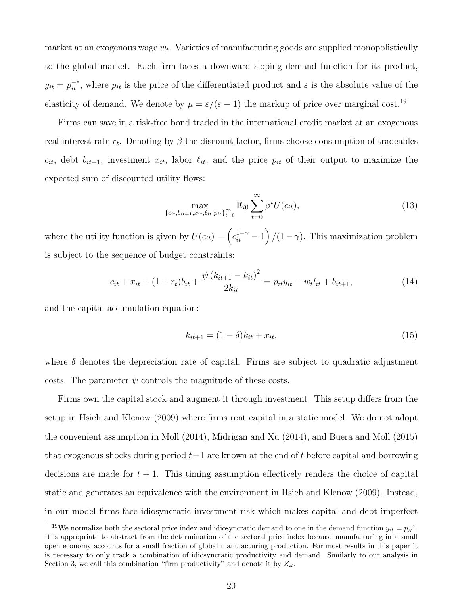market at an exogenous wage  $w_t$ . Varieties of manufacturing goods are supplied monopolistically to the global market. Each firm faces a downward sloping demand function for its product,  $y_{it} = p_{it}^{-\varepsilon}$ , where  $p_{it}$  is the price of the differentiated product and  $\varepsilon$  is the absolute value of the elasticity of demand. We denote by  $\mu = \varepsilon/(\varepsilon - 1)$  the markup of price over marginal cost.<sup>[19](#page-20-0)</sup>

Firms can save in a risk-free bond traded in the international credit market at an exogenous real interest rate  $r_t$ . Denoting by  $\beta$  the discount factor, firms choose consumption of tradeables  $c_{it}$ , debt  $b_{it+1}$ , investment  $x_{it}$ , labor  $\ell_{it}$ , and the price  $p_{it}$  of their output to maximize the expected sum of discounted utility flows:

$$
\max_{\{c_{it}, b_{it+1}, x_{it}, \ell_{it}, p_{it}\}_{t=0}^{\infty}} \mathbb{E}_{i0} \sum_{t=0}^{\infty} \beta^t U(c_{it}),
$$
\n(13)

where the utility function is given by  $U(c_{it}) = (c_{it}^{1-\gamma} - 1) / (1 - \gamma)$ . This maximization problem is subject to the sequence of budget constraints:

$$
c_{it} + x_{it} + (1 + r_t)b_{it} + \frac{\psi (k_{it+1} - k_{it})^2}{2k_{it}} = p_{it}y_{it} - w_t l_{it} + b_{it+1},
$$
\n(14)

and the capital accumulation equation:

$$
k_{it+1} = (1 - \delta)k_{it} + x_{it},\tag{15}
$$

where  $\delta$  denotes the depreciation rate of capital. Firms are subject to quadratic adjustment costs. The parameter  $\psi$  controls the magnitude of these costs.

Firms own the capital stock and augment it through investment. This setup differs from the setup in [Hsieh and Klenow](#page-60-0) [\(2009\)](#page-60-0) where firms rent capital in a static model. We do not adopt the convenient assumption in [Moll](#page-61-6) [\(2014\)](#page-61-6), [Midrigan and Xu](#page-61-5) [\(2014\)](#page-61-5), and [Buera and Moll](#page-60-2) [\(2015\)](#page-60-2) that exogenous shocks during period  $t+1$  are known at the end of t before capital and borrowing decisions are made for  $t + 1$ . This timing assumption effectively renders the choice of capital static and generates an equivalence with the environment in [Hsieh and Klenow](#page-60-0) [\(2009\)](#page-60-0). Instead, in our model firms face idiosyncratic investment risk which makes capital and debt imperfect

<span id="page-20-0"></span><sup>&</sup>lt;sup>19</sup>We normalize both the sectoral price index and idiosyncratic demand to one in the demand function  $y_{it} = p_{it}^{-\varepsilon}$ . It is appropriate to abstract from the determination of the sectoral price index because manufacturing in a small open economy accounts for a small fraction of global manufacturing production. For most results in this paper it is necessary to only track a combination of idiosyncratic productivity and demand. Similarly to our analysis in Section [3,](#page-11-0) we call this combination "firm productivity" and denote it by  $Z_{it}$ .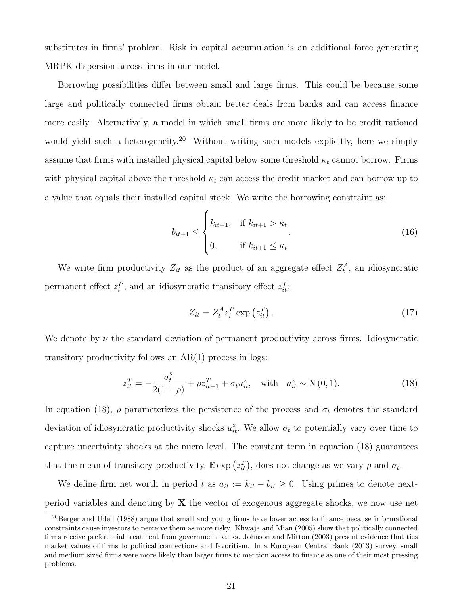substitutes in firms' problem. Risk in capital accumulation is an additional force generating MRPK dispersion across firms in our model.

Borrowing possibilities differ between small and large firms. This could be because some large and politically connected firms obtain better deals from banks and can access finance more easily. Alternatively, a model in which small firms are more likely to be credit rationed would yield such a heterogeneity.<sup>[20](#page-21-0)</sup> Without writing such models explicitly, here we simply assume that firms with installed physical capital below some threshold  $\kappa_t$  cannot borrow. Firms with physical capital above the threshold  $\kappa_t$  can access the credit market and can borrow up to a value that equals their installed capital stock. We write the borrowing constraint as:

<span id="page-21-2"></span>
$$
b_{it+1} \leq \begin{cases} k_{it+1}, & \text{if } k_{it+1} > \kappa_t \\ 0, & \text{if } k_{it+1} \leq \kappa_t \end{cases} \tag{16}
$$

We write firm productivity  $Z_{it}$  as the product of an aggregate effect  $Z_t^A$ , an idiosyncratic permanent effect  $z_i^P$ , and an idiosyncratic transitory effect  $z_{it}^T$ :

$$
Z_{it} = Z_t^A z_i^P \exp\left(z_{it}^T\right). \tag{17}
$$

We denote by  $\nu$  the standard deviation of permanent productivity across firms. Idiosyncratic transitory productivity follows an  $AR(1)$  process in logs:

<span id="page-21-1"></span>
$$
z_{it}^T = -\frac{\sigma_t^2}{2(1+\rho)} + \rho z_{it-1}^T + \sigma_t u_{it}^z, \quad \text{with} \quad u_{it}^z \sim \mathcal{N}(0, 1). \tag{18}
$$

In equation [\(18\)](#page-21-1),  $\rho$  parameterizes the persistence of the process and  $\sigma_t$  denotes the standard deviation of idiosyncratic productivity shocks  $u_{it}^z$ . We allow  $\sigma_t$  to potentially vary over time to capture uncertainty shocks at the micro level. The constant term in equation [\(18\)](#page-21-1) guarantees that the mean of transitory productivity,  $\mathbb{E} \exp(z_{it}^T)$ , does not change as we vary  $\rho$  and  $\sigma_t$ .

We define firm net worth in period t as  $a_{it} := k_{it} - b_{it} \geq 0$ . Using primes to denote nextperiod variables and denoting by  $X$  the vector of exogenous aggregate shocks, we now use net

<span id="page-21-0"></span> $^{20}$ [Berger and Udell](#page-60-11) [\(1988\)](#page-60-11) argue that small and young firms have lower access to finance because informational constraints cause investors to perceive them as more risky. [Khwaja and Mian](#page-61-8) [\(2005\)](#page-61-8) show that politically connected firms receive preferential treatment from government banks. [Johnson and Mitton](#page-61-9) [\(2003\)](#page-61-9) present evidence that ties market values of firms to political connections and favoritism. In a [European Central Bank](#page-60-12) [\(2013\)](#page-60-12) survey, small and medium sized firms were more likely than larger firms to mention access to finance as one of their most pressing problems.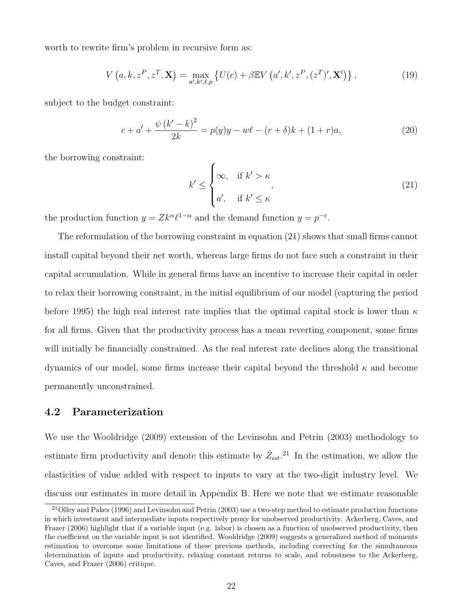worth to rewrite firm's problem in recursive form as:

<span id="page-22-2"></span>
$$
V(a, k, zP, zT, X) = \max_{a', k', \ell, p} \{ U(c) + \beta \mathbb{E} V(a', k', zP, (zT)', X' ) \},
$$
(19)

subject to the budget constraint:

$$
c + a' + \frac{\psi (k' - k)^2}{2k} = p(y)y - w\ell - (r + \delta)k + (1 + r)a,
$$
\n(20)

the borrowing constraint:

<span id="page-22-0"></span>
$$
k' \leq \begin{cases} \infty, & \text{if } k' > \kappa \\ a', & \text{if } k' \leq \kappa \end{cases}
$$
 (21)

the production function  $y = Zk^{\alpha} \ell^{1-\alpha}$  and the demand function  $y = p^{-\varepsilon}$ .

The reformulation of the borrowing constraint in equation [\(21\)](#page-22-0) shows that small firms cannot install capital beyond their net worth, whereas large firms do not face such a constraint in their capital accumulation. While in general firms have an incentive to increase their capital in order to relax their borrowing constraint, in the initial equilibrium of our model (capturing the period before 1995) the high real interest rate implies that the optimal capital stock is lower than  $\kappa$ for all firms. Given that the productivity process has a mean reverting component, some firms will initially be financially constrained. As the real interest rate declines along the transitional dynamics of our model, some firms increase their capital beyond the threshold  $\kappa$  and become permanently unconstrained.

### 4.2 Parameterization

We use the [Wooldridge](#page-62-5) [\(2009\)](#page-62-5) extension of the [Levinsohn and Petrin](#page-61-10) [\(2003\)](#page-61-10) methodology to estimate firm productivity and denote this estimate by  $\hat{Z}_{ist}$ <sup>[21](#page-22-1)</sup>. In the estimation, we allow the elasticities of value added with respect to inputs to vary at the two-digit industry level. We discuss our estimates in more detail in Appendix [B.](#page-69-0) Here we note that we estimate reasonable

<span id="page-22-1"></span><sup>21</sup>[Olley and Pakes](#page-61-11) [\(1996\)](#page-61-11) and [Levinsohn and Petrin](#page-61-10) [\(2003\)](#page-61-10) use a two-step method to estimate production functions in which investment and intermediate inputs respectively proxy for unobserved productivity. [Ackerberg, Caves, and](#page-59-3) [Frazer](#page-59-3) [\(2006\)](#page-59-3) highlight that if a variable input (e.g. labor) is chosen as a function of unobserved productivity, then the coefficient on the variable input is not identified. [Wooldridge](#page-62-5) [\(2009\)](#page-62-5) suggests a generalized method of moments estimation to overcome some limitations of these previous methods, including correcting for the simultaneous determination of inputs and productivity, relaxing constant returns to scale, and robustness to the [Ackerberg,](#page-59-3) [Caves, and Frazer](#page-59-3) [\(2006\)](#page-59-3) critique.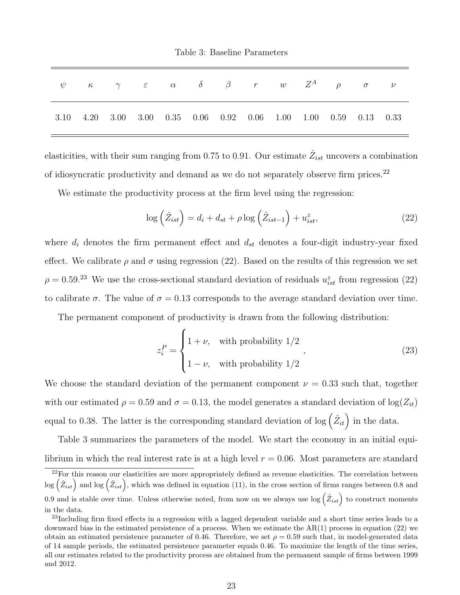Table 3: Baseline Parameters

<span id="page-23-3"></span>

| $\psi$ $\kappa$ $\gamma$ $\varepsilon$ $\alpha$ $\delta$ $\beta$ $r$ $w$ $Z^A$ $\rho$ $\sigma$ $\nu$ |  |  |  |  |  |  |
|------------------------------------------------------------------------------------------------------|--|--|--|--|--|--|
| 3.10 4.20 3.00 3.00 0.35 0.06 0.92 0.06 1.00 1.00 0.59 0.13 0.33                                     |  |  |  |  |  |  |

elasticities, with their sum ranging from 0.75 to 0.91. Our estimate  $\hat{Z}_{ist}$  uncovers a combination of idiosyncratic productivity and demand as we do not separately observe firm prices.<sup>[22](#page-23-0)</sup>

We estimate the productivity process at the firm level using the regression:

<span id="page-23-1"></span>
$$
\log\left(\hat{Z}_{ist}\right) = d_i + d_{st} + \rho \log\left(\hat{Z}_{ist-1}\right) + u_{ist}^z,\tag{22}
$$

where  $d_i$  denotes the firm permanent effect and  $d_{st}$  denotes a four-digit industry-year fixed effect. We calibrate  $\rho$  and  $\sigma$  using regression [\(22\)](#page-23-1). Based on the results of this regression we set  $\rho = 0.59$ <sup>[23](#page-23-2)</sup> We use the cross-sectional standard deviation of residuals  $u_{ist}^z$  from regression [\(22\)](#page-23-1) to calibrate  $\sigma$ . The value of  $\sigma = 0.13$  corresponds to the average standard deviation over time.

The permanent component of productivity is drawn from the following distribution:

$$
z_i^P = \begin{cases} 1 + \nu, & \text{with probability } 1/2 \\ 1 - \nu, & \text{with probability } 1/2 \end{cases}
$$
 (23)

We choose the standard deviation of the permanent component  $\nu = 0.33$  such that, together with our estimated  $\rho = 0.59$  and  $\sigma = 0.13$ , the model generates a standard deviation of  $\log(Z_{it})$ equal to 0.38. The latter is the corresponding standard deviation of log  $(\hat{Z}_{it})$  in the data.

Table [3](#page-23-3) summarizes the parameters of the model. We start the economy in an initial equilibrium in which the real interest rate is at a high level  $r = 0.06$ . Most parameters are standard

<span id="page-23-0"></span> $22$ For this reason our elasticities are more appropriately defined as revenue elasticities. The correlation between  $\log(\hat{Z}_{ist})$  and  $\log(\tilde{Z}_{ist})$ , which was defined in equation [\(11\)](#page-16-3), in the cross section of firms ranges between 0.8 and 0.9 and is stable over time. Unless otherwise noted, from now on we always use  $\log(\hat{Z}_{ist})$  to construct moments in the data.

<span id="page-23-2"></span> $^{23}$ Including firm fixed effects in a regression with a lagged dependent variable and a short time series leads to a downward bias in the estimated persistence of a process. When we estimate the AR(1) process in equation [\(22\)](#page-23-1) we obtain an estimated persistence parameter of 0.46. Therefore, we set  $\rho = 0.59$  such that, in model-generated data of 14 sample periods, the estimated persistence parameter equals 0.46. To maximize the length of the time series, all our estimates related to the productivity process are obtained from the permanent sample of firms between 1999 and 2012.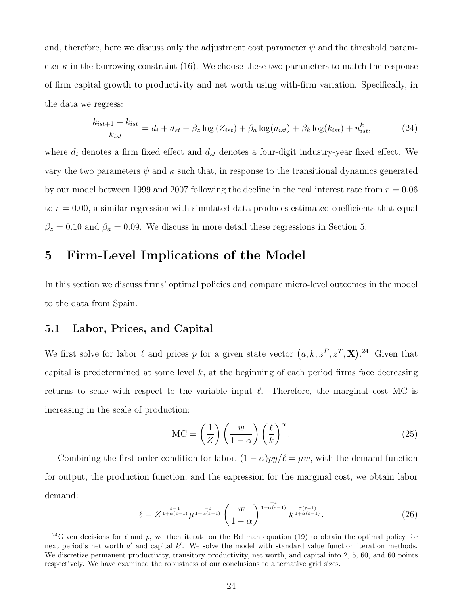and, therefore, here we discuss only the adjustment cost parameter  $\psi$  and the threshold parameter  $\kappa$  in the borrowing constraint [\(16\)](#page-21-2). We choose these two parameters to match the response of firm capital growth to productivity and net worth using with-firm variation. Specifically, in the data we regress:

<span id="page-24-4"></span>
$$
\frac{k_{ist+1} - k_{ist}}{k_{ist}} = d_i + d_{st} + \beta_z \log(Z_{ist}) + \beta_a \log(a_{ist}) + \beta_k \log(k_{ist}) + u_{ist}^k,
$$
\n(24)

where  $d_i$  denotes a firm fixed effect and  $d_{st}$  denotes a four-digit industry-year fixed effect. We vary the two parameters  $\psi$  and  $\kappa$  such that, in response to the transitional dynamics generated by our model between 1999 and 2007 following the decline in the real interest rate from  $r = 0.06$ to  $r = 0.00$ , a similar regression with simulated data produces estimated coefficients that equal  $\beta_z = 0.10$  and  $\beta_a = 0.09$ . We discuss in more detail these regressions in Section [5.](#page-24-0)

### <span id="page-24-0"></span>5 Firm-Level Implications of the Model

In this section we discuss firms' optimal policies and compare micro-level outcomes in the model to the data from Spain.

### 5.1 Labor, Prices, and Capital

We first solve for labor  $\ell$  and prices p for a given state vector  $(a, k, z^P, z^T, \mathbf{X})$ . <sup>[24](#page-24-1)</sup> Given that capital is predetermined at some level  $k$ , at the beginning of each period firms face decreasing returns to scale with respect to the variable input  $\ell$ . Therefore, the marginal cost MC is increasing in the scale of production:

<span id="page-24-2"></span>
$$
MC = \left(\frac{1}{Z}\right) \left(\frac{w}{1-\alpha}\right) \left(\frac{\ell}{k}\right)^{\alpha}.
$$
 (25)

Combining the first-order condition for labor,  $(1 - \alpha)py/\ell = \mu w$ , with the demand function for output, the production function, and the expression for the marginal cost, we obtain labor demand:

<span id="page-24-3"></span>
$$
\ell = Z^{\frac{\varepsilon - 1}{1 + \alpha(\varepsilon - 1)}} \mu^{\frac{-\varepsilon}{1 + \alpha(\varepsilon - 1)}} \left( \frac{w}{1 - \alpha} \right)^{\frac{-\varepsilon}{1 + \alpha(\varepsilon - 1)}} k^{\frac{\alpha(\varepsilon - 1)}{1 + \alpha(\varepsilon - 1)}}.
$$
 (26)

<span id="page-24-1"></span><sup>&</sup>lt;sup>24</sup>Given decisions for  $\ell$  and p, we then iterate on the Bellman equation [\(19\)](#page-22-2) to obtain the optimal policy for next period's net worth  $a'$  and capital  $k'$ . We solve the model with standard value function iteration methods. We discretize permanent productivity, transitory productivity, net worth, and capital into 2, 5, 60, and 60 points respectively. We have examined the robustness of our conclusions to alternative grid sizes.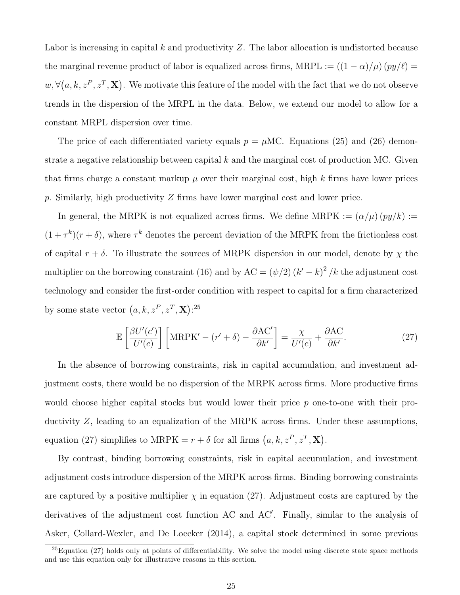Labor is increasing in capital k and productivity  $Z$ . The labor allocation is undistorted because the marginal revenue product of labor is equalized across firms, MRPL :=  $((1 - \alpha)/\mu)(py/\ell)$  =  $w, \forall (a, k, z^P, z^T, \mathbf{X})$ . We motivate this feature of the model with the fact that we do not observe trends in the dispersion of the MRPL in the data. Below, we extend our model to allow for a constant MRPL dispersion over time.

The price of each differentiated variety equals  $p = \mu \text{MC}$ . Equations [\(25\)](#page-24-2) and [\(26\)](#page-24-3) demonstrate a negative relationship between capital  $k$  and the marginal cost of production MC. Given that firms charge a constant markup  $\mu$  over their marginal cost, high k firms have lower prices p. Similarly, high productivity Z firms have lower marginal cost and lower price.

In general, the MRPK is not equalized across firms. We define MRPK :=  $(\alpha/\mu)(py/k)$  :=  $(1+\tau^k)(r+\delta)$ , where  $\tau^k$  denotes the percent deviation of the MRPK from the frictionless cost of capital  $r + \delta$ . To illustrate the sources of MRPK dispersion in our model, denote by  $\chi$  the multiplier on the borrowing constraint [\(16\)](#page-21-2) and by  $AC = (\psi/2) (k' - k)^2 / k$  the adjustment cost technology and consider the first-order condition with respect to capital for a firm characterized by some state vector  $(a, k, z^P, z^T, \mathbf{X})$ :<sup>[25](#page-25-0)</sup>

<span id="page-25-1"></span>
$$
\mathbb{E}\left[\frac{\beta U'(c')}{U'(c)}\right] \left[\text{MRPK}' - (r' + \delta) - \frac{\partial \text{AC}'}{\partial k'}\right] = \frac{\chi}{U'(c)} + \frac{\partial \text{AC}}{\partial k'}.
$$
\n(27)

In the absence of borrowing constraints, risk in capital accumulation, and investment adjustment costs, there would be no dispersion of the MRPK across firms. More productive firms would choose higher capital stocks but would lower their price p one-to-one with their productivity Z, leading to an equalization of the MRPK across firms. Under these assumptions, equation [\(27\)](#page-25-1) simplifies to MRPK =  $r + \delta$  for all firms  $(a, k, z^P, z^T, \mathbf{X})$ .

By contrast, binding borrowing constraints, risk in capital accumulation, and investment adjustment costs introduce dispersion of the MRPK across firms. Binding borrowing constraints are captured by a positive multiplier  $\chi$  in equation [\(27\)](#page-25-1). Adjustment costs are captured by the derivatives of the adjustment cost function AC and AC'. Finally, similar to the analysis of [Asker, Collard-Wexler, and De Loecker](#page-59-1) [\(2014\)](#page-59-1), a capital stock determined in some previous

<span id="page-25-0"></span> $^{25}$ Equation [\(27\)](#page-25-1) holds only at points of differentiability. We solve the model using discrete state space methods and use this equation only for illustrative reasons in this section.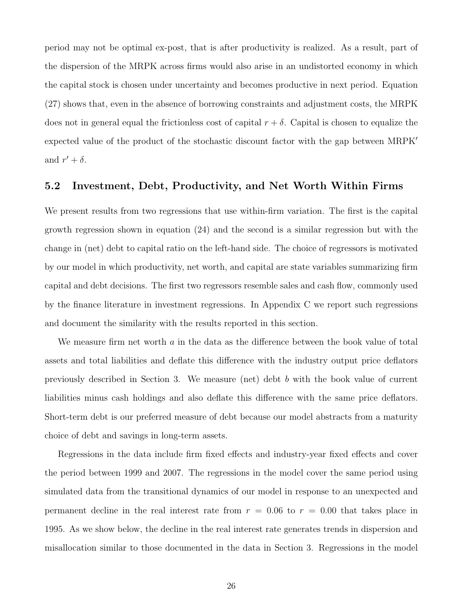period may not be optimal ex-post, that is after productivity is realized. As a result, part of the dispersion of the MRPK across firms would also arise in an undistorted economy in which the capital stock is chosen under uncertainty and becomes productive in next period. Equation [\(27\)](#page-25-1) shows that, even in the absence of borrowing constraints and adjustment costs, the MRPK does not in general equal the frictionless cost of capital  $r + \delta$ . Capital is chosen to equalize the expected value of the product of the stochastic discount factor with the gap between MRPK<sup>'</sup> and  $r' + \delta$ .

#### 5.2 Investment, Debt, Productivity, and Net Worth Within Firms

We present results from two regressions that use within-firm variation. The first is the capital growth regression shown in equation [\(24\)](#page-24-4) and the second is a similar regression but with the change in (net) debt to capital ratio on the left-hand side. The choice of regressors is motivated by our model in which productivity, net worth, and capital are state variables summarizing firm capital and debt decisions. The first two regressors resemble sales and cash flow, commonly used by the finance literature in investment regressions. In Appendix [C](#page-70-0) we report such regressions and document the similarity with the results reported in this section.

We measure firm net worth a in the data as the difference between the book value of total assets and total liabilities and deflate this difference with the industry output price deflators previously described in Section [3.](#page-11-0) We measure (net) debt b with the book value of current liabilities minus cash holdings and also deflate this difference with the same price deflators. Short-term debt is our preferred measure of debt because our model abstracts from a maturity choice of debt and savings in long-term assets.

Regressions in the data include firm fixed effects and industry-year fixed effects and cover the period between 1999 and 2007. The regressions in the model cover the same period using simulated data from the transitional dynamics of our model in response to an unexpected and permanent decline in the real interest rate from  $r = 0.06$  to  $r = 0.00$  that takes place in 1995. As we show below, the decline in the real interest rate generates trends in dispersion and misallocation similar to those documented in the data in Section [3.](#page-11-0) Regressions in the model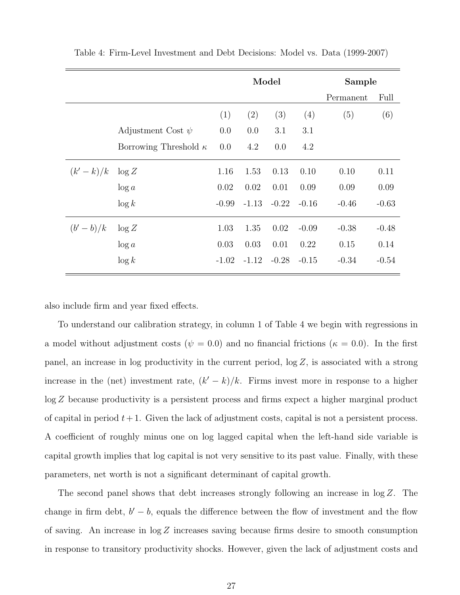|                     |                              | Model   |         |                | Sample  |           |         |
|---------------------|------------------------------|---------|---------|----------------|---------|-----------|---------|
|                     |                              |         |         |                |         | Permanent | Full    |
|                     |                              | (1)     | (2)     | (3)            | (4)     | (5)       | (6)     |
|                     | Adjustment Cost $\psi$       | 0.0     | 0.0     | 3.1            | 3.1     |           |         |
|                     | Borrowing Threshold $\kappa$ | 0.0     | 4.2     | 0.0            | 4.2     |           |         |
| $(k'-k)/k$ $\log Z$ |                              | 1.16    | 1.53    | 0.13           | 0.10    | 0.10      | 0.11    |
|                     | $\log a$                     | 0.02    | 0.02    | 0.01           | 0.09    | 0.09      | 0.09    |
|                     | $\log k$                     | $-0.99$ |         | $-1.13 - 0.22$ | $-0.16$ | $-0.46$   | $-0.63$ |
| $(b'-b)/k$          | $\log Z$                     | 1.03    | 1.35    | 0.02           | $-0.09$ | $-0.38$   | $-0.48$ |
|                     | $\log a$                     | 0.03    | 0.03    | 0.01           | 0.22    | 0.15      | 0.14    |
|                     | $\log k$                     | $-1.02$ | $-1.12$ | $-0.28$        | $-0.15$ | $-0.34$   | $-0.54$ |

<span id="page-27-0"></span>Table 4: Firm-Level Investment and Debt Decisions: Model vs. Data (1999-2007)

also include firm and year fixed effects.

To understand our calibration strategy, in column 1 of Table [4](#page-27-0) we begin with regressions in a model without adjustment costs ( $\psi = 0.0$ ) and no financial frictions ( $\kappa = 0.0$ ). In the first panel, an increase in log productivity in the current period,  $\log Z$ , is associated with a strong increase in the (net) investment rate,  $(k'-k)/k$ . Firms invest more in response to a higher log Z because productivity is a persistent process and firms expect a higher marginal product of capital in period  $t + 1$ . Given the lack of adjustment costs, capital is not a persistent process. A coefficient of roughly minus one on log lagged capital when the left-hand side variable is capital growth implies that log capital is not very sensitive to its past value. Finally, with these parameters, net worth is not a significant determinant of capital growth.

The second panel shows that debt increases strongly following an increase in log Z. The change in firm debt,  $b' - b$ , equals the difference between the flow of investment and the flow of saving. An increase in log Z increases saving because firms desire to smooth consumption in response to transitory productivity shocks. However, given the lack of adjustment costs and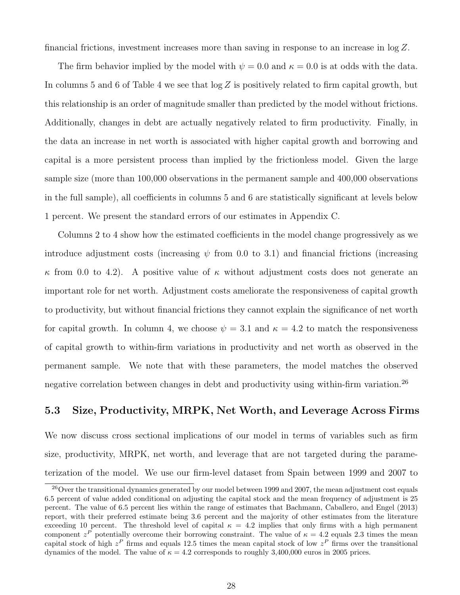financial frictions, investment increases more than saving in response to an increase in log Z.

The firm behavior implied by the model with  $\psi = 0.0$  and  $\kappa = 0.0$  is at odds with the data. In columns 5 and 6 of Table [4](#page-27-0) we see that  $\log Z$  is positively related to firm capital growth, but this relationship is an order of magnitude smaller than predicted by the model without frictions. Additionally, changes in debt are actually negatively related to firm productivity. Finally, in the data an increase in net worth is associated with higher capital growth and borrowing and capital is a more persistent process than implied by the frictionless model. Given the large sample size (more than 100,000 observations in the permanent sample and 400,000 observations in the full sample), all coefficients in columns 5 and 6 are statistically significant at levels below 1 percent. We present the standard errors of our estimates in Appendix [C.](#page-70-0)

Columns 2 to 4 show how the estimated coefficients in the model change progressively as we introduce adjustment costs (increasing  $\psi$  from 0.0 to 3.1) and financial frictions (increasing κ from 0.0 to 4.2). A positive value of κ without adjustment costs does not generate an important role for net worth. Adjustment costs ameliorate the responsiveness of capital growth to productivity, but without financial frictions they cannot explain the significance of net worth for capital growth. In column 4, we choose  $\psi = 3.1$  and  $\kappa = 4.2$  to match the responsiveness of capital growth to within-firm variations in productivity and net worth as observed in the permanent sample. We note that with these parameters, the model matches the observed negative correlation between changes in debt and productivity using within-firm variation.<sup>[26](#page-28-0)</sup>

### 5.3 Size, Productivity, MRPK, Net Worth, and Leverage Across Firms

We now discuss cross sectional implications of our model in terms of variables such as firm size, productivity, MRPK, net worth, and leverage that are not targeted during the parameterization of the model. We use our firm-level dataset from Spain between 1999 and 2007 to

<span id="page-28-0"></span><sup>&</sup>lt;sup>26</sup>Over the transitional dynamics generated by our model between 1999 and 2007, the mean adjustment cost equals 6.5 percent of value added conditional on adjusting the capital stock and the mean frequency of adjustment is 25 percent. The value of 6.5 percent lies within the range of estimates that [Bachmann, Caballero, and Engel](#page-59-4) [\(2013\)](#page-59-4) report, with their preferred estimate being 3.6 percent and the majority of other estimates from the literature exceeding 10 percent. The threshold level of capital  $\kappa = 4.2$  implies that only firms with a high permanent component  $z^P$  potentially overcome their borrowing constraint. The value of  $\kappa = 4.2$  equals 2.3 times the mean capital stock of high  $z^P$  firms and equals 12.5 times the mean capital stock of low  $z^P$  firms over the transitional dynamics of the model. The value of  $\kappa = 4.2$  corresponds to roughly 3,400,000 euros in 2005 prices.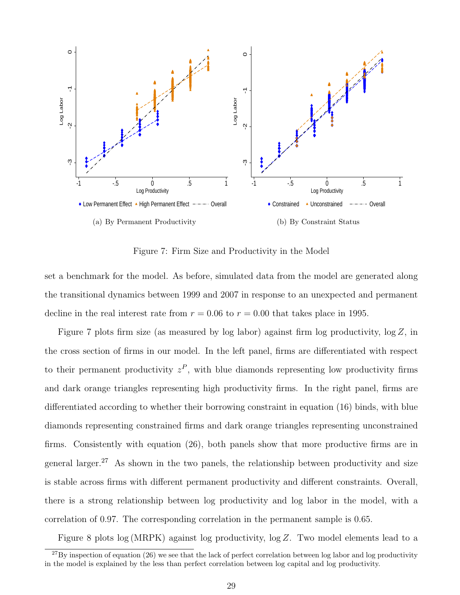

Figure 7: Firm Size and Productivity in the Model

<span id="page-29-0"></span>set a benchmark for the model. As before, simulated data from the model are generated along the transitional dynamics between 1999 and 2007 in response to an unexpected and permanent decline in the real interest rate from  $r = 0.06$  to  $r = 0.00$  that takes place in 1995.

Figure [7](#page-29-0) plots firm size (as measured by log labor) against firm log productivity, log Z, in the cross section of firms in our model. In the left panel, firms are differentiated with respect to their permanent productivity  $z^P$ , with blue diamonds representing low productivity firms and dark orange triangles representing high productivity firms. In the right panel, firms are differentiated according to whether their borrowing constraint in equation [\(16\)](#page-21-2) binds, with blue diamonds representing constrained firms and dark orange triangles representing unconstrained firms. Consistently with equation [\(26\)](#page-24-3), both panels show that more productive firms are in general larger.<sup>[27](#page-29-1)</sup> As shown in the two panels, the relationship between productivity and size is stable across firms with different permanent productivity and different constraints. Overall, there is a strong relationship between log productivity and log labor in the model, with a correlation of 0.97. The corresponding correlation in the permanent sample is 0.65.

Figure [8](#page-30-0) plots log (MRPK) against log productivity, log Z. Two model elements lead to a

<span id="page-29-1"></span> $^{27}$ By inspection of equation [\(26\)](#page-24-3) we see that the lack of perfect correlation between log labor and log productivity in the model is explained by the less than perfect correlation between log capital and log productivity.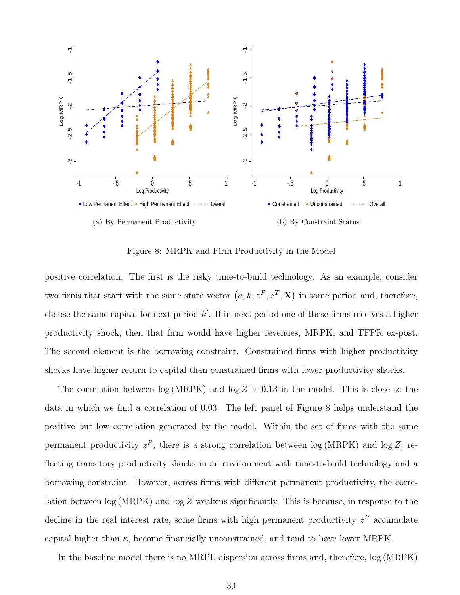

Figure 8: MRPK and Firm Productivity in the Model

<span id="page-30-0"></span>positive correlation. The first is the risky time-to-build technology. As an example, consider two firms that start with the same state vector  $(a, k, z^P, z^T, \mathbf{X})$  in some period and, therefore, choose the same capital for next period  $k'$ . If in next period one of these firms receives a higher productivity shock, then that firm would have higher revenues, MRPK, and TFPR ex-post. The second element is the borrowing constraint. Constrained firms with higher productivity shocks have higher return to capital than constrained firms with lower productivity shocks.

The correlation between  $log(MRPK)$  and  $log Z$  is 0.13 in the model. This is close to the data in which we find a correlation of 0.03. The left panel of Figure [8](#page-30-0) helps understand the positive but low correlation generated by the model. Within the set of firms with the same permanent productivity  $z^P$ , there is a strong correlation between log (MRPK) and log Z, reflecting transitory productivity shocks in an environment with time-to-build technology and a borrowing constraint. However, across firms with different permanent productivity, the correlation between log (MRPK) and log Z weakens significantly. This is because, in response to the decline in the real interest rate, some firms with high permanent productivity  $z<sup>P</sup>$  accumulate capital higher than  $\kappa$ , become financially unconstrained, and tend to have lower MRPK.

In the baseline model there is no MRPL dispersion across firms and, therefore, log (MRPK)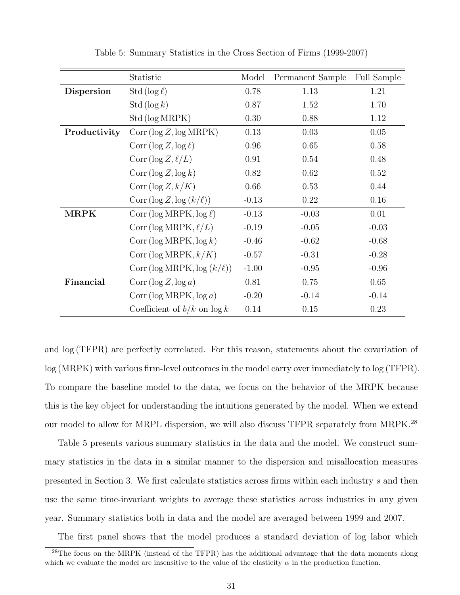<span id="page-31-1"></span>

|              | Statistic                              | Model   | Permanent Sample | <b>Full Sample</b> |
|--------------|----------------------------------------|---------|------------------|--------------------|
| Dispersion   | Std ( $\log \ell$ )                    | 0.78    | 1.13             | 1.21               |
|              | Std $(\log k)$                         | 0.87    | 1.52             | 1.70               |
|              | Std (log MRPK)                         | 0.30    | 0.88             | 1.12               |
| Productivity | Corr (log Z, log MRPK)                 | 0.13    | 0.03             | 0.05               |
|              | Corr $(\log Z, \log \ell)$             | 0.96    | 0.65             | 0.58               |
|              | Corr (log $Z, \ell/L$ )                | 0.91    | 0.54             | 0.48               |
|              | Corr ( $\log Z$ , $\log k$ )           | 0.82    | 0.62             | 0.52               |
|              | Corr $(\log Z, k/K)$                   | 0.66    | 0.53             | 0.44               |
|              | Corr $(\log Z, \log (k/\ell))$         | $-0.13$ | 0.22             | 0.16               |
| <b>MRPK</b>  | Corr (log MRPK, $log \ell$ )           | $-0.13$ | $-0.03$          | 0.01               |
|              | Corr (log MRPK, $\ell/L$ )             | $-0.19$ | $-0.05$          | $-0.03$            |
|              | Corr ( $\log \text{MRPK}$ , $\log k$ ) | $-0.46$ | $-0.62$          | $-0.68$            |
|              | Corr (log MRPK, $k/K$ )                | $-0.57$ | $-0.31$          | $-0.28$            |
|              | Corr (log MRPK, $log (k/\ell)$ )       | $-1.00$ | $-0.95$          | $-0.96$            |
| Financial    | Corr ( $\log Z$ , $\log a$ )           | 0.81    | 0.75             | 0.65               |
|              | Corr ( $log$ MRPK, $log a$ )           | $-0.20$ | $-0.14$          | $-0.14$            |
|              | Coefficient of $b/k$ on $\log k$       | 0.14    | 0.15             | 0.23               |

Table 5: Summary Statistics in the Cross Section of Firms (1999-2007)

and log (TFPR) are perfectly correlated. For this reason, statements about the covariation of log (MRPK) with various firm-level outcomes in the model carry over immediately to log (TFPR). To compare the baseline model to the data, we focus on the behavior of the MRPK because this is the key object for understanding the intuitions generated by the model. When we extend our model to allow for MRPL dispersion, we will also discuss TFPR separately from MRPK.[28](#page-31-0)

Table [5](#page-31-1) presents various summary statistics in the data and the model. We construct summary statistics in the data in a similar manner to the dispersion and misallocation measures presented in Section [3.](#page-11-0) We first calculate statistics across firms within each industry s and then use the same time-invariant weights to average these statistics across industries in any given year. Summary statistics both in data and the model are averaged between 1999 and 2007.

The first panel shows that the model produces a standard deviation of log labor which

<span id="page-31-0"></span><sup>&</sup>lt;sup>28</sup>The focus on the MRPK (instead of the TFPR) has the additional advantage that the data moments along which we evaluate the model are insensitive to the value of the elasticity  $\alpha$  in the production function.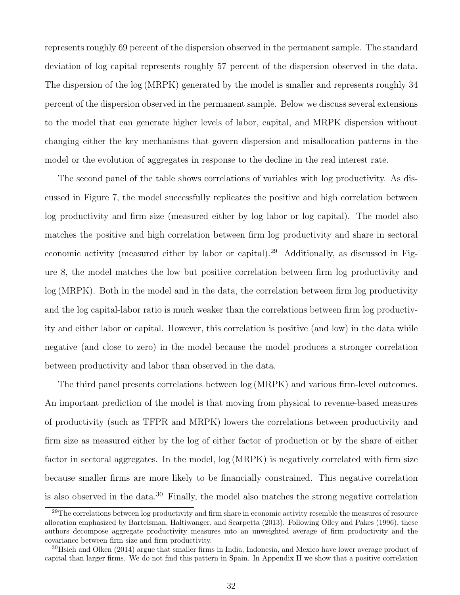represents roughly 69 percent of the dispersion observed in the permanent sample. The standard deviation of log capital represents roughly 57 percent of the dispersion observed in the data. The dispersion of the log (MRPK) generated by the model is smaller and represents roughly 34 percent of the dispersion observed in the permanent sample. Below we discuss several extensions to the model that can generate higher levels of labor, capital, and MRPK dispersion without changing either the key mechanisms that govern dispersion and misallocation patterns in the model or the evolution of aggregates in response to the decline in the real interest rate.

The second panel of the table shows correlations of variables with log productivity. As discussed in Figure [7,](#page-29-0) the model successfully replicates the positive and high correlation between log productivity and firm size (measured either by log labor or log capital). The model also matches the positive and high correlation between firm log productivity and share in sectoral economic activity (measured either by labor or capital).<sup>[29](#page-32-0)</sup> Additionally, as discussed in Figure [8,](#page-30-0) the model matches the low but positive correlation between firm log productivity and log (MRPK). Both in the model and in the data, the correlation between firm log productivity and the log capital-labor ratio is much weaker than the correlations between firm log productivity and either labor or capital. However, this correlation is positive (and low) in the data while negative (and close to zero) in the model because the model produces a stronger correlation between productivity and labor than observed in the data.

The third panel presents correlations between log (MRPK) and various firm-level outcomes. An important prediction of the model is that moving from physical to revenue-based measures of productivity (such as TFPR and MRPK) lowers the correlations between productivity and firm size as measured either by the log of either factor of production or by the share of either factor in sectoral aggregates. In the model, log (MRPK) is negatively correlated with firm size because smaller firms are more likely to be financially constrained. This negative correlation is also observed in the data.<sup>[30](#page-32-1)</sup> Finally, the model also matches the strong negative correlation

<span id="page-32-0"></span> $29$ The correlations between log productivity and firm share in economic activity resemble the measures of resource allocation emphasized by [Bartelsman, Haltiwanger, and Scarpetta](#page-59-0) [\(2013\)](#page-59-0). Following [Olley and Pakes](#page-61-11) [\(1996\)](#page-61-11), these authors decompose aggregate productivity measures into an unweighted average of firm productivity and the covariance between firm size and firm productivity.

<span id="page-32-1"></span><sup>&</sup>lt;sup>30</sup>[Hsieh and Olken](#page-61-12) [\(2014\)](#page-61-12) argue that smaller firms in India, Indonesia, and Mexico have lower average product of capital than larger firms. We do not find this pattern in Spain. In Appendix [H](#page-87-0) we show that a positive correlation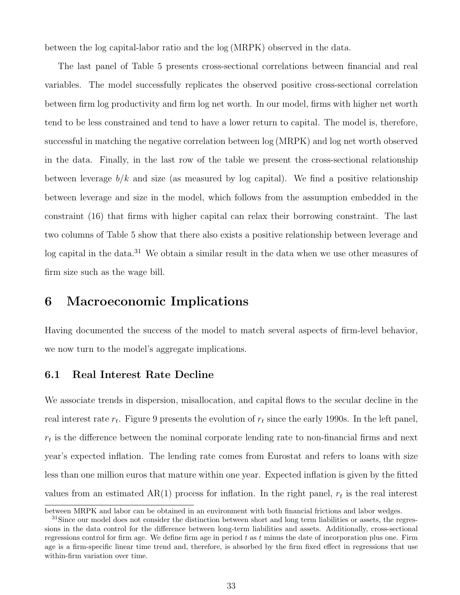between the log capital-labor ratio and the log (MRPK) observed in the data.

The last panel of Table [5](#page-31-1) presents cross-sectional correlations between financial and real variables. The model successfully replicates the observed positive cross-sectional correlation between firm log productivity and firm log net worth. In our model, firms with higher net worth tend to be less constrained and tend to have a lower return to capital. The model is, therefore, successful in matching the negative correlation between log (MRPK) and log net worth observed in the data. Finally, in the last row of the table we present the cross-sectional relationship between leverage  $b/k$  and size (as measured by log capital). We find a positive relationship between leverage and size in the model, which follows from the assumption embedded in the constraint [\(16\)](#page-21-2) that firms with higher capital can relax their borrowing constraint. The last two columns of Table [5](#page-31-1) show that there also exists a positive relationship between leverage and log capital in the data.<sup>[31](#page-33-0)</sup> We obtain a similar result in the data when we use other measures of firm size such as the wage bill.

### 6 Macroeconomic Implications

Having documented the success of the model to match several aspects of firm-level behavior, we now turn to the model's aggregate implications.

### 6.1 Real Interest Rate Decline

We associate trends in dispersion, misallocation, and capital flows to the secular decline in the real interest rate  $r_t$ . Figure [9](#page-34-0) presents the evolution of  $r_t$  since the early 1990s. In the left panel,  $r_t$  is the difference between the nominal corporate lending rate to non-financial firms and next year's expected inflation. The lending rate comes from Eurostat and refers to loans with size less than one million euros that mature within one year. Expected inflation is given by the fitted values from an estimated  $AR(1)$  process for inflation. In the right panel,  $r_t$  is the real interest

between MRPK and labor can be obtained in an environment with both financial frictions and labor wedges.

<span id="page-33-0"></span> $31$ Since our model does not consider the distinction between short and long term liabilities or assets, the regressions in the data control for the difference between long-term liabilities and assets. Additionally, cross-sectional regressions control for firm age. We define firm age in period  $t$  as  $t$  minus the date of incorporation plus one. Firm age is a firm-specific linear time trend and, therefore, is absorbed by the firm fixed effect in regressions that use within-firm variation over time.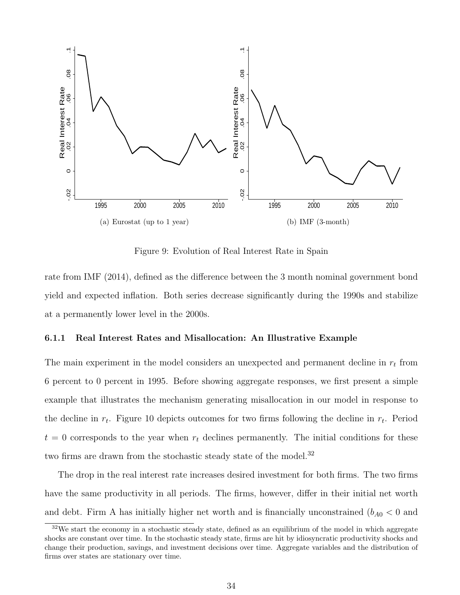

Figure 9: Evolution of Real Interest Rate in Spain

<span id="page-34-0"></span>rate from [IMF](#page-61-13) [\(2014\)](#page-61-13), defined as the difference between the 3 month nominal government bond yield and expected inflation. Both series decrease significantly during the 1990s and stabilize at a permanently lower level in the 2000s.

#### 6.1.1 Real Interest Rates and Misallocation: An Illustrative Example

The main experiment in the model considers an unexpected and permanent decline in  $r_t$  from 6 percent to 0 percent in 1995. Before showing aggregate responses, we first present a simple example that illustrates the mechanism generating misallocation in our model in response to the decline in  $r_t$ . Figure [10](#page-35-0) depicts outcomes for two firms following the decline in  $r_t$ . Period  $t = 0$  corresponds to the year when  $r_t$  declines permanently. The initial conditions for these two firms are drawn from the stochastic steady state of the model.<sup>[32](#page-34-1)</sup>

The drop in the real interest rate increases desired investment for both firms. The two firms have the same productivity in all periods. The firms, however, differ in their initial net worth and debt. Firm A has initially higher net worth and is financially unconstrained  $(b_{A0} < 0$  and

<span id="page-34-1"></span><sup>&</sup>lt;sup>32</sup>We start the economy in a stochastic steady state, defined as an equilibrium of the model in which aggregate shocks are constant over time. In the stochastic steady state, firms are hit by idiosyncratic productivity shocks and change their production, savings, and investment decisions over time. Aggregate variables and the distribution of firms over states are stationary over time.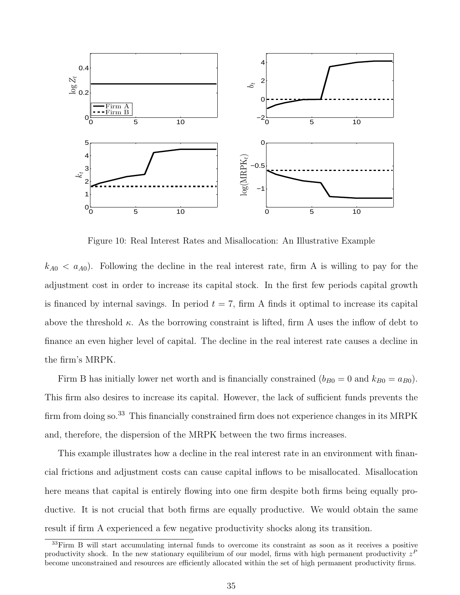

Figure 10: Real Interest Rates and Misallocation: An Illustrative Example

<span id="page-35-0"></span> $k_{A0} < a_{A0}$ ). Following the decline in the real interest rate, firm A is willing to pay for the adjustment cost in order to increase its capital stock. In the first few periods capital growth is financed by internal savings. In period  $t = 7$ , firm A finds it optimal to increase its capital above the threshold  $\kappa$ . As the borrowing constraint is lifted, firm A uses the inflow of debt to finance an even higher level of capital. The decline in the real interest rate causes a decline in the firm's MRPK.

Firm B has initially lower net worth and is financially constrained  $(b_{B0} = 0$  and  $k_{B0} = a_{B0})$ . This firm also desires to increase its capital. However, the lack of sufficient funds prevents the firm from doing so.<sup>[33](#page-35-1)</sup> This financially constrained firm does not experience changes in its MRPK and, therefore, the dispersion of the MRPK between the two firms increases.

This example illustrates how a decline in the real interest rate in an environment with financial frictions and adjustment costs can cause capital inflows to be misallocated. Misallocation here means that capital is entirely flowing into one firm despite both firms being equally productive. It is not crucial that both firms are equally productive. We would obtain the same result if firm A experienced a few negative productivity shocks along its transition.

<span id="page-35-1"></span><sup>33</sup>Firm B will start accumulating internal funds to overcome its constraint as soon as it receives a positive productivity shock. In the new stationary equilibrium of our model, firms with high permanent productivity  $z<sup>F</sup>$ become unconstrained and resources are efficiently allocated within the set of high permanent productivity firms.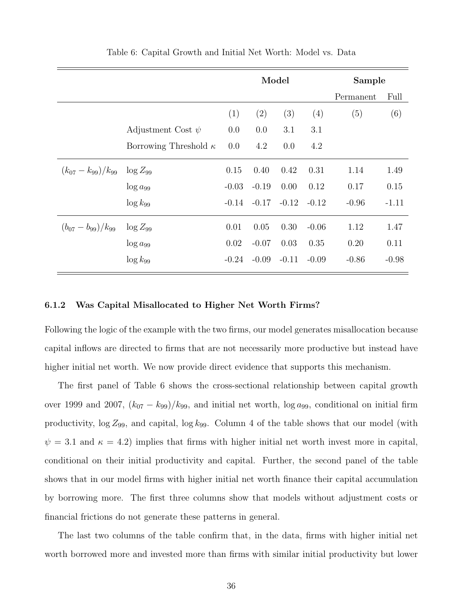<span id="page-36-0"></span>

|                            |                              | Model   |         |         |         | Sample    |         |
|----------------------------|------------------------------|---------|---------|---------|---------|-----------|---------|
|                            |                              |         |         |         |         | Permanent | Full    |
|                            |                              | (1)     | (2)     | (3)     | (4)     | (5)       | (6)     |
|                            | Adjustment Cost $\psi$       | 0.0     | 0.0     | 3.1     | 3.1     |           |         |
|                            | Borrowing Threshold $\kappa$ | 0.0     | 4.2     | 0.0     | 4.2     |           |         |
| $(k_{07} - k_{99})/k_{99}$ | $\log Z_{99}$                | 0.15    | 0.40    | 0.42    | 0.31    | 1.14      | 1.49    |
|                            | $\log a_{99}$                | $-0.03$ | $-0.19$ | 0.00    | 0.12    | 0.17      | 0.15    |
|                            | $\log k_{99}$                | $-0.14$ | $-0.17$ | $-0.12$ | $-0.12$ | $-0.96$   | $-1.11$ |
| $(b_{07}-b_{99})/k_{99}$   | $\log Z_{99}$                | 0.01    | 0.05    | 0.30    | $-0.06$ | 1.12      | 1.47    |
|                            | $\log a_{99}$                | 0.02    | $-0.07$ | 0.03    | 0.35    | 0.20      | 0.11    |
|                            | $\log k_{99}$                | $-0.24$ | $-0.09$ | $-0.11$ | $-0.09$ | $-0.86$   | $-0.98$ |

Table 6: Capital Growth and Initial Net Worth: Model vs. Data

#### <span id="page-36-1"></span>6.1.2 Was Capital Misallocated to Higher Net Worth Firms?

Following the logic of the example with the two firms, our model generates misallocation because capital inflows are directed to firms that are not necessarily more productive but instead have higher initial net worth. We now provide direct evidence that supports this mechanism.

The first panel of Table [6](#page-36-0) shows the cross-sectional relationship between capital growth over 1999 and 2007,  $(k_{07} - k_{99})/k_{99}$ , and initial net worth, log  $a_{99}$ , conditional on initial firm productivity,  $\log Z_{99}$ , and capital,  $\log k_{99}$ . Column 4 of the table shows that our model (with  $\psi = 3.1$  and  $\kappa = 4.2$ ) implies that firms with higher initial net worth invest more in capital, conditional on their initial productivity and capital. Further, the second panel of the table shows that in our model firms with higher initial net worth finance their capital accumulation by borrowing more. The first three columns show that models without adjustment costs or financial frictions do not generate these patterns in general.

The last two columns of the table confirm that, in the data, firms with higher initial net worth borrowed more and invested more than firms with similar initial productivity but lower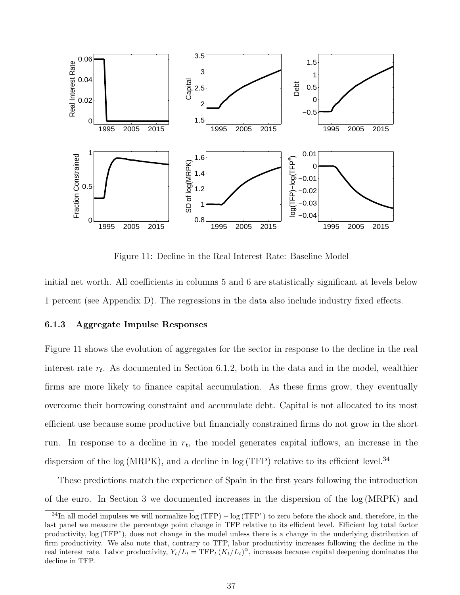

Figure 11: Decline in the Real Interest Rate: Baseline Model

<span id="page-37-0"></span>initial net worth. All coefficients in columns 5 and 6 are statistically significant at levels below 1 percent (see Appendix [D\)](#page-71-0). The regressions in the data also include industry fixed effects.

#### <span id="page-37-2"></span>6.1.3 Aggregate Impulse Responses

Figure [11](#page-37-0) shows the evolution of aggregates for the sector in response to the decline in the real interest rate  $r_t$ . As documented in Section [6.1.2,](#page-36-1) both in the data and in the model, wealthier firms are more likely to finance capital accumulation. As these firms grow, they eventually overcome their borrowing constraint and accumulate debt. Capital is not allocated to its most efficient use because some productive but financially constrained firms do not grow in the short run. In response to a decline in  $r_t$ , the model generates capital inflows, an increase in the dispersion of the log (MRPK), and a decline in log (TFP) relative to its efficient level.<sup>[34](#page-37-1)</sup>

These predictions match the experience of Spain in the first years following the introduction of the euro. In Section [3](#page-11-0) we documented increases in the dispersion of the log (MRPK) and

<span id="page-37-1"></span> $34$ In all model impulses we will normalize  $\log(TFP) - \log(TFP^e)$  to zero before the shock and, therefore, in the last panel we measure the percentage point change in TFP relative to its efficient level. Efficient log total factor productivity,  $log(TFP^e)$ , does not change in the model unless there is a change in the underlying distribution of firm productivity. We also note that, contrary to TFP, labor productivity increases following the decline in the real interest rate. Labor productivity,  $Y_t/L_t = TFP_t (K_t/L_t)^{\alpha}$ , increases because capital deepening dominates the decline in TFP.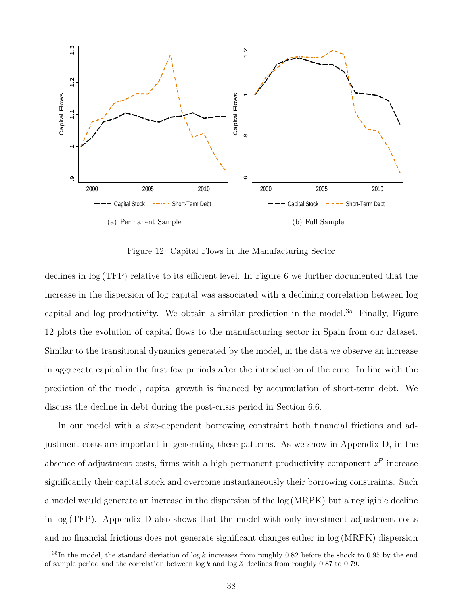

Figure 12: Capital Flows in the Manufacturing Sector

<span id="page-38-1"></span>declines in log (TFP) relative to its efficient level. In Figure [6](#page-19-0) we further documented that the increase in the dispersion of log capital was associated with a declining correlation between log capital and log productivity. We obtain a similar prediction in the model.<sup>[35](#page-38-0)</sup> Finally, Figure [12](#page-38-1) plots the evolution of capital flows to the manufacturing sector in Spain from our dataset. Similar to the transitional dynamics generated by the model, in the data we observe an increase in aggregate capital in the first few periods after the introduction of the euro. In line with the prediction of the model, capital growth is financed by accumulation of short-term debt. We discuss the decline in debt during the post-crisis period in Section [6.6.](#page-50-0)

In our model with a size-dependent borrowing constraint both financial frictions and adjustment costs are important in generating these patterns. As we show in Appendix [D,](#page-71-0) in the absence of adjustment costs, firms with a high permanent productivity component  $z<sup>P</sup>$  increase significantly their capital stock and overcome instantaneously their borrowing constraints. Such a model would generate an increase in the dispersion of the log (MRPK) but a negligible decline in log (TFP). Appendix [D](#page-71-0) also shows that the model with only investment adjustment costs and no financial frictions does not generate significant changes either in log (MRPK) dispersion

<span id="page-38-0"></span><sup>&</sup>lt;sup>35</sup>In the model, the standard deviation of log k increases from roughly 0.82 before the shock to 0.95 by the end of sample period and the correlation between  $\log k$  and  $\log Z$  declines from roughly 0.87 to 0.79.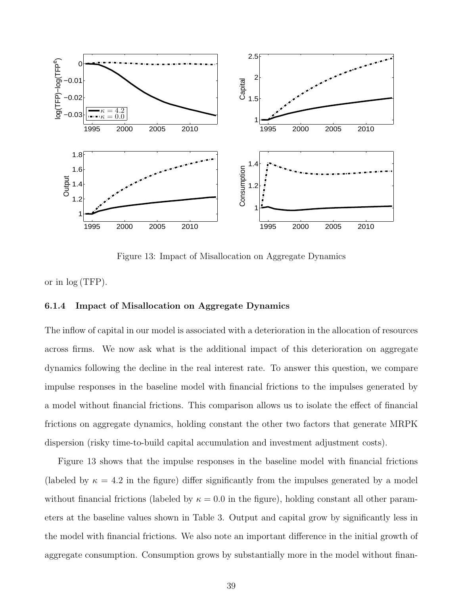

Figure 13: Impact of Misallocation on Aggregate Dynamics

<span id="page-39-0"></span>or in log (TFP).

#### <span id="page-39-1"></span>6.1.4 Impact of Misallocation on Aggregate Dynamics

The inflow of capital in our model is associated with a deterioration in the allocation of resources across firms. We now ask what is the additional impact of this deterioration on aggregate dynamics following the decline in the real interest rate. To answer this question, we compare impulse responses in the baseline model with financial frictions to the impulses generated by a model without financial frictions. This comparison allows us to isolate the effect of financial frictions on aggregate dynamics, holding constant the other two factors that generate MRPK dispersion (risky time-to-build capital accumulation and investment adjustment costs).

Figure [13](#page-39-0) shows that the impulse responses in the baseline model with financial frictions (labeled by  $\kappa = 4.2$  in the figure) differ significantly from the impulses generated by a model without financial frictions (labeled by  $\kappa = 0.0$  in the figure), holding constant all other parameters at the baseline values shown in Table [3.](#page-23-0) Output and capital grow by significantly less in the model with financial frictions. We also note an important difference in the initial growth of aggregate consumption. Consumption grows by substantially more in the model without finan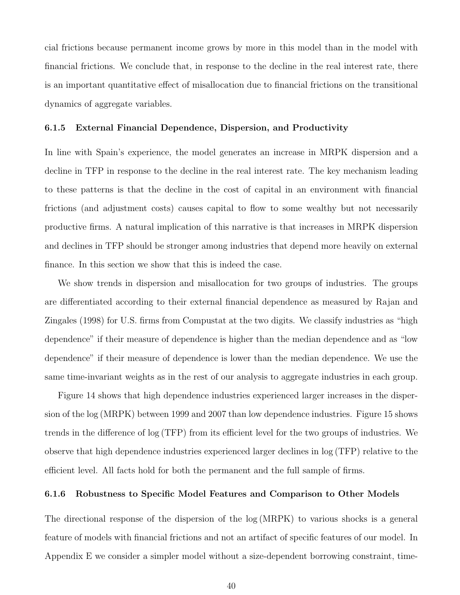cial frictions because permanent income grows by more in this model than in the model with financial frictions. We conclude that, in response to the decline in the real interest rate, there is an important quantitative effect of misallocation due to financial frictions on the transitional dynamics of aggregate variables.

#### 6.1.5 External Financial Dependence, Dispersion, and Productivity

In line with Spain's experience, the model generates an increase in MRPK dispersion and a decline in TFP in response to the decline in the real interest rate. The key mechanism leading to these patterns is that the decline in the cost of capital in an environment with financial frictions (and adjustment costs) causes capital to flow to some wealthy but not necessarily productive firms. A natural implication of this narrative is that increases in MRPK dispersion and declines in TFP should be stronger among industries that depend more heavily on external finance. In this section we show that this is indeed the case.

We show trends in dispersion and misallocation for two groups of industries. The groups are differentiated according to their external financial dependence as measured by [Rajan and](#page-62-0) [Zingales](#page-62-0) [\(1998\)](#page-62-0) for U.S. firms from Compustat at the two digits. We classify industries as "high dependence" if their measure of dependence is higher than the median dependence and as "low dependence" if their measure of dependence is lower than the median dependence. We use the same time-invariant weights as in the rest of our analysis to aggregate industries in each group.

Figure [14](#page-41-0) shows that high dependence industries experienced larger increases in the dispersion of the log (MRPK) between 1999 and 2007 than low dependence industries. Figure [15](#page-41-1) shows trends in the difference of log (TFP) from its efficient level for the two groups of industries. We observe that high dependence industries experienced larger declines in log (TFP) relative to the efficient level. All facts hold for both the permanent and the full sample of firms.

#### 6.1.6 Robustness to Specific Model Features and Comparison to Other Models

The directional response of the dispersion of the log (MRPK) to various shocks is a general feature of models with financial frictions and not an artifact of specific features of our model. In Appendix [E](#page-72-0) we consider a simpler model without a size-dependent borrowing constraint, time-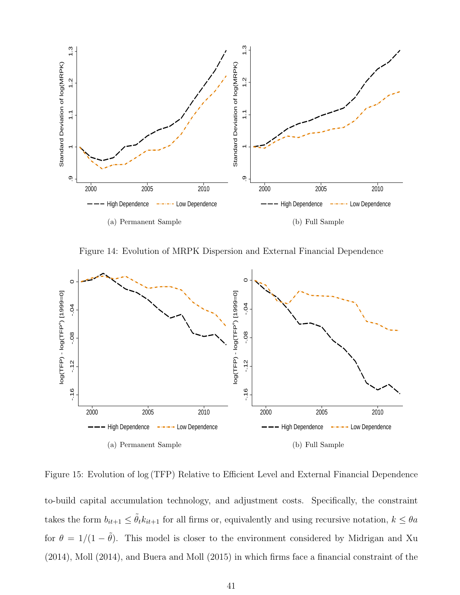

Figure 14: Evolution of MRPK Dispersion and External Financial Dependence

<span id="page-41-0"></span>

<span id="page-41-1"></span>Figure 15: Evolution of log (TFP) Relative to Efficient Level and External Financial Dependence to-build capital accumulation technology, and adjustment costs. Specifically, the constraint takes the form  $b_{it+1} \leq \tilde{\theta}_t k_{it+1}$  for all firms or, equivalently and using recursive notation,  $k \leq \theta a$ for  $\theta = 1/(1 - \tilde{\theta})$ . This model is closer to the environment considered by [Midrigan and Xu](#page-61-0) [\(2014\)](#page-61-0), [Moll](#page-61-1) [\(2014\)](#page-61-1), and [Buera and Moll](#page-60-0) [\(2015\)](#page-60-0) in which firms face a financial constraint of the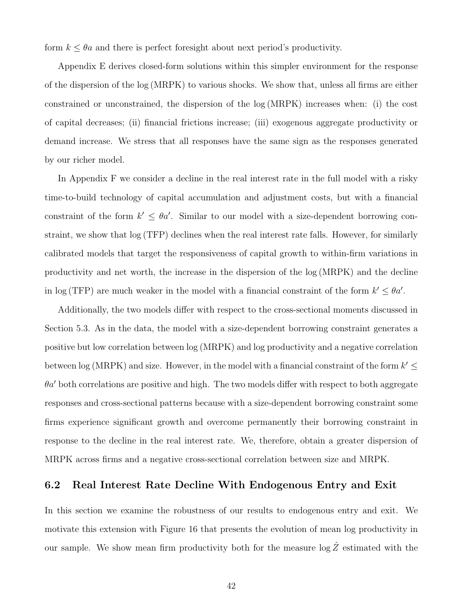form  $k \leq \theta a$  and there is perfect foresight about next period's productivity.

Appendix [E](#page-72-0) derives closed-form solutions within this simpler environment for the response of the dispersion of the log (MRPK) to various shocks. We show that, unless all firms are either constrained or unconstrained, the dispersion of the log (MRPK) increases when: (i) the cost of capital decreases; (ii) financial frictions increase; (iii) exogenous aggregate productivity or demand increase. We stress that all responses have the same sign as the responses generated by our richer model.

In Appendix [F](#page-79-0) we consider a decline in the real interest rate in the full model with a risky time-to-build technology of capital accumulation and adjustment costs, but with a financial constraint of the form  $k' \leq \theta a'$ . Similar to our model with a size-dependent borrowing constraint, we show that log (TFP) declines when the real interest rate falls. However, for similarly calibrated models that target the responsiveness of capital growth to within-firm variations in productivity and net worth, the increase in the dispersion of the log (MRPK) and the decline in log (TFP) are much weaker in the model with a financial constraint of the form  $k' \leq \theta a'$ .

Additionally, the two models differ with respect to the cross-sectional moments discussed in Section [5.3.](#page-28-0) As in the data, the model with a size-dependent borrowing constraint generates a positive but low correlation between log (MRPK) and log productivity and a negative correlation between log (MRPK) and size. However, in the model with a financial constraint of the form  $k' \leq$  $\theta a'$  both correlations are positive and high. The two models differ with respect to both aggregate responses and cross-sectional patterns because with a size-dependent borrowing constraint some firms experience significant growth and overcome permanently their borrowing constraint in response to the decline in the real interest rate. We, therefore, obtain a greater dispersion of MRPK across firms and a negative cross-sectional correlation between size and MRPK.

### 6.2 Real Interest Rate Decline With Endogenous Entry and Exit

In this section we examine the robustness of our results to endogenous entry and exit. We motivate this extension with Figure [16](#page-43-0) that presents the evolution of mean log productivity in our sample. We show mean firm productivity both for the measure  $\log \hat{Z}$  estimated with the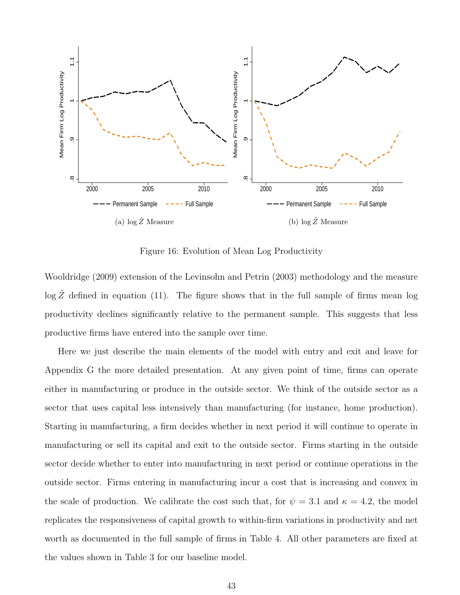

Figure 16: Evolution of Mean Log Productivity

<span id="page-43-0"></span>[Wooldridge](#page-62-1) [\(2009\)](#page-62-1) extension of the [Levinsohn and Petrin](#page-61-2) [\(2003\)](#page-61-2) methodology and the measure  $\log \tilde{Z}$  defined in equation [\(11\)](#page-16-0). The figure shows that in the full sample of firms mean log productivity declines significantly relative to the permanent sample. This suggests that less productive firms have entered into the sample over time.

Here we just describe the main elements of the model with entry and exit and leave for Appendix [G](#page-86-0) the more detailed presentation. At any given point of time, firms can operate either in manufacturing or produce in the outside sector. We think of the outside sector as a sector that uses capital less intensively than manufacturing (for instance, home production). Starting in manufacturing, a firm decides whether in next period it will continue to operate in manufacturing or sell its capital and exit to the outside sector. Firms starting in the outside sector decide whether to enter into manufacturing in next period or continue operations in the outside sector. Firms entering in manufacturing incur a cost that is increasing and convex in the scale of production. We calibrate the cost such that, for  $\psi = 3.1$  and  $\kappa = 4.2$ , the model replicates the responsiveness of capital growth to within-firm variations in productivity and net worth as documented in the full sample of firms in Table [4.](#page-27-0) All other parameters are fixed at the values shown in Table [3](#page-23-0) for our baseline model.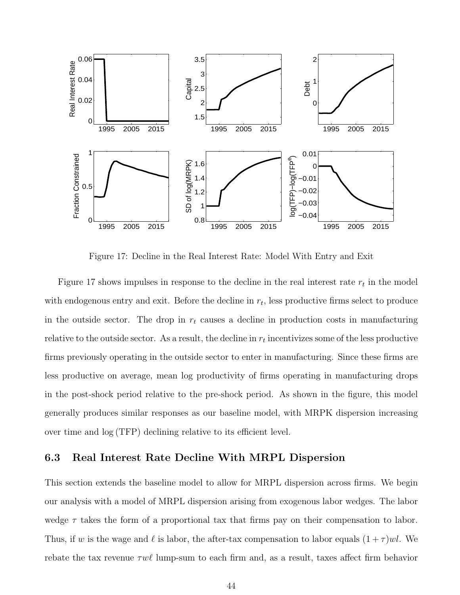

Figure 17: Decline in the Real Interest Rate: Model With Entry and Exit

<span id="page-44-0"></span>Figure [17](#page-44-0) shows impulses in response to the decline in the real interest rate  $r_t$  in the model with endogenous entry and exit. Before the decline in  $r_t$ , less productive firms select to produce in the outside sector. The drop in  $r_t$  causes a decline in production costs in manufacturing relative to the outside sector. As a result, the decline in  $r_t$  incentivizes some of the less productive firms previously operating in the outside sector to enter in manufacturing. Since these firms are less productive on average, mean log productivity of firms operating in manufacturing drops in the post-shock period relative to the pre-shock period. As shown in the figure, this model generally produces similar responses as our baseline model, with MRPK dispersion increasing over time and log (TFP) declining relative to its efficient level.

### 6.3 Real Interest Rate Decline With MRPL Dispersion

This section extends the baseline model to allow for MRPL dispersion across firms. We begin our analysis with a model of MRPL dispersion arising from exogenous labor wedges. The labor wedge  $\tau$  takes the form of a proportional tax that firms pay on their compensation to labor. Thus, if w is the wage and  $\ell$  is labor, the after-tax compensation to labor equals  $(1 + \tau)wl$ . We rebate the tax revenue  $\tau w\ell$  lump-sum to each firm and, as a result, taxes affect firm behavior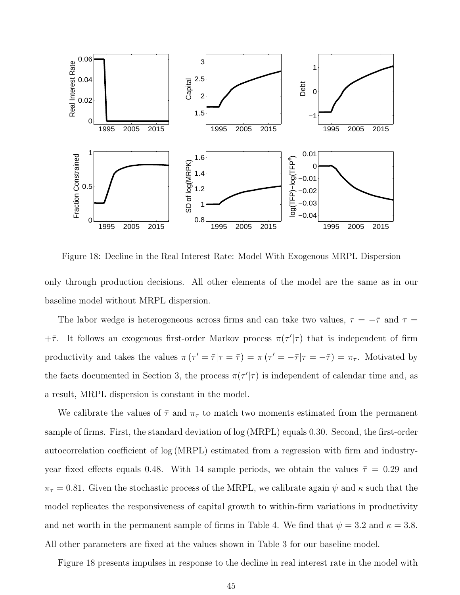

<span id="page-45-0"></span>Figure 18: Decline in the Real Interest Rate: Model With Exogenous MRPL Dispersion only through production decisions. All other elements of the model are the same as in our baseline model without MRPL dispersion.

The labor wedge is heterogeneous across firms and can take two values,  $\tau = -\bar{\tau}$  and  $\tau =$  $+\bar{\tau}$ . It follows an exogenous first-order Markov process  $\pi(\tau'|\tau)$  that is independent of firm productivity and takes the values  $\pi(\tau' = \overline{\tau} | \tau = \overline{\tau}) = \pi(\tau' = -\overline{\tau} | \tau = -\overline{\tau}) = \pi_{\tau}$ . Motivated by the facts documented in Section [3,](#page-11-0) the process  $\pi(\tau'|\tau)$  is independent of calendar time and, as a result, MRPL dispersion is constant in the model.

We calibrate the values of  $\bar{\tau}$  and  $\pi_{\tau}$  to match two moments estimated from the permanent sample of firms. First, the standard deviation of log (MRPL) equals 0.30. Second, the first-order autocorrelation coefficient of log (MRPL) estimated from a regression with firm and industryyear fixed effects equals 0.48. With 14 sample periods, we obtain the values  $\bar{\tau} = 0.29$  and  $\pi_{\tau} = 0.81$ . Given the stochastic process of the MRPL, we calibrate again  $\psi$  and  $\kappa$  such that the model replicates the responsiveness of capital growth to within-firm variations in productivity and net worth in the permanent sample of firms in Table [4.](#page-27-0) We find that  $\psi = 3.2$  and  $\kappa = 3.8$ . All other parameters are fixed at the values shown in Table [3](#page-23-0) for our baseline model.

Figure [18](#page-45-0) presents impulses in response to the decline in real interest rate in the model with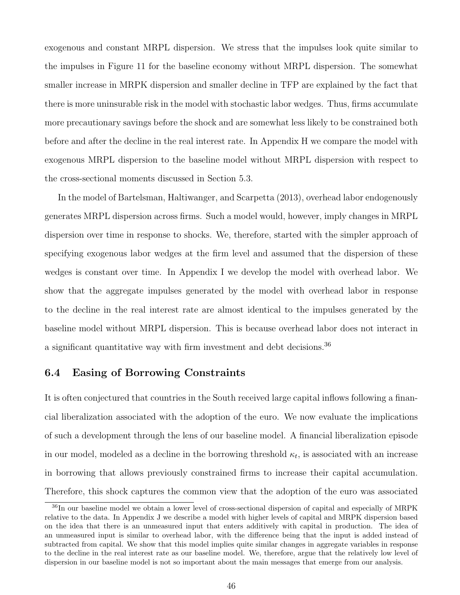exogenous and constant MRPL dispersion. We stress that the impulses look quite similar to the impulses in Figure [11](#page-37-0) for the baseline economy without MRPL dispersion. The somewhat smaller increase in MRPK dispersion and smaller decline in TFP are explained by the fact that there is more uninsurable risk in the model with stochastic labor wedges. Thus, firms accumulate more precautionary savings before the shock and are somewhat less likely to be constrained both before and after the decline in the real interest rate. In Appendix [H](#page-87-0) we compare the model with exogenous MRPL dispersion to the baseline model without MRPL dispersion with respect to the cross-sectional moments discussed in Section [5.3.](#page-28-0)

In the model of [Bartelsman, Haltiwanger, and Scarpetta](#page-59-0) [\(2013\)](#page-59-0), overhead labor endogenously generates MRPL dispersion across firms. Such a model would, however, imply changes in MRPL dispersion over time in response to shocks. We, therefore, started with the simpler approach of specifying exogenous labor wedges at the firm level and assumed that the dispersion of these wedges is constant over time. In Appendix [I](#page-89-0) we develop the model with overhead labor. We show that the aggregate impulses generated by the model with overhead labor in response to the decline in the real interest rate are almost identical to the impulses generated by the baseline model without MRPL dispersion. This is because overhead labor does not interact in a significant quantitative way with firm investment and debt decisions.[36](#page-46-0)

### 6.4 Easing of Borrowing Constraints

It is often conjectured that countries in the South received large capital inflows following a financial liberalization associated with the adoption of the euro. We now evaluate the implications of such a development through the lens of our baseline model. A financial liberalization episode in our model, modeled as a decline in the borrowing threshold  $\kappa_t$ , is associated with an increase in borrowing that allows previously constrained firms to increase their capital accumulation. Therefore, this shock captures the common view that the adoption of the euro was associated

<span id="page-46-0"></span><sup>36</sup>In our baseline model we obtain a lower level of cross-sectional dispersion of capital and especially of MRPK relative to the data. In Appendix [J](#page-92-0) we describe a model with higher levels of capital and MRPK dispersion based on the idea that there is an unmeasured input that enters additively with capital in production. The idea of an unmeasured input is similar to overhead labor, with the difference being that the input is added instead of subtracted from capital. We show that this model implies quite similar changes in aggregate variables in response to the decline in the real interest rate as our baseline model. We, therefore, argue that the relatively low level of dispersion in our baseline model is not so important about the main messages that emerge from our analysis.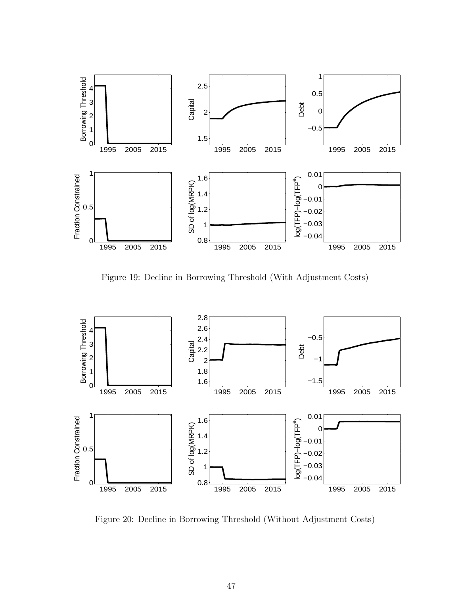

Figure 19: Decline in Borrowing Threshold (With Adjustment Costs)

<span id="page-47-0"></span>

<span id="page-47-1"></span>Figure 20: Decline in Borrowing Threshold (Without Adjustment Costs)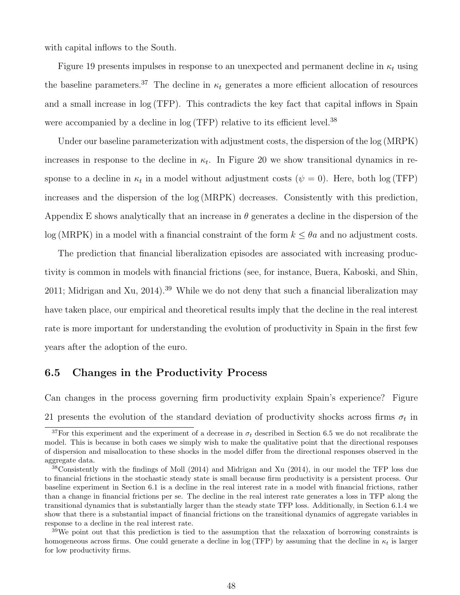with capital inflows to the South.

Figure [19](#page-47-0) presents impulses in response to an unexpected and permanent decline in  $\kappa_t$  using the baseline parameters.<sup>[37](#page-48-0)</sup> The decline in  $\kappa_t$  generates a more efficient allocation of resources and a small increase in log (TFP). This contradicts the key fact that capital inflows in Spain were accompanied by a decline in  $log(TFP)$  relative to its efficient level.<sup>[38](#page-48-1)</sup>

Under our baseline parameterization with adjustment costs, the dispersion of the log (MRPK) increases in response to the decline in  $\kappa_t$ . In Figure [20](#page-47-1) we show transitional dynamics in response to a decline in  $\kappa_t$  in a model without adjustment costs ( $\psi = 0$ ). Here, both log (TFP) increases and the dispersion of the log (MRPK) decreases. Consistently with this prediction, Appendix [E](#page-72-0) shows analytically that an increase in  $\theta$  generates a decline in the dispersion of the log (MRPK) in a model with a financial constraint of the form  $k \leq \theta a$  and no adjustment costs.

The prediction that financial liberalization episodes are associated with increasing productivity is common in models with financial frictions (see, for instance, [Buera, Kaboski, and Shin,](#page-60-1) [2011;](#page-60-1) [Midrigan and Xu,](#page-61-0) [2014\)](#page-61-0).<sup>[39](#page-48-2)</sup> While we do not deny that such a financial liberalization may have taken place, our empirical and theoretical results imply that the decline in the real interest rate is more important for understanding the evolution of productivity in Spain in the first few years after the adoption of the euro.

### <span id="page-48-3"></span>6.5 Changes in the Productivity Process

Can changes in the process governing firm productivity explain Spain's experience? Figure [21](#page-49-0) presents the evolution of the standard deviation of productivity shocks across firms  $\sigma_t$  in

<span id="page-48-0"></span><sup>&</sup>lt;sup>37</sup>For this experiment and the experiment of a decrease in  $\sigma_t$  described in Section [6.5](#page-48-3) we do not recalibrate the model. This is because in both cases we simply wish to make the qualitative point that the directional responses of dispersion and misallocation to these shocks in the model differ from the directional responses observed in the aggregate data.

<span id="page-48-1"></span><sup>38</sup>Consistently with the findings of [Moll](#page-61-1) [\(2014\)](#page-61-1) and [Midrigan and Xu](#page-61-0) [\(2014\)](#page-61-0), in our model the TFP loss due to financial frictions in the stochastic steady state is small because firm productivity is a persistent process. Our baseline experiment in Section [6.1](#page-33-0) is a decline in the real interest rate in a model with financial frictions, rather than a change in financial frictions per se. The decline in the real interest rate generates a loss in TFP along the transitional dynamics that is substantially larger than the steady state TFP loss. Additionally, in Section [6.1.4](#page-39-1) we show that there is a substantial impact of financial frictions on the transitional dynamics of aggregate variables in response to a decline in the real interest rate.

<span id="page-48-2"></span><sup>&</sup>lt;sup>39</sup>We point out that this prediction is tied to the assumption that the relaxation of borrowing constraints is homogeneous across firms. One could generate a decline in log (TFP) by assuming that the decline in  $\kappa_t$  is larger for low productivity firms.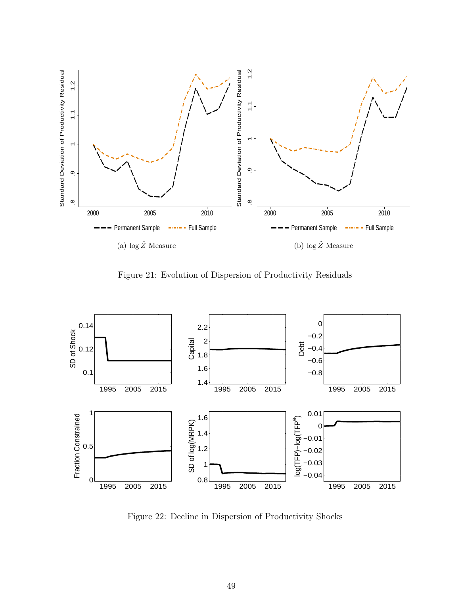

Figure 21: Evolution of Dispersion of Productivity Residuals

<span id="page-49-0"></span>

<span id="page-49-1"></span>Figure 22: Decline in Dispersion of Productivity Shocks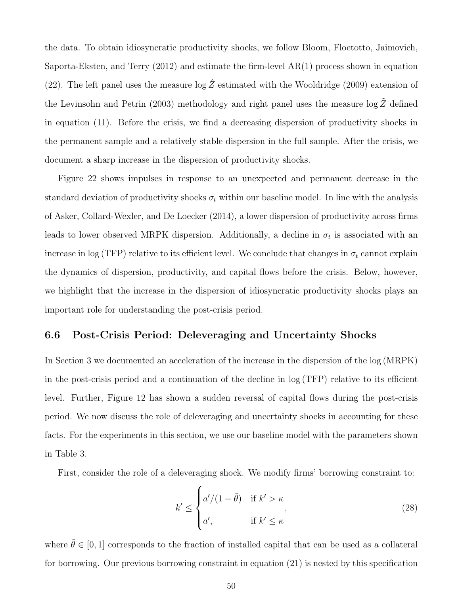the data. To obtain idiosyncratic productivity shocks, we follow [Bloom, Floetotto, Jaimovich,](#page-60-2) [Saporta-Eksten, and Terry](#page-60-2) [\(2012\)](#page-60-2) and estimate the firm-level AR(1) process shown in equation [\(22\)](#page-23-1). The left panel uses the measure  $\log \hat{Z}$  estimated with the [Wooldridge](#page-62-1) [\(2009\)](#page-62-1) extension of the [Levinsohn and Petrin](#page-61-2) [\(2003\)](#page-61-2) methodology and right panel uses the measure  $\log \tilde{Z}$  defined in equation [\(11\)](#page-16-0). Before the crisis, we find a decreasing dispersion of productivity shocks in the permanent sample and a relatively stable dispersion in the full sample. After the crisis, we document a sharp increase in the dispersion of productivity shocks.

Figure [22](#page-49-1) shows impulses in response to an unexpected and permanent decrease in the standard deviation of productivity shocks  $\sigma_t$  within our baseline model. In line with the analysis of [Asker, Collard-Wexler, and De Loecker](#page-59-1) [\(2014\)](#page-59-1), a lower dispersion of productivity across firms leads to lower observed MRPK dispersion. Additionally, a decline in  $\sigma_t$  is associated with an increase in log (TFP) relative to its efficient level. We conclude that changes in  $\sigma_t$  cannot explain the dynamics of dispersion, productivity, and capital flows before the crisis. Below, however, we highlight that the increase in the dispersion of idiosyncratic productivity shocks plays an important role for understanding the post-crisis period.

#### <span id="page-50-0"></span>6.6 Post-Crisis Period: Deleveraging and Uncertainty Shocks

In Section [3](#page-11-0) we documented an acceleration of the increase in the dispersion of the log (MRPK) in the post-crisis period and a continuation of the decline in log (TFP) relative to its efficient level. Further, Figure [12](#page-38-1) has shown a sudden reversal of capital flows during the post-crisis period. We now discuss the role of deleveraging and uncertainty shocks in accounting for these facts. For the experiments in this section, we use our baseline model with the parameters shown in Table [3.](#page-23-0)

First, consider the role of a deleveraging shock. We modify firms' borrowing constraint to:

$$
k' \leq \begin{cases} a'/(1-\tilde{\theta}) & \text{if } k' > \kappa \\ a', & \text{if } k' \leq \kappa \end{cases}
$$
 (28)

where  $\tilde{\theta} \in [0, 1]$  corresponds to the fraction of installed capital that can be used as a collateral for borrowing. Our previous borrowing constraint in equation [\(21\)](#page-22-0) is nested by this specification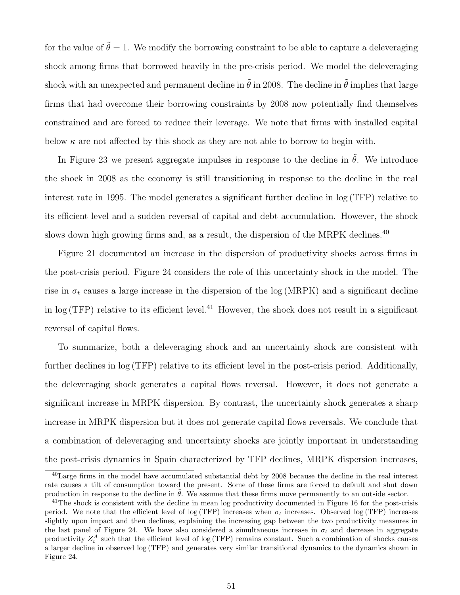for the value of  $\tilde{\theta} = 1$ . We modify the borrowing constraint to be able to capture a deleveraging shock among firms that borrowed heavily in the pre-crisis period. We model the deleveraging shock with an unexpected and permanent decline in  $\ddot{\theta}$  in 2008. The decline in  $\ddot{\theta}$  implies that large firms that had overcome their borrowing constraints by 2008 now potentially find themselves constrained and are forced to reduce their leverage. We note that firms with installed capital below  $\kappa$  are not affected by this shock as they are not able to borrow to begin with.

In Figure [23](#page-52-0) we present aggregate impulses in response to the decline in  $\tilde{\theta}$ . We introduce the shock in 2008 as the economy is still transitioning in response to the decline in the real interest rate in 1995. The model generates a significant further decline in log (TFP) relative to its efficient level and a sudden reversal of capital and debt accumulation. However, the shock slows down high growing firms and, as a result, the dispersion of the MRPK declines.<sup>[40](#page-51-0)</sup>

Figure [21](#page-49-0) documented an increase in the dispersion of productivity shocks across firms in the post-crisis period. Figure [24](#page-52-1) considers the role of this uncertainty shock in the model. The rise in  $\sigma_t$  causes a large increase in the dispersion of the log (MRPK) and a significant decline in  $log(TFP)$  relative to its efficient level.<sup>[41](#page-51-1)</sup> However, the shock does not result in a significant reversal of capital flows.

To summarize, both a deleveraging shock and an uncertainty shock are consistent with further declines in log (TFP) relative to its efficient level in the post-crisis period. Additionally, the deleveraging shock generates a capital flows reversal. However, it does not generate a significant increase in MRPK dispersion. By contrast, the uncertainty shock generates a sharp increase in MRPK dispersion but it does not generate capital flows reversals. We conclude that a combination of deleveraging and uncertainty shocks are jointly important in understanding the post-crisis dynamics in Spain characterized by TFP declines, MRPK dispersion increases,

<span id="page-51-0"></span><sup>40</sup>Large firms in the model have accumulated substantial debt by 2008 because the decline in the real interest rate causes a tilt of consumption toward the present. Some of these firms are forced to default and shut down production in response to the decline in  $\theta$ . We assume that these firms move permanently to an outside sector.

<span id="page-51-1"></span> $^{41}$ The shock is consistent with the decline in mean log productivity documented in Figure [16](#page-43-0) for the post-crisis period. We note that the efficient level of log (TFP) increases when  $\sigma_t$  increases. Observed log (TFP) increases slightly upon impact and then declines, explaining the increasing gap between the two productivity measures in the last panel of Figure [24.](#page-52-1) We have also considered a simultaneous increase in  $\sigma_t$  and decrease in aggregate productivity  $Z_t^A$  such that the efficient level of log (TFP) remains constant. Such a combination of shocks causes a larger decline in observed log (TFP) and generates very similar transitional dynamics to the dynamics shown in Figure [24.](#page-52-1)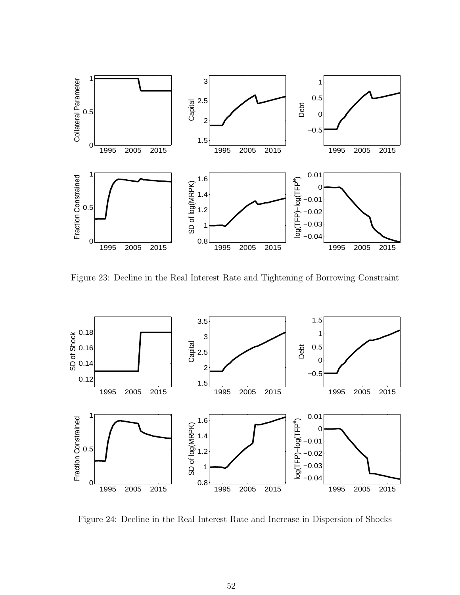

<span id="page-52-0"></span>Figure 23: Decline in the Real Interest Rate and Tightening of Borrowing Constraint



<span id="page-52-1"></span>Figure 24: Decline in the Real Interest Rate and Increase in Dispersion of Shocks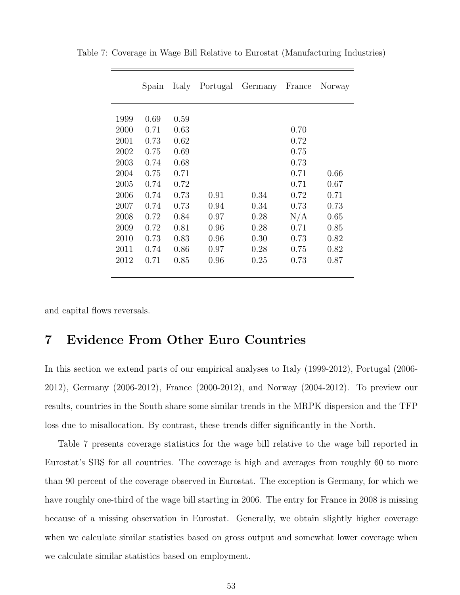|      | Spain | Italy | Portugal | Germany | France | Norway |
|------|-------|-------|----------|---------|--------|--------|
|      |       |       |          |         |        |        |
| 1999 | 0.69  | 0.59  |          |         |        |        |
| 2000 | 0.71  | 0.63  |          |         | 0.70   |        |
| 2001 | 0.73  | 0.62  |          |         | 0.72   |        |
| 2002 | 0.75  | 0.69  |          |         | 0.75   |        |
| 2003 | 0.74  | 0.68  |          |         | 0.73   |        |
| 2004 | 0.75  | 0.71  |          |         | 0.71   | 0.66   |
| 2005 | 0.74  | 0.72  |          |         | 0.71   | 0.67   |
| 2006 | 0.74  | 0.73  | 0.91     | 0.34    | 0.72   | 0.71   |
| 2007 | 0.74  | 0.73  | 0.94     | 0.34    | 0.73   | 0.73   |
| 2008 | 0.72  | 0.84  | 0.97     | 0.28    | N/A    | 0.65   |
| 2009 | 0.72  | 0.81  | 0.96     | 0.28    | 0.71   | 0.85   |
| 2010 | 0.73  | 0.83  | 0.96     | 0.30    | 0.73   | 0.82   |
| 2011 | 0.74  | 0.86  | 0.97     | 0.28    | 0.75   | 0.82   |
| 2012 | 0.71  | 0.85  | 0.96     | 0.25    | 0.73   | 0.87   |
|      |       |       |          |         |        |        |

<span id="page-53-0"></span>Table 7: Coverage in Wage Bill Relative to Eurostat (Manufacturing Industries)

and capital flows reversals.

# 7 Evidence From Other Euro Countries

In this section we extend parts of our empirical analyses to Italy (1999-2012), Portugal (2006- 2012), Germany (2006-2012), France (2000-2012), and Norway (2004-2012). To preview our results, countries in the South share some similar trends in the MRPK dispersion and the TFP loss due to misallocation. By contrast, these trends differ significantly in the North.

Table [7](#page-53-0) presents coverage statistics for the wage bill relative to the wage bill reported in Eurostat's SBS for all countries. The coverage is high and averages from roughly 60 to more than 90 percent of the coverage observed in Eurostat. The exception is Germany, for which we have roughly one-third of the wage bill starting in 2006. The entry for France in 2008 is missing because of a missing observation in Eurostat. Generally, we obtain slightly higher coverage when we calculate similar statistics based on gross output and somewhat lower coverage when we calculate similar statistics based on employment.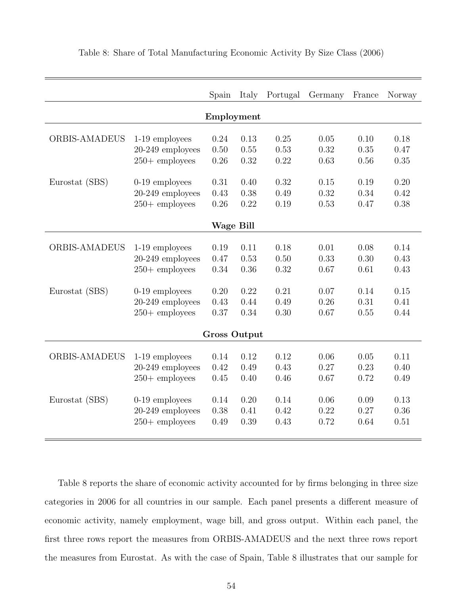|                      |                   | Spain               | Italy | Portugal | Germany | France | Norway |  |
|----------------------|-------------------|---------------------|-------|----------|---------|--------|--------|--|
| Employment           |                   |                     |       |          |         |        |        |  |
|                      |                   |                     |       |          |         |        |        |  |
| <b>ORBIS-AMADEUS</b> | 1-19 employees    | 0.24                | 0.13  | 0.25     | 0.05    | 0.10   | 0.18   |  |
|                      | 20-249 employees  | 0.50                | 0.55  | 0.53     | 0.32    | 0.35   | 0.47   |  |
|                      | $250 +$ employees | 0.26                | 0.32  | 0.22     | 0.63    | 0.56   | 0.35   |  |
| Eurostat (SBS)       | $0-19$ employees  | 0.31                | 0.40  | 0.32     | 0.15    | 0.19   | 0.20   |  |
|                      | 20-249 employees  | 0.43                | 0.38  | 0.49     | 0.32    | 0.34   | 0.42   |  |
|                      | $250 +$ employees | 0.26                | 0.22  | 0.19     | 0.53    | 0.47   | 0.38   |  |
|                      |                   |                     |       |          |         |        |        |  |
|                      |                   | <b>Wage Bill</b>    |       |          |         |        |        |  |
|                      |                   |                     |       |          |         |        |        |  |
| <b>ORBIS-AMADEUS</b> | 1-19 employees    | 0.19                | 0.11  | 0.18     | 0.01    | 0.08   | 0.14   |  |
|                      | 20-249 employees  | 0.47                | 0.53  | 0.50     | 0.33    | 0.30   | 0.43   |  |
|                      | $250 +$ employees | 0.34                | 0.36  | 0.32     | 0.67    | 0.61   | 0.43   |  |
| Eurostat (SBS)       | $0-19$ employees  | 0.20                | 0.22  | 0.21     | 0.07    | 0.14   | 0.15   |  |
|                      | 20-249 employees  | 0.43                | 0.44  | 0.49     | 0.26    | 0.31   | 0.41   |  |
|                      | $250 +$ employees | 0.37                | 0.34  | 0.30     | 0.67    | 0.55   | 0.44   |  |
|                      |                   | <b>Gross Output</b> |       |          |         |        |        |  |
|                      |                   |                     |       |          |         |        |        |  |
| <b>ORBIS-AMADEUS</b> | 1-19 employees    | 0.14                | 0.12  | 0.12     | 0.06    | 0.05   | 0.11   |  |
|                      | 20-249 employees  | 0.42                | 0.49  | 0.43     | 0.27    | 0.23   | 0.40   |  |
|                      | $250 +$ employees | 0.45                | 0.40  | 0.46     | 0.67    | 0.72   | 0.49   |  |
|                      |                   |                     |       |          |         |        |        |  |
| Eurostat (SBS)       | $0-19$ employees  | 0.14                | 0.20  | 0.14     | 0.06    | 0.09   | 0.13   |  |
|                      | 20-249 employees  | 0.38                | 0.41  | 0.42     | 0.22    | 0.27   | 0.36   |  |
|                      | $250 +$ employees | 0.49                | 0.39  | 0.43     | 0.72    | 0.64   | 0.51   |  |
|                      |                   |                     |       |          |         |        |        |  |

<span id="page-54-0"></span>Table 8: Share of Total Manufacturing Economic Activity By Size Class (2006)

Table [8](#page-54-0) reports the share of economic activity accounted for by firms belonging in three size categories in 2006 for all countries in our sample. Each panel presents a different measure of economic activity, namely employment, wage bill, and gross output. Within each panel, the first three rows report the measures from ORBIS-AMADEUS and the next three rows report the measures from Eurostat. As with the case of Spain, Table [8](#page-54-0) illustrates that our sample for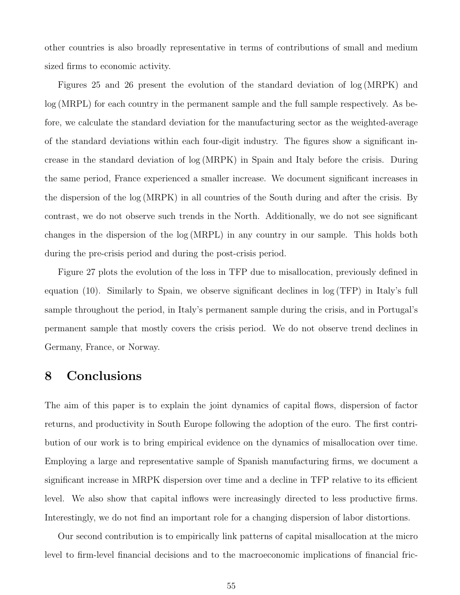other countries is also broadly representative in terms of contributions of small and medium sized firms to economic activity.

Figures [25](#page-56-0) and [26](#page-57-0) present the evolution of the standard deviation of log (MRPK) and log (MRPL) for each country in the permanent sample and the full sample respectively. As before, we calculate the standard deviation for the manufacturing sector as the weighted-average of the standard deviations within each four-digit industry. The figures show a significant increase in the standard deviation of log (MRPK) in Spain and Italy before the crisis. During the same period, France experienced a smaller increase. We document significant increases in the dispersion of the log (MRPK) in all countries of the South during and after the crisis. By contrast, we do not observe such trends in the North. Additionally, we do not see significant changes in the dispersion of the log (MRPL) in any country in our sample. This holds both during the pre-crisis period and during the post-crisis period.

Figure [27](#page-58-0) plots the evolution of the loss in TFP due to misallocation, previously defined in equation [\(10\)](#page-16-1). Similarly to Spain, we observe significant declines in log (TFP) in Italy's full sample throughout the period, in Italy's permanent sample during the crisis, and in Portugal's permanent sample that mostly covers the crisis period. We do not observe trend declines in Germany, France, or Norway.

### 8 Conclusions

The aim of this paper is to explain the joint dynamics of capital flows, dispersion of factor returns, and productivity in South Europe following the adoption of the euro. The first contribution of our work is to bring empirical evidence on the dynamics of misallocation over time. Employing a large and representative sample of Spanish manufacturing firms, we document a significant increase in MRPK dispersion over time and a decline in TFP relative to its efficient level. We also show that capital inflows were increasingly directed to less productive firms. Interestingly, we do not find an important role for a changing dispersion of labor distortions.

Our second contribution is to empirically link patterns of capital misallocation at the micro level to firm-level financial decisions and to the macroeconomic implications of financial fric-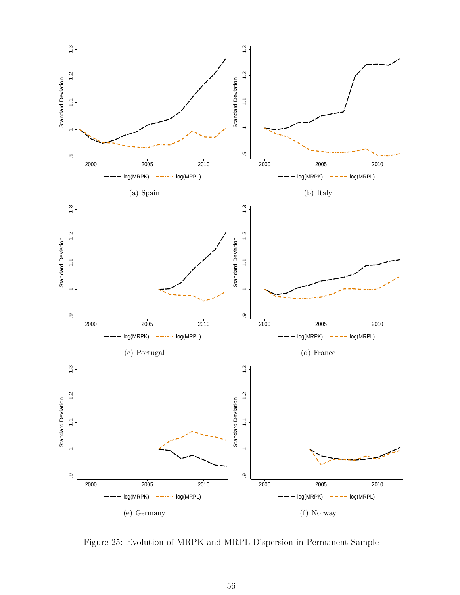

<span id="page-56-0"></span>Figure 25: Evolution of MRPK and MRPL Dispersion in Permanent Sample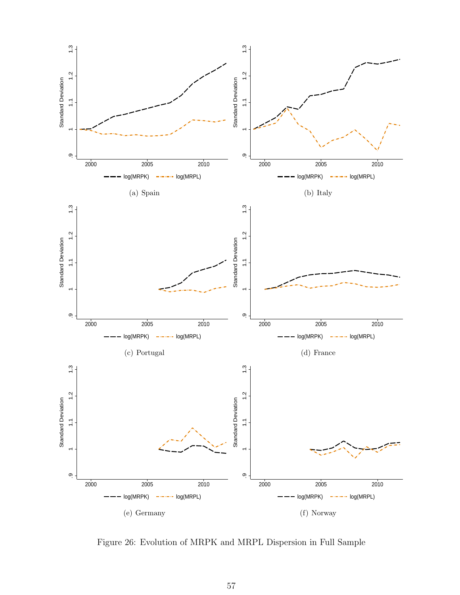

<span id="page-57-0"></span>Figure 26: Evolution of MRPK and MRPL Dispersion in Full Sample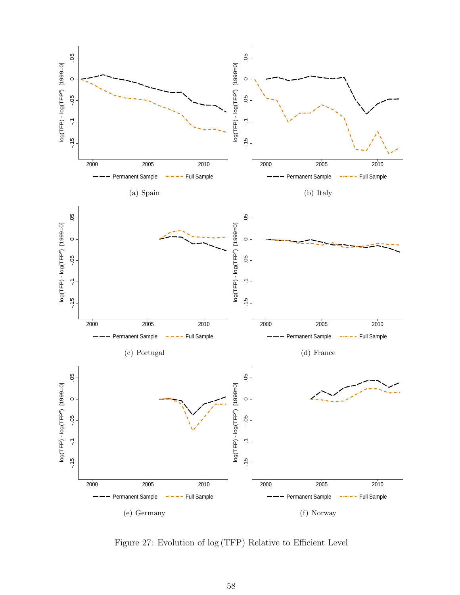

<span id="page-58-0"></span>Figure 27: Evolution of log (TFP) Relative to Efficient Level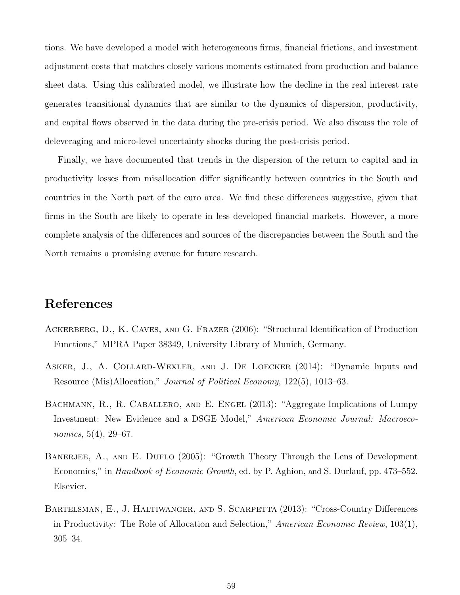tions. We have developed a model with heterogeneous firms, financial frictions, and investment adjustment costs that matches closely various moments estimated from production and balance sheet data. Using this calibrated model, we illustrate how the decline in the real interest rate generates transitional dynamics that are similar to the dynamics of dispersion, productivity, and capital flows observed in the data during the pre-crisis period. We also discuss the role of deleveraging and micro-level uncertainty shocks during the post-crisis period.

Finally, we have documented that trends in the dispersion of the return to capital and in productivity losses from misallocation differ significantly between countries in the South and countries in the North part of the euro area. We find these differences suggestive, given that firms in the South are likely to operate in less developed financial markets. However, a more complete analysis of the differences and sources of the discrepancies between the South and the North remains a promising avenue for future research.

# References

- Ackerberg, D., K. Caves, and G. Frazer (2006): "Structural Identification of Production Functions," MPRA Paper 38349, University Library of Munich, Germany.
- <span id="page-59-1"></span>ASKER, J., A. COLLARD-WEXLER, AND J. DE LOECKER (2014): "Dynamic Inputs and Resource (Mis)Allocation," Journal of Political Economy, 122(5), 1013–63.
- BACHMANN, R., R. CABALLERO, AND E. ENGEL (2013): "Aggregate Implications of Lumpy Investment: New Evidence and a DSGE Model," American Economic Journal: Macroeconomics, 5(4), 29–67.
- BANERJEE, A., AND E. DUFLO (2005): "Growth Theory Through the Lens of Development Economics," in *Handbook of Economic Growth*, ed. by P. Aghion, and S. Durlauf, pp. 473–552. Elsevier.
- <span id="page-59-0"></span>BARTELSMAN, E., J. HALTIWANGER, AND S. SCARPETTA (2013): "Cross-Country Differences in Productivity: The Role of Allocation and Selection," American Economic Review, 103(1), 305–34.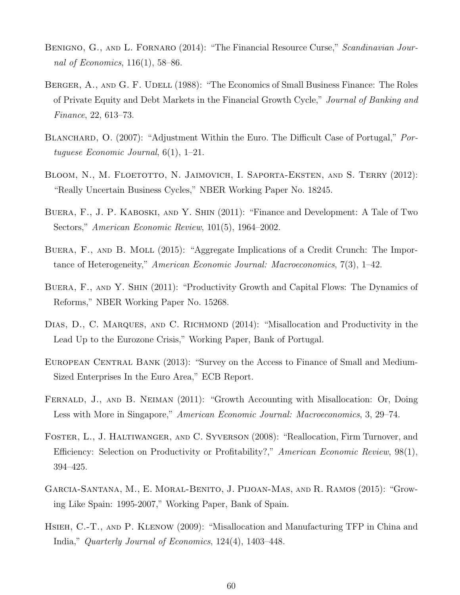- BENIGNO, G., AND L. FORNARO (2014): "The Financial Resource Curse," Scandinavian Journal of Economics, 116(1), 58–86.
- BERGER, A., AND G. F. UDELL (1988): "The Economics of Small Business Finance: The Roles of Private Equity and Debt Markets in the Financial Growth Cycle," Journal of Banking and Finance, 22, 613–73.
- BLANCHARD, O. (2007): "Adjustment Within the Euro. The Difficult Case of Portugal," Portuguese Economic Journal, 6(1), 1–21.
- <span id="page-60-2"></span>BLOOM, N., M. FLOETOTTO, N. JAIMOVICH, I. SAPORTA-EKSTEN, AND S. TERRY (2012): "Really Uncertain Business Cycles," NBER Working Paper No. 18245.
- <span id="page-60-1"></span>Buera, F., J. P. Kaboski, and Y. Shin (2011): "Finance and Development: A Tale of Two Sectors," American Economic Review, 101(5), 1964–2002.
- <span id="page-60-0"></span>Buera, F., and B. Moll (2015): "Aggregate Implications of a Credit Crunch: The Importance of Heterogeneity," American Economic Journal: Macroeconomics, 7(3), 1–42.
- Buera, F., and Y. Shin (2011): "Productivity Growth and Capital Flows: The Dynamics of Reforms," NBER Working Paper No. 15268.
- DIAS, D., C. MARQUES, AND C. RICHMOND (2014): "Misallocation and Productivity in the Lead Up to the Eurozone Crisis," Working Paper, Bank of Portugal.
- EUROPEAN CENTRAL BANK (2013): "Survey on the Access to Finance of Small and Medium-Sized Enterprises In the Euro Area," ECB Report.
- FERNALD, J., AND B. NEIMAN (2011): "Growth Accounting with Misallocation: Or, Doing Less with More in Singapore," American Economic Journal: Macroeconomics, 3, 29–74.
- Foster, L., J. Haltiwanger, and C. Syverson (2008): "Reallocation, Firm Turnover, and Efficiency: Selection on Productivity or Profitability?," American Economic Review, 98(1), 394–425.
- Garcia-Santana, M., E. Moral-Benito, J. Pijoan-Mas, and R. Ramos (2015): "Growing Like Spain: 1995-2007," Working Paper, Bank of Spain.
- Hsieh, C.-T., and P. Klenow (2009): "Misallocation and Manufacturing TFP in China and India," Quarterly Journal of Economics, 124(4), 1403–448.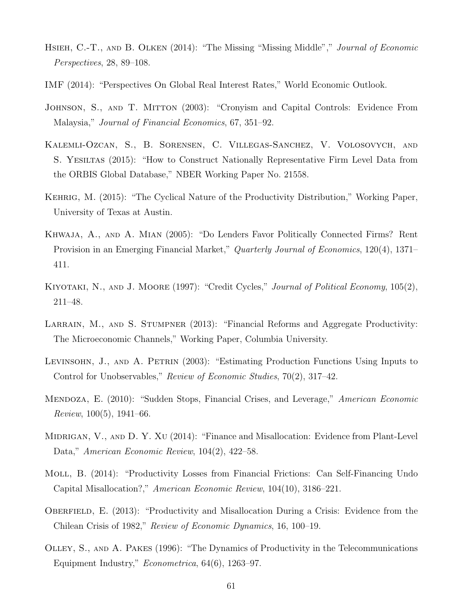- HSIEH, C.-T., AND B. OLKEN (2014): "The Missing "Missing Middle"," Journal of Economic Perspectives, 28, 89–108.
- IMF (2014): "Perspectives On Global Real Interest Rates," World Economic Outlook.
- JOHNSON, S., AND T. MITTON (2003): "Cronyism and Capital Controls: Evidence From Malaysia," Journal of Financial Economics, 67, 351–92.
- Kalemli-Ozcan, S., B. Sorensen, C. Villegas-Sanchez, V. Volosovych, and S. Yesiltas (2015): "How to Construct Nationally Representative Firm Level Data from the ORBIS Global Database," NBER Working Paper No. 21558.
- Kehrig, M. (2015): "The Cyclical Nature of the Productivity Distribution," Working Paper, University of Texas at Austin.
- Khwaja, A., and A. Mian (2005): "Do Lenders Favor Politically Connected Firms? Rent Provision in an Emerging Financial Market," *Quarterly Journal of Economics*, 120(4), 1371– 411.
- KIYOTAKI, N., AND J. MOORE (1997): "Credit Cycles," Journal of Political Economy, 105(2), 211–48.
- LARRAIN, M., AND S. STUMPNER (2013): "Financial Reforms and Aggregate Productivity: The Microeconomic Channels," Working Paper, Columbia University.
- <span id="page-61-2"></span>LEVINSOHN, J., AND A. PETRIN (2003): "Estimating Production Functions Using Inputs to Control for Unobservables," Review of Economic Studies, 70(2), 317–42.
- Mendoza, E. (2010): "Sudden Stops, Financial Crises, and Leverage," American Economic *Review*,  $100(5)$ ,  $1941-66$ .
- <span id="page-61-0"></span>MIDRIGAN, V., AND D. Y. XU (2014): "Finance and Misallocation: Evidence from Plant-Level Data," American Economic Review, 104(2), 422–58.
- <span id="page-61-1"></span>Moll, B. (2014): "Productivity Losses from Financial Frictions: Can Self-Financing Undo Capital Misallocation?," American Economic Review, 104(10), 3186–221.
- OBERFIELD, E. (2013): "Productivity and Misallocation During a Crisis: Evidence from the Chilean Crisis of 1982," Review of Economic Dynamics, 16, 100–19.
- Olley, S., and A. Pakes (1996): "The Dynamics of Productivity in the Telecommunications Equipment Industry," Econometrica, 64(6), 1263–97.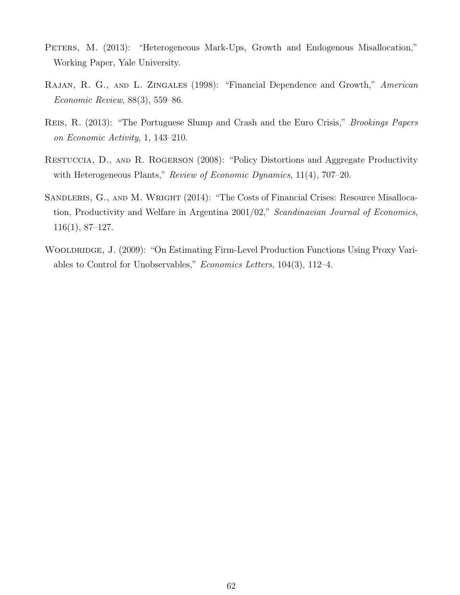- PETERS, M. (2013): "Heterogeneous Mark-Ups, Growth and Endogenous Misallocation," Working Paper, Yale University.
- <span id="page-62-0"></span>RAJAN, R. G., AND L. ZINGALES (1998): "Financial Dependence and Growth," American Economic Review, 88(3), 559–86.
- Reis, R. (2013): "The Portuguese Slump and Crash and the Euro Crisis," Brookings Papers on Economic Activity, 1, 143–210.
- Restuccia, D., and R. Rogerson (2008): "Policy Distortions and Aggregate Productivity with Heterogeneous Plants," Review of Economic Dynamics, 11(4), 707–20.
- SANDLERIS, G., AND M. WRIGHT (2014): "The Costs of Financial Crises: Resource Misallocation, Productivity and Welfare in Argentina 2001/02," Scandinavian Journal of Economics, 116(1), 87–127.
- <span id="page-62-1"></span>WOOLDRIDGE, J. (2009): "On Estimating Firm-Level Production Functions Using Proxy Variables to Control for Unobservables," Economics Letters, 104(3), 112–4.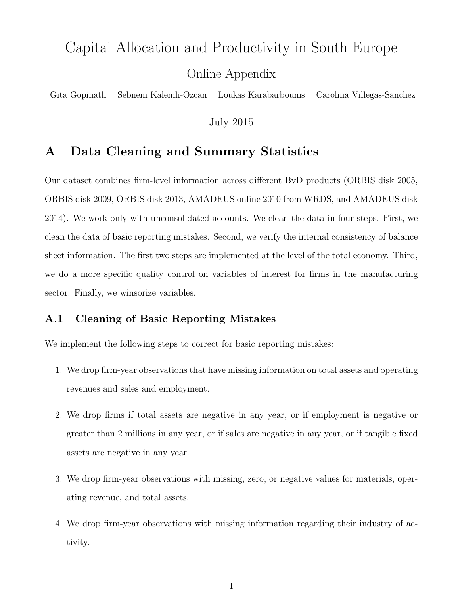# Capital Allocation and Productivity in South Europe Online Appendix

Gita Gopinath Sebnem Kalemli-Ozcan Loukas Karabarbounis Carolina Villegas-Sanchez

July 2015

# A Data Cleaning and Summary Statistics

Our dataset combines firm-level information across different BvD products (ORBIS disk 2005, ORBIS disk 2009, ORBIS disk 2013, AMADEUS online 2010 from WRDS, and AMADEUS disk 2014). We work only with unconsolidated accounts. We clean the data in four steps. First, we clean the data of basic reporting mistakes. Second, we verify the internal consistency of balance sheet information. The first two steps are implemented at the level of the total economy. Third, we do a more specific quality control on variables of interest for firms in the manufacturing sector. Finally, we winsorize variables.

### A.1 Cleaning of Basic Reporting Mistakes

We implement the following steps to correct for basic reporting mistakes:

- 1. We drop firm-year observations that have missing information on total assets and operating revenues and sales and employment.
- 2. We drop firms if total assets are negative in any year, or if employment is negative or greater than 2 millions in any year, or if sales are negative in any year, or if tangible fixed assets are negative in any year.
- 3. We drop firm-year observations with missing, zero, or negative values for materials, operating revenue, and total assets.
- 4. We drop firm-year observations with missing information regarding their industry of activity.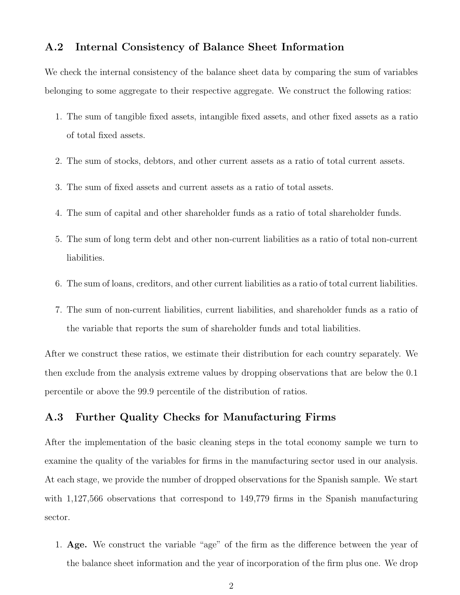### A.2 Internal Consistency of Balance Sheet Information

We check the internal consistency of the balance sheet data by comparing the sum of variables belonging to some aggregate to their respective aggregate. We construct the following ratios:

- 1. The sum of tangible fixed assets, intangible fixed assets, and other fixed assets as a ratio of total fixed assets.
- 2. The sum of stocks, debtors, and other current assets as a ratio of total current assets.
- 3. The sum of fixed assets and current assets as a ratio of total assets.
- 4. The sum of capital and other shareholder funds as a ratio of total shareholder funds.
- 5. The sum of long term debt and other non-current liabilities as a ratio of total non-current liabilities.
- 6. The sum of loans, creditors, and other current liabilities as a ratio of total current liabilities.
- 7. The sum of non-current liabilities, current liabilities, and shareholder funds as a ratio of the variable that reports the sum of shareholder funds and total liabilities.

After we construct these ratios, we estimate their distribution for each country separately. We then exclude from the analysis extreme values by dropping observations that are below the 0.1 percentile or above the 99.9 percentile of the distribution of ratios.

### A.3 Further Quality Checks for Manufacturing Firms

After the implementation of the basic cleaning steps in the total economy sample we turn to examine the quality of the variables for firms in the manufacturing sector used in our analysis. At each stage, we provide the number of dropped observations for the Spanish sample. We start with 1,127,566 observations that correspond to 149,779 firms in the Spanish manufacturing sector.

1. Age. We construct the variable "age" of the firm as the difference between the year of the balance sheet information and the year of incorporation of the firm plus one. We drop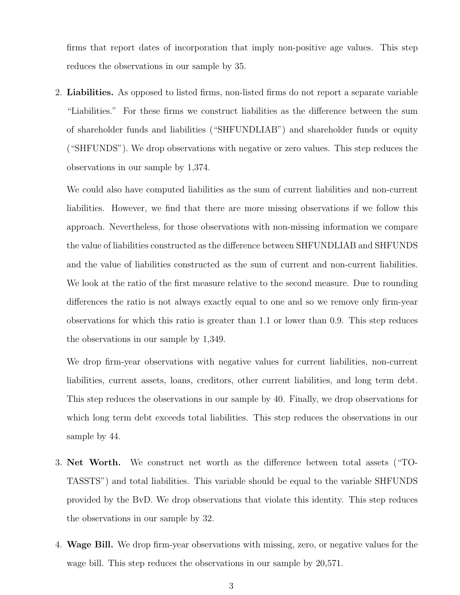firms that report dates of incorporation that imply non-positive age values. This step reduces the observations in our sample by 35.

2. Liabilities. As opposed to listed firms, non-listed firms do not report a separate variable "Liabilities." For these firms we construct liabilities as the difference between the sum of shareholder funds and liabilities ("SHFUNDLIAB") and shareholder funds or equity ("SHFUNDS"). We drop observations with negative or zero values. This step reduces the observations in our sample by 1,374.

We could also have computed liabilities as the sum of current liabilities and non-current liabilities. However, we find that there are more missing observations if we follow this approach. Nevertheless, for those observations with non-missing information we compare the value of liabilities constructed as the difference between SHFUNDLIAB and SHFUNDS and the value of liabilities constructed as the sum of current and non-current liabilities. We look at the ratio of the first measure relative to the second measure. Due to rounding differences the ratio is not always exactly equal to one and so we remove only firm-year observations for which this ratio is greater than 1.1 or lower than 0.9. This step reduces the observations in our sample by 1,349.

We drop firm-year observations with negative values for current liabilities, non-current liabilities, current assets, loans, creditors, other current liabilities, and long term debt. This step reduces the observations in our sample by 40. Finally, we drop observations for which long term debt exceeds total liabilities. This step reduces the observations in our sample by 44.

- 3. Net Worth. We construct net worth as the difference between total assets ("TO-TASSTS") and total liabilities. This variable should be equal to the variable SHFUNDS provided by the BvD. We drop observations that violate this identity. This step reduces the observations in our sample by 32.
- 4. Wage Bill. We drop firm-year observations with missing, zero, or negative values for the wage bill. This step reduces the observations in our sample by 20,571.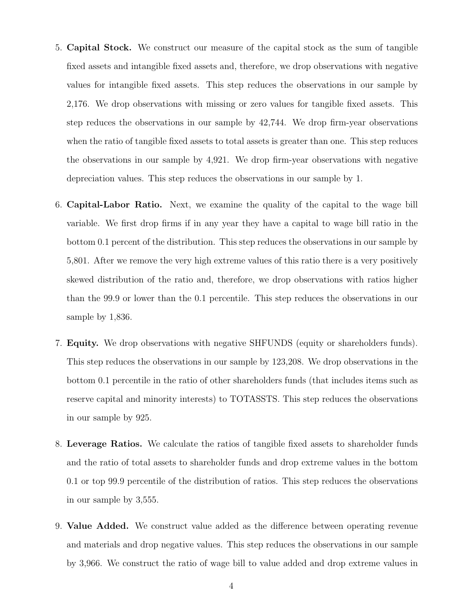- 5. Capital Stock. We construct our measure of the capital stock as the sum of tangible fixed assets and intangible fixed assets and, therefore, we drop observations with negative values for intangible fixed assets. This step reduces the observations in our sample by 2,176. We drop observations with missing or zero values for tangible fixed assets. This step reduces the observations in our sample by 42,744. We drop firm-year observations when the ratio of tangible fixed assets to total assets is greater than one. This step reduces the observations in our sample by 4,921. We drop firm-year observations with negative depreciation values. This step reduces the observations in our sample by 1.
- 6. Capital-Labor Ratio. Next, we examine the quality of the capital to the wage bill variable. We first drop firms if in any year they have a capital to wage bill ratio in the bottom 0.1 percent of the distribution. This step reduces the observations in our sample by 5,801. After we remove the very high extreme values of this ratio there is a very positively skewed distribution of the ratio and, therefore, we drop observations with ratios higher than the 99.9 or lower than the 0.1 percentile. This step reduces the observations in our sample by 1,836.
- 7. Equity. We drop observations with negative SHFUNDS (equity or shareholders funds). This step reduces the observations in our sample by 123,208. We drop observations in the bottom 0.1 percentile in the ratio of other shareholders funds (that includes items such as reserve capital and minority interests) to TOTASSTS. This step reduces the observations in our sample by 925.
- 8. Leverage Ratios. We calculate the ratios of tangible fixed assets to shareholder funds and the ratio of total assets to shareholder funds and drop extreme values in the bottom 0.1 or top 99.9 percentile of the distribution of ratios. This step reduces the observations in our sample by 3,555.
- 9. Value Added. We construct value added as the difference between operating revenue and materials and drop negative values. This step reduces the observations in our sample by 3,966. We construct the ratio of wage bill to value added and drop extreme values in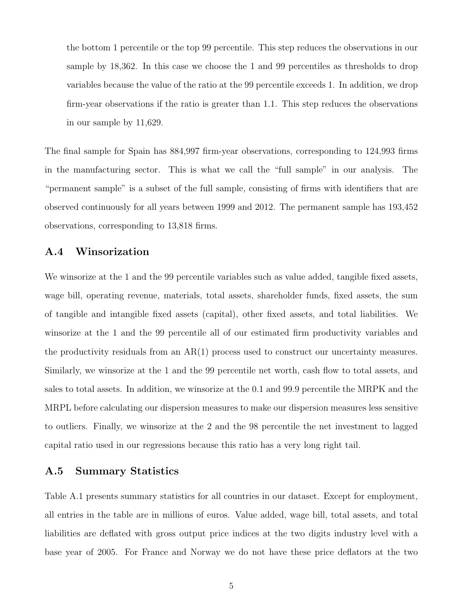the bottom 1 percentile or the top 99 percentile. This step reduces the observations in our sample by 18,362. In this case we choose the 1 and 99 percentiles as thresholds to drop variables because the value of the ratio at the 99 percentile exceeds 1. In addition, we drop firm-year observations if the ratio is greater than 1.1. This step reduces the observations in our sample by 11,629.

The final sample for Spain has 884,997 firm-year observations, corresponding to 124,993 firms in the manufacturing sector. This is what we call the "full sample" in our analysis. The "permanent sample" is a subset of the full sample, consisting of firms with identifiers that are observed continuously for all years between 1999 and 2012. The permanent sample has 193,452 observations, corresponding to 13,818 firms.

### A.4 Winsorization

We winsorize at the 1 and the 99 percentile variables such as value added, tangible fixed assets, wage bill, operating revenue, materials, total assets, shareholder funds, fixed assets, the sum of tangible and intangible fixed assets (capital), other fixed assets, and total liabilities. We winsorize at the 1 and the 99 percentile all of our estimated firm productivity variables and the productivity residuals from an  $AR(1)$  process used to construct our uncertainty measures. Similarly, we winsorize at the 1 and the 99 percentile net worth, cash flow to total assets, and sales to total assets. In addition, we winsorize at the 0.1 and 99.9 percentile the MRPK and the MRPL before calculating our dispersion measures to make our dispersion measures less sensitive to outliers. Finally, we winsorize at the 2 and the 98 percentile the net investment to lagged capital ratio used in our regressions because this ratio has a very long right tail.

### A.5 Summary Statistics

Table [A.1](#page-8-0) presents summary statistics for all countries in our dataset. Except for employment, all entries in the table are in millions of euros. Value added, wage bill, total assets, and total liabilities are deflated with gross output price indices at the two digits industry level with a base year of 2005. For France and Norway we do not have these price deflators at the two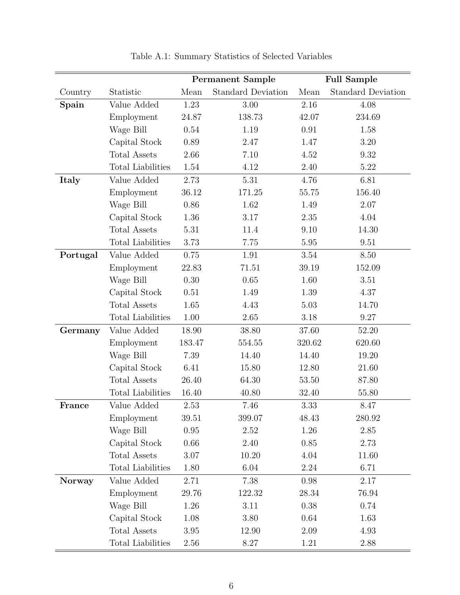|               |                          | <b>Permanent Sample</b> |                           | <b>Full Sample</b> |                           |  |
|---------------|--------------------------|-------------------------|---------------------------|--------------------|---------------------------|--|
| Country       | Statistic                | Mean                    | <b>Standard Deviation</b> | Mean               | <b>Standard Deviation</b> |  |
| Spain         | Value Added              | 1.23                    | 3.00                      | 2.16               | 4.08                      |  |
|               | Employment               | 24.87                   | 138.73                    | 42.07              | 234.69                    |  |
|               | Wage Bill                | 0.54                    | 1.19                      | 0.91               | 1.58                      |  |
|               | Capital Stock            | 0.89                    | 2.47                      | 1.47               | 3.20                      |  |
|               | <b>Total Assets</b>      | 2.66                    | 7.10                      | 4.52               | 9.32                      |  |
|               | <b>Total Liabilities</b> | 1.54                    | 4.12                      | 2.40               | 5.22                      |  |
| Italy         | Value Added              | 2.73                    | 5.31                      | 4.76               | 6.81                      |  |
|               | Employment               | 36.12                   | 171.25                    | 55.75              | 156.40                    |  |
|               | Wage Bill                | 0.86                    | 1.62                      | 1.49               | 2.07                      |  |
|               | Capital Stock            | 1.36                    | 3.17                      | 2.35               | 4.04                      |  |
|               | <b>Total Assets</b>      | 5.31                    | 11.4                      | 9.10               | 14.30                     |  |
|               | <b>Total Liabilities</b> | 3.73                    | 7.75                      | 5.95               | 9.51                      |  |
| Portugal      | Value Added              | 0.75                    | 1.91                      | $3.54\,$           | 8.50                      |  |
|               | Employment               | 22.83                   | 71.51                     | 39.19              | 152.09                    |  |
|               | Wage Bill                | 0.30                    | 0.65                      | 1.60               | 3.51                      |  |
|               | Capital Stock            | 0.51                    | 1.49                      | 1.39               | 4.37                      |  |
|               | <b>Total Assets</b>      | 1.65                    | 4.43                      | 5.03               | 14.70                     |  |
|               | Total Liabilities        | 1.00                    | 2.65                      | 3.18               | 9.27                      |  |
| Germany       | Value Added              | 18.90                   | 38.80                     | 37.60              | 52.20                     |  |
|               | Employment               | 183.47                  | 554.55                    | 320.62             | 620.60                    |  |
|               | Wage Bill                | 7.39                    | 14.40                     | 14.40              | 19.20                     |  |
|               | Capital Stock            | 6.41                    | 15.80                     | 12.80              | 21.60                     |  |
|               | <b>Total Assets</b>      | 26.40                   | 64.30                     | 53.50              | 87.80                     |  |
|               | Total Liabilities        | 16.40                   | 40.80                     | 32.40              | 55.80                     |  |
| France        | Value Added              | 2.53                    | 7.46                      | 3.33               | 8.47                      |  |
|               | Employment               | 39.51                   | 399.07                    | 48.43              | 280.92                    |  |
|               | Wage Bill                | 0.95                    | 2.52                      | 1.26               | 2.85                      |  |
|               | Capital Stock            | 0.66                    | 2.40                      | 0.85               | 2.73                      |  |
|               | <b>Total Assets</b>      | 3.07                    | 10.20                     | 4.04               | 11.60                     |  |
|               | Total Liabilities        | 1.80                    | 6.04                      | 2.24               | 6.71                      |  |
| <b>Norway</b> | Value Added              | 2.71                    | 7.38                      | 0.98               | 2.17                      |  |
|               | Employment               | 29.76                   | 122.32                    | 28.34              | 76.94                     |  |
|               | Wage Bill                | 1.26                    | $3.11\,$                  | 0.38               | 0.74                      |  |
|               | Capital Stock            | 1.08                    | 3.80                      | 0.64               | 1.63                      |  |
|               | Total Assets             | 3.95                    | 12.90                     | 2.09               | 4.93                      |  |
|               | Total Liabilities        | 2.56                    | 8.27                      | 1.21               | 2.88                      |  |

Table A.1: Summary Statistics of Selected Variables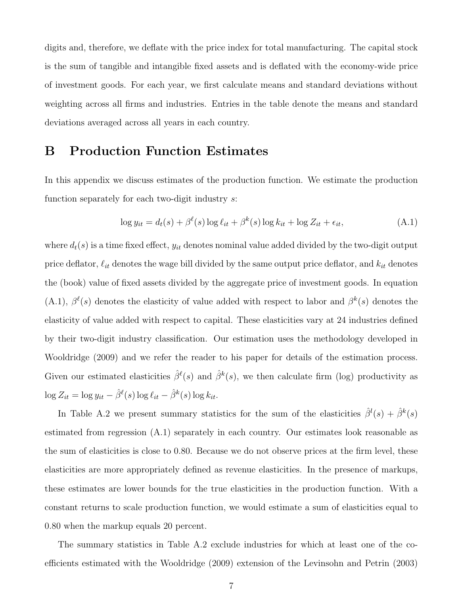digits and, therefore, we deflate with the price index for total manufacturing. The capital stock is the sum of tangible and intangible fixed assets and is deflated with the economy-wide price of investment goods. For each year, we first calculate means and standard deviations without weighting across all firms and industries. Entries in the table denote the means and standard deviations averaged across all years in each country.

## B Production Function Estimates

In this appendix we discuss estimates of the production function. We estimate the production function separately for each two-digit industry s:

<span id="page-69-0"></span>
$$
\log y_{it} = d_t(s) + \beta^{\ell}(s) \log \ell_{it} + \beta^k(s) \log k_{it} + \log Z_{it} + \epsilon_{it}, \tag{A.1}
$$

where  $d_t(s)$  is a time fixed effect,  $y_{it}$  denotes nominal value added divided by the two-digit output price deflator,  $\ell_{it}$  denotes the wage bill divided by the same output price deflator, and  $k_{it}$  denotes the (book) value of fixed assets divided by the aggregate price of investment goods. In equation [\(A.1\)](#page-69-0),  $\beta^{\ell}(s)$  denotes the elasticity of value added with respect to labor and  $\beta^{k}(s)$  denotes the elasticity of value added with respect to capital. These elasticities vary at 24 industries defined by their two-digit industry classification. Our estimation uses the methodology developed in [Wooldridge](#page-62-1) [\(2009\)](#page-62-1) and we refer the reader to his paper for details of the estimation process. Given our estimated elasticities  $\hat{\beta}^{\ell}(s)$  and  $\hat{\beta}^k(s)$ , we then calculate firm (log) productivity as  $\log Z_{it} = \log y_{it} - \hat{\beta}^{\ell}(s) \log \ell_{it} - \hat{\beta}^{k}(s) \log k_{it}.$ 

In Table [A.2](#page-10-0) we present summary statistics for the sum of the elasticities  $\hat{\beta}^l(s) + \hat{\beta}^k(s)$ estimated from regression [\(A.1\)](#page-69-0) separately in each country. Our estimates look reasonable as the sum of elasticities is close to 0.80. Because we do not observe prices at the firm level, these elasticities are more appropriately defined as revenue elasticities. In the presence of markups, these estimates are lower bounds for the true elasticities in the production function. With a constant returns to scale production function, we would estimate a sum of elasticities equal to 0.80 when the markup equals 20 percent.

The summary statistics in Table [A.2](#page-10-0) exclude industries for which at least one of the coefficients estimated with the [Wooldridge](#page-62-1) [\(2009\)](#page-62-1) extension of the [Levinsohn and Petrin](#page-61-2) [\(2003\)](#page-61-2)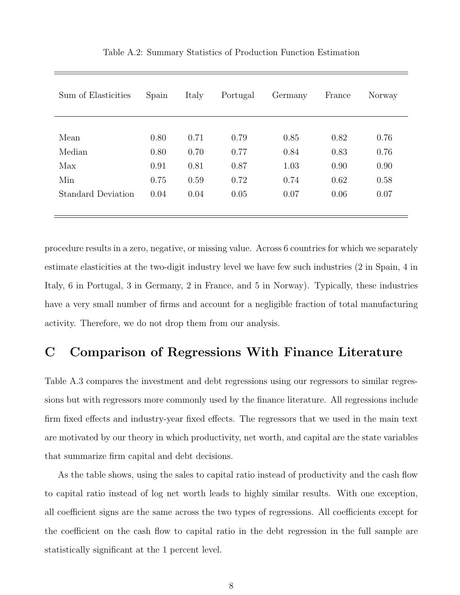| Sum of Elasticities       | Spain | Italy | Portugal | Germany | France | Norway |
|---------------------------|-------|-------|----------|---------|--------|--------|
|                           |       |       |          |         |        |        |
| Mean                      | 0.80  | 0.71  | 0.79     | 0.85    | 0.82   | 0.76   |
| Median                    | 0.80  | 0.70  | 0.77     | 0.84    | 0.83   | 0.76   |
| Max                       | 0.91  | 0.81  | 0.87     | 1.03    | 0.90   | 0.90   |
| Min                       | 0.75  | 0.59  | 0.72     | 0.74    | 0.62   | 0.58   |
| <b>Standard Deviation</b> | 0.04  | 0.04  | 0.05     | 0.07    | 0.06   | 0.07   |
|                           |       |       |          |         |        |        |

Table A.2: Summary Statistics of Production Function Estimation

procedure results in a zero, negative, or missing value. Across 6 countries for which we separately estimate elasticities at the two-digit industry level we have few such industries (2 in Spain, 4 in Italy, 6 in Portugal, 3 in Germany, 2 in France, and 5 in Norway). Typically, these industries have a very small number of firms and account for a negligible fraction of total manufacturing activity. Therefore, we do not drop them from our analysis.

# C Comparison of Regressions With Finance Literature

Table [A.3](#page-23-0) compares the investment and debt regressions using our regressors to similar regressions but with regressors more commonly used by the finance literature. All regressions include firm fixed effects and industry-year fixed effects. The regressors that we used in the main text are motivated by our theory in which productivity, net worth, and capital are the state variables that summarize firm capital and debt decisions.

As the table shows, using the sales to capital ratio instead of productivity and the cash flow to capital ratio instead of log net worth leads to highly similar results. With one exception, all coefficient signs are the same across the two types of regressions. All coefficients except for the coefficient on the cash flow to capital ratio in the debt regression in the full sample are statistically significant at the 1 percent level.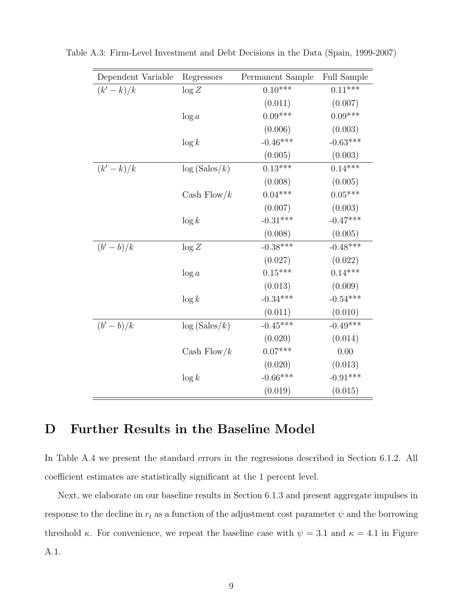| Dependent Variable | Regressors       | Permanent Sample | <b>Full Sample</b> |
|--------------------|------------------|------------------|--------------------|
| $(k'-k)/k$         | $\log Z$         | $0.10***$        | $0.11***$          |
|                    |                  | (0.011)          | (0.007)            |
|                    | $\log a$         | $0.09***$        | $0.09***$          |
|                    |                  | (0.006)          | (0.003)            |
|                    | $\log k$         | $-0.46***$       | $-0.63***$         |
|                    |                  | (0.005)          | (0.003)            |
| $(k'-k)/k$         | $\log (Sales/k)$ | $0.13***$        | $0.14***$          |
|                    |                  | (0.008)          | (0.005)            |
|                    | Cash Flow/ $k$   | $0.04***$        | $0.05***$          |
|                    |                  | (0.007)          | (0.003)            |
|                    | $\log k$         | $-0.31***$       | $-0.47***$         |
|                    |                  | (0.008)          | (0.005)            |
| $(b'-b)/k$         | $\log Z$         | $-0.38***$       | $-0.48***$         |
|                    |                  | (0.027)          | (0.022)            |
|                    | $\log a$         | $0.15***$        | $0.14***$          |
|                    |                  | (0.013)          | (0.009)            |
|                    | $\log k$         | $-0.34***$       | $-0.54***$         |
|                    |                  | (0.011)          | (0.010)            |
| $(b'-b)/k$         | log(Sales/k)     | $-0.45***$       | $-0.49***$         |
|                    |                  | (0.020)          | (0.014)            |
|                    | Cash Flow/ $k$   | $0.07***$        | 0.00               |
|                    |                  | (0.020)          | (0.013)            |
|                    | $\log k$         | $-0.66***$       | $-0.91***$         |
|                    |                  | (0.019)          | (0.015)            |

Table A.3: Firm-Level Investment and Debt Decisions in the Data (Spain, 1999-2007)

# <span id="page-71-0"></span>D Further Results in the Baseline Model

In Table [A.4](#page-27-0) we present the standard errors in the regressions described in Section [6.1.2.](#page-36-1) All coefficient estimates are statistically significant at the 1 percent level.

Next, we elaborate on our baseline results in Section [6.1.3](#page-37-2) and present aggregate impulses in response to the decline in  $r_t$  as a function of the adjustment cost parameter  $\psi$  and the borrowing threshold  $\kappa$ . For convenience, we repeat the baseline case with  $\psi = 3.1$  and  $\kappa = 4.1$  in Figure [A.1.](#page-9-0)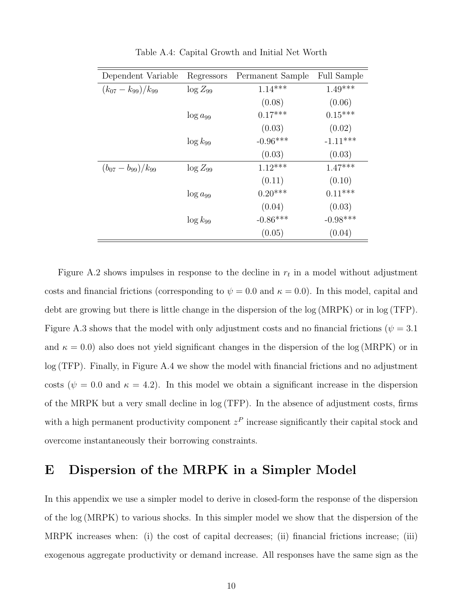| Dependent Variable         | Regressors    | Permanent Sample | <b>Full Sample</b> |  |
|----------------------------|---------------|------------------|--------------------|--|
| $(k_{07} - k_{99})/k_{99}$ | $\log Z_{99}$ | $1.14***$        | $1.49***$          |  |
|                            |               | (0.08)           | (0.06)             |  |
|                            | $\log a_{99}$ | $0.17***$        | $0.15***$          |  |
|                            |               | (0.03)           | (0.02)             |  |
|                            | $\log k_{99}$ | $-0.96***$       | $-1.11***$         |  |
|                            |               | (0.03)           | (0.03)             |  |
| $(b_{07}-b_{99})/k_{99}$   | $\log Z_{99}$ | $1.12***$        | $1.47***$          |  |
|                            |               | (0.11)           | (0.10)             |  |
|                            | $\log a_{99}$ | $0.20***$        | $0.11***$          |  |
|                            |               | (0.04)           | (0.03)             |  |
|                            | $\log k_{99}$ | $-0.86***$       | $-0.98***$         |  |
|                            |               | (0.05)           | (0.04)             |  |

Table A.4: Capital Growth and Initial Net Worth

Figure [A.2](#page-13-0) shows impulses in response to the decline in  $r_t$  in a model without adjustment costs and financial frictions (corresponding to  $\psi = 0.0$  and  $\kappa = 0.0$ ). In this model, capital and debt are growing but there is little change in the dispersion of the log (MRPK) or in log (TFP). Figure [A.3](#page-15-0) shows that the model with only adjustment costs and no financial frictions ( $\psi = 3.1$ ) and  $\kappa = 0.0$ ) also does not yield significant changes in the dispersion of the log (MRPK) or in log (TFP). Finally, in Figure [A.4](#page-17-0) we show the model with financial frictions and no adjustment costs ( $\psi = 0.0$  and  $\kappa = 4.2$ ). In this model we obtain a significant increase in the dispersion of the MRPK but a very small decline in log (TFP). In the absence of adjustment costs, firms with a high permanent productivity component  $z<sup>P</sup>$  increase significantly their capital stock and overcome instantaneously their borrowing constraints.

## <span id="page-72-0"></span>E Dispersion of the MRPK in a Simpler Model

In this appendix we use a simpler model to derive in closed-form the response of the dispersion of the log (MRPK) to various shocks. In this simpler model we show that the dispersion of the MRPK increases when: (i) the cost of capital decreases; (ii) financial frictions increase; (iii) exogenous aggregate productivity or demand increase. All responses have the same sign as the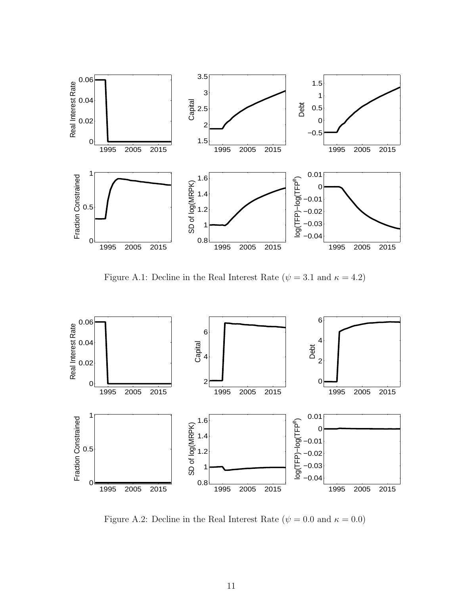

Figure A.1: Decline in the Real Interest Rate ( $\psi = 3.1$  and  $\kappa = 4.2$ )



Figure A.2: Decline in the Real Interest Rate ( $\psi = 0.0$  and  $\kappa = 0.0$ )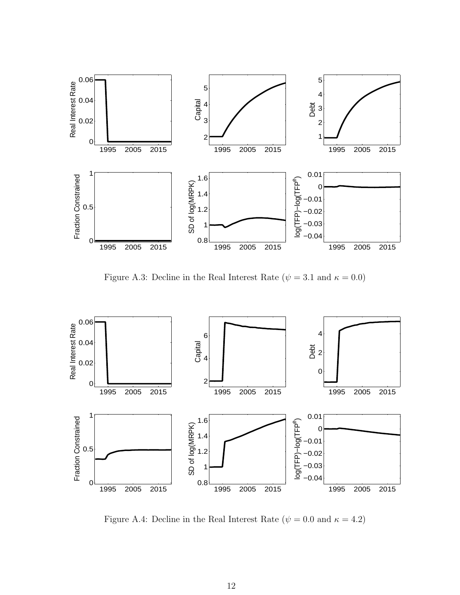

Figure A.3: Decline in the Real Interest Rate ( $\psi = 3.1$  and  $\kappa = 0.0$ )



Figure A.4: Decline in the Real Interest Rate  $(\psi = 0.0 \text{ and } \kappa = 4.2)$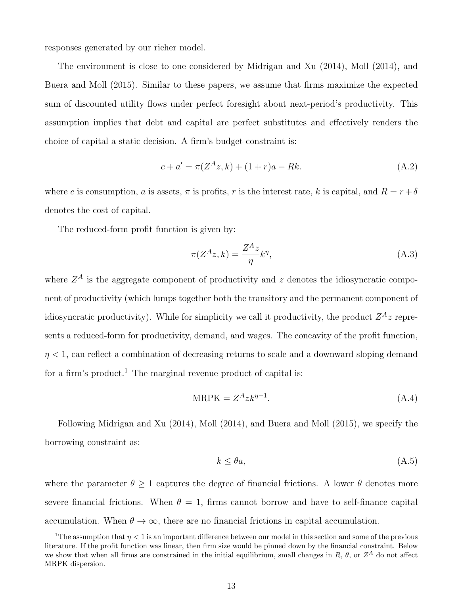responses generated by our richer model.

The environment is close to one considered by [Midrigan and Xu](#page-61-0) [\(2014\)](#page-61-0), [Moll](#page-61-1) [\(2014\)](#page-61-1), and [Buera and Moll](#page-60-0) [\(2015\)](#page-60-0). Similar to these papers, we assume that firms maximize the expected sum of discounted utility flows under perfect foresight about next-period's productivity. This assumption implies that debt and capital are perfect substitutes and effectively renders the choice of capital a static decision. A firm's budget constraint is:

$$
c + a' = \pi (Z^A z, k) + (1 + r)a - Rk.
$$
 (A.2)

where c is consumption, a is assets,  $\pi$  is profits, r is the interest rate, k is capital, and  $R = r + \delta$ denotes the cost of capital.

The reduced-form profit function is given by:

$$
\pi(Z^A z, k) = \frac{Z^A z}{\eta} k^{\eta},\tag{A.3}
$$

where  $Z^A$  is the aggregate component of productivity and z denotes the idiosyncratic component of productivity (which lumps together both the transitory and the permanent component of idiosyncratic productivity). While for simplicity we call it productivity, the product  $Z^A$  *z* represents a reduced-form for productivity, demand, and wages. The concavity of the profit function,  $\eta$  < 1, can reflect a combination of decreasing returns to scale and a downward sloping demand for a firm's product.<sup>[1](#page-75-0)</sup> The marginal revenue product of capital is:

$$
MRPK = Z^A z k^{\eta - 1}.
$$
\n(A.4)

Following [Midrigan and Xu](#page-61-0) [\(2014\)](#page-61-0), [Moll](#page-61-1) [\(2014\)](#page-61-1), and [Buera and Moll](#page-60-0) [\(2015\)](#page-60-0), we specify the borrowing constraint as:

$$
k \le \theta a,\tag{A.5}
$$

where the parameter  $\theta > 1$  captures the degree of financial frictions. A lower  $\theta$  denotes more severe financial frictions. When  $\theta = 1$ , firms cannot borrow and have to self-finance capital accumulation. When  $\theta \to \infty$ , there are no financial frictions in capital accumulation.

<span id="page-75-0"></span><sup>&</sup>lt;sup>1</sup>The assumption that  $\eta < 1$  is an important difference between our model in this section and some of the previous literature. If the profit function was linear, then firm size would be pinned down by the financial constraint. Below we show that when all firms are constrained in the initial equilibrium, small changes in  $R$ ,  $\theta$ , or  $Z^A$  do not affect MRPK dispersion.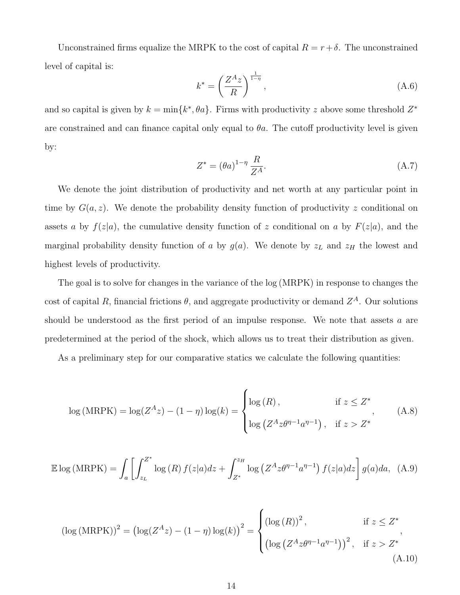Unconstrained firms equalize the MRPK to the cost of capital  $R = r + \delta$ . The unconstrained level of capital is:

$$
k^* = \left(\frac{Z^A z}{R}\right)^{\frac{1}{1-\eta}},\tag{A.6}
$$

and so capital is given by  $k = \min\{k^*, \theta a\}$ . Firms with productivity z above some threshold  $Z^*$ are constrained and can finance capital only equal to  $\theta a$ . The cutoff productivity level is given by:

$$
Z^* = (\theta a)^{1-\eta} \frac{R}{Z^A}.
$$
\n(A.7)

We denote the joint distribution of productivity and net worth at any particular point in time by  $G(a, z)$ . We denote the probability density function of productivity z conditional on assets a by  $f(z|a)$ , the cumulative density function of z conditional on a by  $F(z|a)$ , and the marginal probability density function of a by  $g(a)$ . We denote by  $z_L$  and  $z_H$  the lowest and highest levels of productivity.

The goal is to solve for changes in the variance of the log (MRPK) in response to changes the cost of capital R, financial frictions  $\theta$ , and aggregate productivity or demand  $Z^A$ . Our solutions should be understood as the first period of an impulse response. We note that assets a are predetermined at the period of the shock, which allows us to treat their distribution as given.

As a preliminary step for our comparative statics we calculate the following quantities:

$$
\log(\text{MRPK}) = \log(Z^A z) - (1 - \eta) \log(k) = \begin{cases} \log(R), & \text{if } z \le Z^* \\ \log\left(Z^A z \theta^{\eta - 1} a^{\eta - 1}\right), & \text{if } z > Z^* \end{cases} \tag{A.8}
$$

$$
\mathbb{E}\log(\text{MRPK}) = \int_{a} \left[ \int_{z_{L}}^{Z^*} \log(R) f(z|a) dz + \int_{Z^*}^{z_{H}} \log\left(Z^{A} z \theta^{\eta - 1} a^{\eta - 1}\right) f(z|a) dz \right] g(a) da, \quad (A.9)
$$

$$
(\log(\text{MRPK}))^2 = (\log(Z^A z) - (1 - \eta) \log(k))^2 = \begin{cases} (\log(R))^2, & \text{if } z \le Z^* \\ (\log(Z^A z \theta^{\eta - 1} a^{\eta - 1}))^2, & \text{if } z > Z^* \end{cases}
$$
\n(A.10)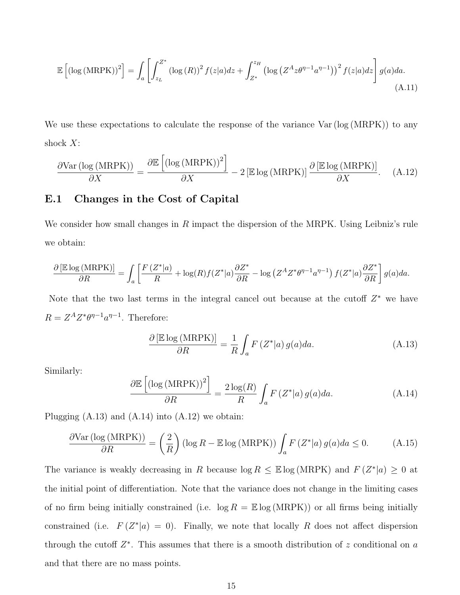$$
\mathbb{E}\left[\left(\log\left(\text{MRPK}\right)\right)^{2}\right] = \int_{a}\left[\int_{z_{L}}^{Z^{*}}\left(\log\left(R\right)\right)^{2}f(z|a)dz + \int_{Z^{*}}^{z_{H}}\left(\log\left(Z^{A}z\theta^{n-1}a^{n-1}\right)\right)^{2}f(z|a)dz\right]g(a)da.
$$
\n(A.11)

We use these expectations to calculate the response of the variance  $Var(log(MRPK))$  to any shock  $X$ :

<span id="page-77-2"></span>
$$
\frac{\partial \text{Var}(\log(\text{MRPK}))}{\partial X} = \frac{\partial \mathbb{E}\left[\left(\log(\text{MRPK})\right)^2\right]}{\partial X} - 2\left[\mathbb{E}\log(\text{MRPK})\right] \frac{\partial \left[\mathbb{E}\log(\text{MRPK})\right]}{\partial X}.
$$
 (A.12)

#### E.1 Changes in the Cost of Capital

We consider how small changes in R impact the dispersion of the MRPK. Using Leibniz's rule we obtain:

$$
\frac{\partial \left[\mathbb{E}\log\left(\text{MRPK}\right)\right]}{\partial R} = \int_a \left[\frac{F\left(Z^*\middle|a\right)}{R} + \log(R)f(Z^*\middle|a)\frac{\partial Z^*}{\partial R} - \log\left(Z^AZ^*\theta^{\eta-1}a^{\eta-1}\right)f(Z^*\middle|a\right)\frac{\partial Z^*}{\partial R}\right]g(a)da.
$$

Note that the two last terms in the integral cancel out because at the cutoff  $Z^*$  we have  $R = Z^A Z^* \theta^{\eta-1} a^{\eta-1}$ . Therefore:

<span id="page-77-0"></span>
$$
\frac{\partial \left[\mathbb{E}\log\left(\text{MRPK}\right)\right]}{\partial R} = \frac{1}{R} \int_{a} F\left(Z^*|a\right) g(a) da. \tag{A.13}
$$

Similarly:

<span id="page-77-1"></span>
$$
\frac{\partial \mathbb{E}\left[ \left( \log \left( \text{MRPK} \right) \right)^2 \right]}{\partial R} = \frac{2 \log(R)}{R} \int_a F\left(Z^*|a\right) g(a) da. \tag{A.14}
$$

Plugging  $(A.13)$  and  $(A.14)$  into  $(A.12)$  we obtain:

$$
\frac{\partial \text{Var}(\log(\text{MRPK}))}{\partial R} = \left(\frac{2}{R}\right) (\log R - \mathbb{E} \log(\text{MRPK})) \int_a F(Z^*|a) g(a) da \le 0. \tag{A.15}
$$

The variance is weakly decreasing in R because  $\log R \leq \mathbb{E} \log (\text{MRPK})$  and  $F(Z^*|a) \geq 0$  at the initial point of differentiation. Note that the variance does not change in the limiting cases of no firm being initially constrained (i.e.  $\log R = \mathbb{E} \log(\text{MRPK})$ ) or all firms being initially constrained (i.e.  $F(Z^*|a) = 0$ ). Finally, we note that locally R does not affect dispersion through the cutoff  $Z^*$ . This assumes that there is a smooth distribution of z conditional on a and that there are no mass points.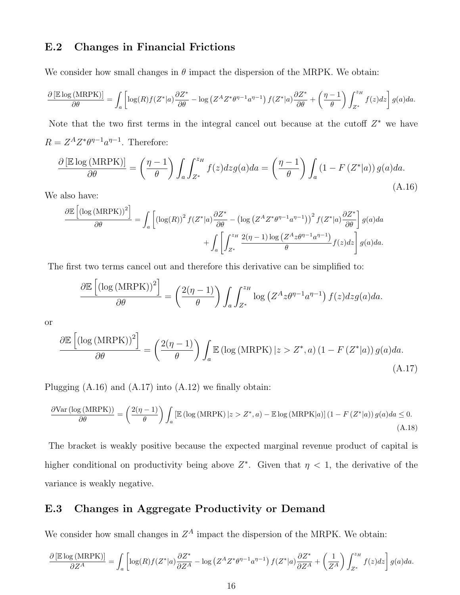### E.2 Changes in Financial Frictions

We consider how small changes in  $\theta$  impact the dispersion of the MRPK. We obtain:

$$
\frac{\partial \left[\mathbb{E}\log\left(\text{MRPK}\right)\right]}{\partial \theta} = \int_{a} \left[ \log(R)f(Z^*|a)\frac{\partial Z^*}{\partial \theta} - \log\left(Z^A Z^* \theta^{\eta-1} a^{\eta-1}\right) f(Z^*|a)\frac{\partial Z^*}{\partial \theta} + \left(\frac{\eta-1}{\theta}\right) \int_{Z^*}^{z_H} f(z)dz \right] g(a)da.
$$

Note that the two first terms in the integral cancel out because at the cutoff  $Z^*$  we have  $R = Z^A Z^* \theta^{\eta-1} a^{\eta-1}$ . Therefore:

<span id="page-78-0"></span>
$$
\frac{\partial \left[\mathbb{E}\log\left(\text{MRPK}\right)\right]}{\partial \theta} = \left(\frac{\eta - 1}{\theta}\right) \int_{a} \int_{Z^*}^{z_H} f(z)dz g(a)da = \left(\frac{\eta - 1}{\theta}\right) \int_{a} \left(1 - F\left(Z^*\middle|a\right)\right)g(a)da. \tag{A.16}
$$

We also have:

<span id="page-78-1"></span>
$$
\frac{\partial \mathbb{E}\left[\left(\log\left(MRPK\right)\right)^{2}\right]}{\partial \theta} = \int_{a} \left[\left(\log(R)\right)^{2} f(Z^{*}|a) \frac{\partial Z^{*}}{\partial \theta} - \left(\log\left(Z^{A} Z^{*} \theta^{n-1} a^{n-1}\right)\right)^{2} f(Z^{*}|a) \frac{\partial Z^{*}}{\partial \theta}\right] g(a) da + \int_{a} \left[\int_{Z^{*}}^{z_{H}} \frac{2(\eta - 1) \log\left(Z^{A} z \theta^{n-1} a^{n-1}\right)}{\theta} f(z) dz\right] g(a) da.
$$

The first two terms cancel out and therefore this derivative can be simplified to:

$$
\frac{\partial \mathbb{E}\left[\left(\log\left(\text{MRPK}\right)\right)^2\right]}{\partial \theta} = \left(\frac{2(\eta - 1)}{\theta}\right) \int_a \int_{Z^*}^{z_H} \log\left(Z^A z \theta^{\eta - 1} a^{\eta - 1}\right) f(z) dz g(a) da.
$$

or

$$
\frac{\partial \mathbb{E}\left[ \left( \log \left( \text{MRPK} \right) \right)^2 \right]}{\partial \theta} = \left( \frac{2(\eta - 1)}{\theta} \right) \int_a \mathbb{E}\left( \log \left( \text{MRPK} \right) \middle| z > Z^*, a \right) \left( 1 - F\left( Z^* | a \right) \right) g(a) da. \tag{A.17}
$$

Plugging  $(A.16)$  and  $(A.17)$  into  $(A.12)$  we finally obtain:

$$
\frac{\partial \text{Var}(\log(\text{MRPK}))}{\partial \theta} = \left(\frac{2(\eta - 1)}{\theta}\right) \int_a \left[\mathbb{E}\left(\log(\text{MRPK}) \, | z > Z^*, a\right) - \mathbb{E}\log(\text{MRPK}|a)\right] \left(1 - F\left(Z^*|a\right)\right) g(a) da \le 0. \tag{A.18}
$$

The bracket is weakly positive because the expected marginal revenue product of capital is higher conditional on productivity being above  $Z^*$ . Given that  $\eta < 1$ , the derivative of the variance is weakly negative.

### E.3 Changes in Aggregate Productivity or Demand

We consider how small changes in  $Z^A$  impact the dispersion of the MRPK. We obtain:

$$
\frac{\partial \left[\mathbb{E}\log\left(\text{MRPK}\right)\right]}{\partial Z^A} = \int_a \left[ \log(R)f(Z^*|a)\frac{\partial Z^*}{\partial Z^A} - \log\left(Z^AZ^*\theta^{\eta-1}a^{\eta-1}\right)f(Z^*|a)\frac{\partial Z^*}{\partial Z^A} + \left(\frac{1}{Z^A}\right)\int_{Z^*}^{z_H}f(z)dz\right]g(a)da.
$$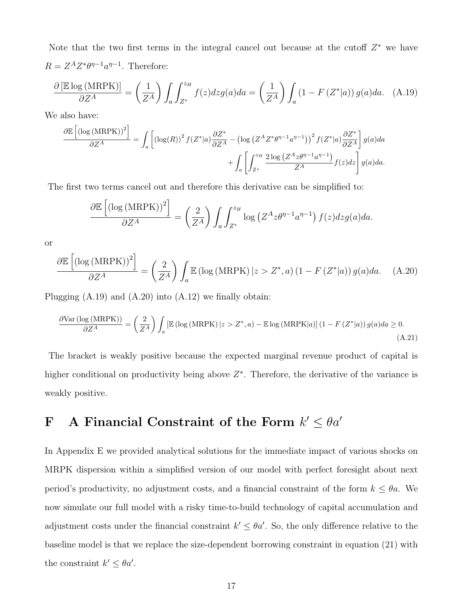Note that the two first terms in the integral cancel out because at the cutoff  $Z^*$  we have  $R = Z^A Z^* \theta^{\eta-1} a^{\eta-1}$ . Therefore:

<span id="page-79-0"></span>
$$
\frac{\partial \left[\mathbb{E}\log\left(\text{MRPK}\right)\right]}{\partial Z^A} = \left(\frac{1}{Z^A}\right) \int_a \int_{Z^*}^{z_H} f(z)dzg(a)da = \left(\frac{1}{Z^A}\right) \int_a \left(1 - F\left(Z^*\middle|a\right)\right)g(a)da. \tag{A.19}
$$

We also have:

<span id="page-79-1"></span>
$$
\frac{\partial \mathbb{E}\left[\left(\log\left(\text{MRPK}\right)\right)^{2}\right]}{\partial Z^{A}} = \int_{a} \left[\left(\log(R)\right)^{2} f(Z^{*}|a) \frac{\partial Z^{*}}{\partial Z^{A}} - \left(\log\left(Z^{A} Z^{*} \theta^{\eta-1} a^{\eta-1}\right)\right)^{2} f(Z^{*}|a) \frac{\partial Z^{*}}{\partial Z^{A}}\right] g(a) da + \int_{a} \left[\int_{Z^{*}}^{z_{H}} \frac{2\log\left(Z^{A} z \theta^{\eta-1} a^{\eta-1}\right)}{Z^{A}} f(z) dz\right] g(a) da.
$$

The first two terms cancel out and therefore this derivative can be simplified to:

$$
\frac{\partial \mathbb{E}\left[\left(\log\left(MRPK\right)\right)^2\right]}{\partial Z^A} = \left(\frac{2}{Z^A}\right) \int_a \int_{Z^*}^{z_H} \log\left(Z^A z \theta^{\eta-1} a^{\eta-1}\right) f(z) dz g(a) da.
$$

or

$$
\frac{\partial \mathbb{E}\left[\left(\log\left(\text{MRPK}\right)\right)^{2}\right]}{\partial Z^{A}} = \left(\frac{2}{Z^{A}}\right) \int_{a} \mathbb{E}\left(\log\left(\text{MRPK}\right)|z>Z^{*},a\right)\left(1-F\left(Z^{*}|a\right)\right)g(a)da. \quad \text{(A.20)}
$$

Plugging  $(A.19)$  and  $(A.20)$  into  $(A.12)$  we finally obtain:

$$
\frac{\partial \text{Var}(\log(\text{MRPK}))}{\partial Z^A} = \left(\frac{2}{Z^A}\right) \int_a \left[\mathbb{E}\left(\log(\text{MRPK}) \, | z > Z^*, a\right) - \mathbb{E}\log(\text{MRPK}|a)\right] \left(1 - F\left(Z^*|a\right)\right) g(a) da \ge 0. \tag{A.21}
$$

The bracket is weakly positive because the expected marginal revenue product of capital is higher conditional on productivity being above  $Z^*$ . Therefore, the derivative of the variance is weakly positive.

# F A Financial Constraint of the Form  $k' \le \theta a'$

In Appendix [E](#page-72-0) we provided analytical solutions for the immediate impact of various shocks on MRPK dispersion within a simplified version of our model with perfect foresight about next period's productivity, no adjustment costs, and a financial constraint of the form  $k \leq \theta a$ . We now simulate our full model with a risky time-to-build technology of capital accumulation and adjustment costs under the financial constraint  $k' \leq \theta a'$ . So, the only difference relative to the baseline model is that we replace the size-dependent borrowing constraint in equation [\(21\)](#page-22-0) with the constraint  $k' \leq \theta a'$ .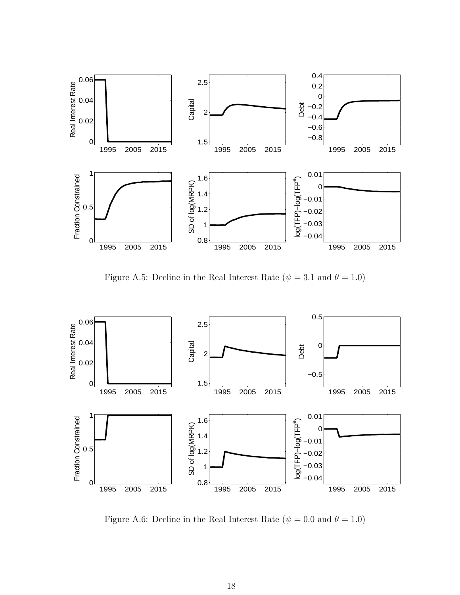

Figure A.5: Decline in the Real Interest Rate ( $\psi = 3.1$  and  $\theta = 1.0$ )



Figure A.6: Decline in the Real Interest Rate ( $\psi = 0.0$  and  $\theta = 1.0$ )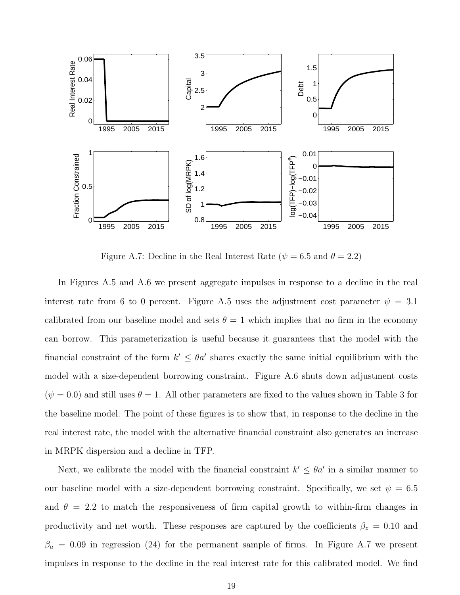

Figure A.7: Decline in the Real Interest Rate ( $\psi = 6.5$  and  $\theta = 2.2$ )

In Figures [A.5](#page-17-1) and [A.6](#page-19-0) we present aggregate impulses in response to a decline in the real interest rate from 6 to 0 percent. Figure [A.5](#page-17-1) uses the adjustment cost parameter  $\psi = 3.1$ calibrated from our baseline model and sets  $\theta = 1$  which implies that no firm in the economy can borrow. This parameterization is useful because it guarantees that the model with the financial constraint of the form  $k' \leq \theta a'$  shares exactly the same initial equilibrium with the model with a size-dependent borrowing constraint. Figure [A.6](#page-19-0) shuts down adjustment costs  $(\psi = 0.0)$  and still uses  $\theta = 1$ . All other parameters are fixed to the values shown in Table [3](#page-23-0) for the baseline model. The point of these figures is to show that, in response to the decline in the real interest rate, the model with the alternative financial constraint also generates an increase in MRPK dispersion and a decline in TFP.

Next, we calibrate the model with the financial constraint  $k' \leq \theta a'$  in a similar manner to our baseline model with a size-dependent borrowing constraint. Specifically, we set  $\psi = 6.5$ and  $\theta = 2.2$  to match the responsiveness of firm capital growth to within-firm changes in productivity and net worth. These responses are captured by the coefficients  $\beta_z = 0.10$  and  $\beta_a = 0.09$  in regression [\(24\)](#page-24-0) for the permanent sample of firms. In Figure [A.7](#page-29-0) we present impulses in response to the decline in the real interest rate for this calibrated model. We find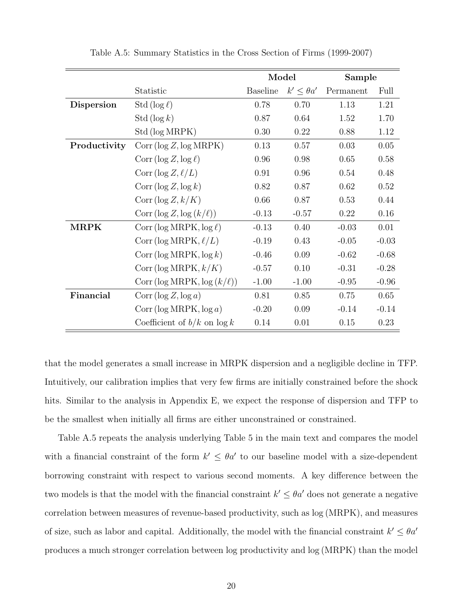|                   |                                        | Model           |                     | Sample    |         |
|-------------------|----------------------------------------|-----------------|---------------------|-----------|---------|
|                   | Statistic                              | <b>Baseline</b> | $k' \leq \theta a'$ | Permanent | Full    |
| <b>Dispersion</b> | Std ( $\log \ell$ )                    | 0.78            | 0.70                | 1.13      | 1.21    |
|                   | Std $(\log k)$                         | 0.87            | 0.64                | 1.52      | 1.70    |
|                   | Std (log MRPK)                         | 0.30            | 0.22                | 0.88      | 1.12    |
| Productivity      | Corr (log Z, log MRPK)                 | 0.13            | 0.57                | 0.03      | 0.05    |
|                   | Corr ( $\log Z, \log \ell$ )           | 0.96            | 0.98                | 0.65      | 0.58    |
|                   | Corr $(\log Z, \ell/L)$                | 0.91            | 0.96                | 0.54      | 0.48    |
|                   | Corr $(\log Z, \log k)$                | 0.82            | 0.87                | 0.62      | 0.52    |
|                   | Corr $(\log Z, k/K)$                   | 0.66            | 0.87                | 0.53      | 0.44    |
|                   | Corr $(\log Z, \log (k/\ell))$         | $-0.13$         | $-0.57$             | 0.22      | 0.16    |
| <b>MRPK</b>       | Corr ( $\log \text{MRPK}, \log \ell$ ) | $-0.13$         | 0.40                | $-0.03$   | 0.01    |
|                   | Corr (log MRPK, $\ell/L$ )             | $-0.19$         | 0.43                | $-0.05$   | $-0.03$ |
|                   | Corr ( $\log \text{MRPK}$ , $\log k$ ) | $-0.46$         | 0.09                | $-0.62$   | $-0.68$ |
|                   | Corr (log MRPK, $k/K$ )                | $-0.57$         | 0.10                | $-0.31$   | $-0.28$ |
|                   | Corr (log MRPK, log $(k/\ell)$ )       | $-1.00$         | $-1.00$             | $-0.95$   | $-0.96$ |
| Financial         | Corr ( $\log Z$ , $\log a$ )           | 0.81            | 0.85                | 0.75      | 0.65    |
|                   | Corr ( $log$ MRPK, $log a$ )           | $-0.20$         | 0.09                | $-0.14$   | $-0.14$ |
|                   | Coefficient of $b/k$ on $\log k$       | 0.14            | 0.01                | 0.15      | 0.23    |

Table A.5: Summary Statistics in the Cross Section of Firms (1999-2007)

that the model generates a small increase in MRPK dispersion and a negligible decline in TFP. Intuitively, our calibration implies that very few firms are initially constrained before the shock hits. Similar to the analysis in Appendix [E,](#page-72-0) we expect the response of dispersion and TFP to be the smallest when initially all firms are either unconstrained or constrained.

Table [A.5](#page-31-0) repeats the analysis underlying Table [5](#page-31-0) in the main text and compares the model with a financial constraint of the form  $k' \leq \theta a'$  to our baseline model with a size-dependent borrowing constraint with respect to various second moments. A key difference between the two models is that the model with the financial constraint  $k' \leq \theta a'$  does not generate a negative correlation between measures of revenue-based productivity, such as log (MRPK), and measures of size, such as labor and capital. Additionally, the model with the financial constraint  $k' \leq \theta a'$ produces a much stronger correlation between log productivity and log (MRPK) than the model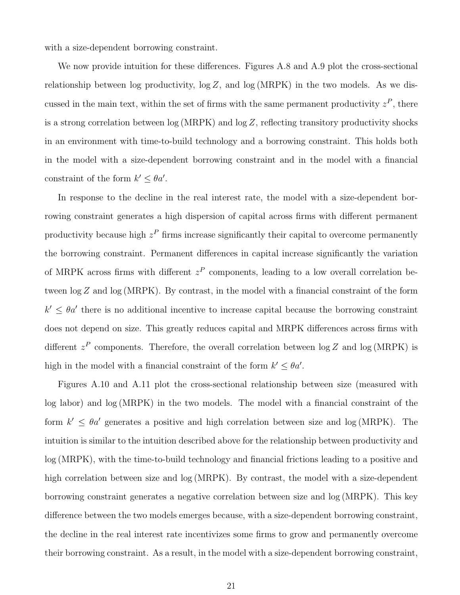with a size-dependent borrowing constraint.

We now provide intuition for these differences. Figures [A.8](#page-30-0) and [A.9](#page-34-0) plot the cross-sectional relationship between log productivity,  $\log Z$ , and  $\log(MRPK)$  in the two models. As we discussed in the main text, within the set of firms with the same permanent productivity  $z^P$ , there is a strong correlation between log (MRPK) and log Z, reflecting transitory productivity shocks in an environment with time-to-build technology and a borrowing constraint. This holds both in the model with a size-dependent borrowing constraint and in the model with a financial constraint of the form  $k' \leq \theta a'$ .

In response to the decline in the real interest rate, the model with a size-dependent borrowing constraint generates a high dispersion of capital across firms with different permanent productivity because high  $z^P$  firms increase significantly their capital to overcome permanently the borrowing constraint. Permanent differences in capital increase significantly the variation of MRPK across firms with different  $z<sup>P</sup>$  components, leading to a low overall correlation between  $\log Z$  and  $\log(MRPK)$ . By contrast, in the model with a financial constraint of the form  $k' \leq \theta a'$  there is no additional incentive to increase capital because the borrowing constraint does not depend on size. This greatly reduces capital and MRPK differences across firms with different  $z^P$  components. Therefore, the overall correlation between  $\log Z$  and  $\log(MRPK)$  is high in the model with a financial constraint of the form  $k' \leq \theta a'$ .

Figures [A.10](#page-35-0) and [A.11](#page-37-0) plot the cross-sectional relationship between size (measured with log labor) and log (MRPK) in the two models. The model with a financial constraint of the form  $k' \leq \theta a'$  generates a positive and high correlation between size and log (MRPK). The intuition is similar to the intuition described above for the relationship between productivity and log (MRPK), with the time-to-build technology and financial frictions leading to a positive and high correlation between size and log (MRPK). By contrast, the model with a size-dependent borrowing constraint generates a negative correlation between size and log (MRPK). This key difference between the two models emerges because, with a size-dependent borrowing constraint, the decline in the real interest rate incentivizes some firms to grow and permanently overcome their borrowing constraint. As a result, in the model with a size-dependent borrowing constraint,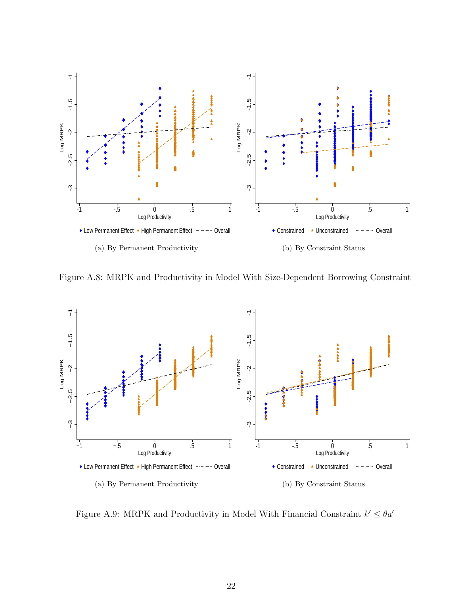

Figure A.8: MRPK and Productivity in Model With Size-Dependent Borrowing Constraint



Figure A.9: MRPK and Productivity in Model With Financial Constraint  $k' \leq \theta a'$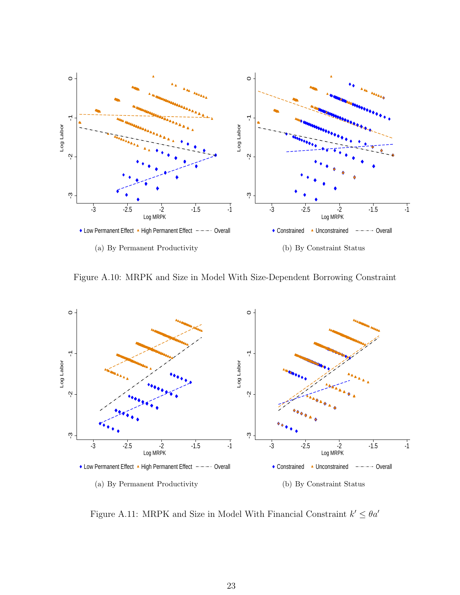

Figure A.10: MRPK and Size in Model With Size-Dependent Borrowing Constraint



Figure A.11: MRPK and Size in Model With Financial Constraint  $k' \leq \theta a'$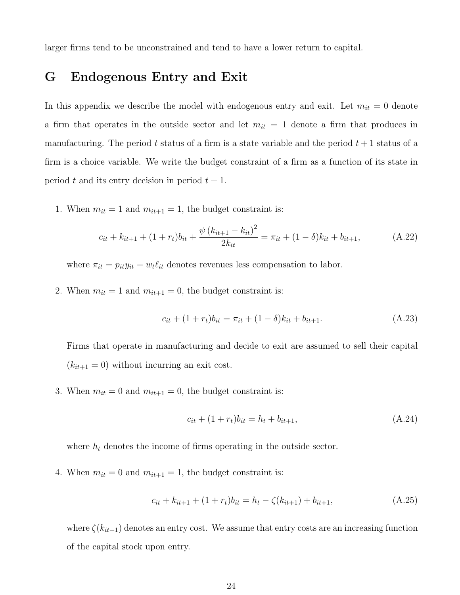larger firms tend to be unconstrained and tend to have a lower return to capital.

## G Endogenous Entry and Exit

In this appendix we describe the model with endogenous entry and exit. Let  $m_{it} = 0$  denote a firm that operates in the outside sector and let  $m_{it} = 1$  denote a firm that produces in manufacturing. The period t status of a firm is a state variable and the period  $t + 1$  status of a firm is a choice variable. We write the budget constraint of a firm as a function of its state in period t and its entry decision in period  $t + 1$ .

1. When  $m_{it} = 1$  and  $m_{it+1} = 1$ , the budget constraint is:

$$
c_{it} + k_{it+1} + (1 + r_t)b_{it} + \frac{\psi (k_{it+1} - k_{it})^2}{2k_{it}} = \pi_{it} + (1 - \delta)k_{it} + b_{it+1},
$$
 (A.22)

where  $\pi_{it} = p_{it}y_{it} - w_t\ell_{it}$  denotes revenues less compensation to labor.

2. When  $m_{it} = 1$  and  $m_{it+1} = 0$ , the budget constraint is:

$$
c_{it} + (1 + r_t)b_{it} = \pi_{it} + (1 - \delta)k_{it} + b_{it+1}.
$$
\n(A.23)

Firms that operate in manufacturing and decide to exit are assumed to sell their capital  $(k_{it+1} = 0)$  without incurring an exit cost.

3. When  $m_{it} = 0$  and  $m_{it+1} = 0$ , the budget constraint is:

$$
c_{it} + (1 + r_t)b_{it} = h_t + b_{it+1},
$$
\n(A.24)

where  $h_t$  denotes the income of firms operating in the outside sector.

4. When  $m_{it} = 0$  and  $m_{it+1} = 1$ , the budget constraint is:

$$
c_{it} + k_{it+1} + (1 + r_t)b_{it} = h_t - \zeta(k_{it+1}) + b_{it+1},
$$
\n(A.25)

where  $\zeta(k_{it+1})$  denotes an entry cost. We assume that entry costs are an increasing function of the capital stock upon entry.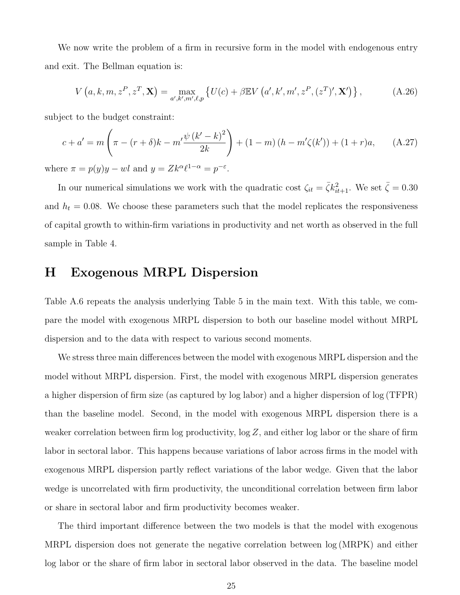We now write the problem of a firm in recursive form in the model with endogenous entry and exit. The Bellman equation is:

$$
V(a, k, m, z^P, z^T, \mathbf{X}) = \max_{a', k', m', \ell, p} \left\{ U(c) + \beta \mathbb{E} V\left(a', k', m', z^P, (z^T)', \mathbf{X}' \right) \right\},\tag{A.26}
$$

subject to the budget constraint:

$$
c + a' = m\left(\pi - (r + \delta)k - m'\frac{\psi(k'-k)^2}{2k}\right) + (1 - m)(h - m'\zeta(k')) + (1 + r)a, \quad (A.27)
$$

where  $\pi = p(y)y - w l$  and  $y = Zk^{\alpha} \ell^{1-\alpha} = p^{-\varepsilon}$ .

In our numerical simulations we work with the quadratic cost  $\zeta_{it} = \bar{\zeta} k_{it+1}^2$ . We set  $\bar{\zeta} = 0.30$ and  $h_t = 0.08$ . We choose these parameters such that the model replicates the responsiveness of capital growth to within-firm variations in productivity and net worth as observed in the full sample in Table [4.](#page-27-0)

## H Exogenous MRPL Dispersion

Table [A.6](#page-36-0) repeats the analysis underlying Table [5](#page-31-0) in the main text. With this table, we compare the model with exogenous MRPL dispersion to both our baseline model without MRPL dispersion and to the data with respect to various second moments.

We stress three main differences between the model with exogenous MRPL dispersion and the model without MRPL dispersion. First, the model with exogenous MRPL dispersion generates a higher dispersion of firm size (as captured by log labor) and a higher dispersion of log (TFPR) than the baseline model. Second, in the model with exogenous MRPL dispersion there is a weaker correlation between firm log productivity,  $\log Z$ , and either log labor or the share of firm labor in sectoral labor. This happens because variations of labor across firms in the model with exogenous MRPL dispersion partly reflect variations of the labor wedge. Given that the labor wedge is uncorrelated with firm productivity, the unconditional correlation between firm labor or share in sectoral labor and firm productivity becomes weaker.

The third important difference between the two models is that the model with exogenous MRPL dispersion does not generate the negative correlation between log (MRPK) and either log labor or the share of firm labor in sectoral labor observed in the data. The baseline model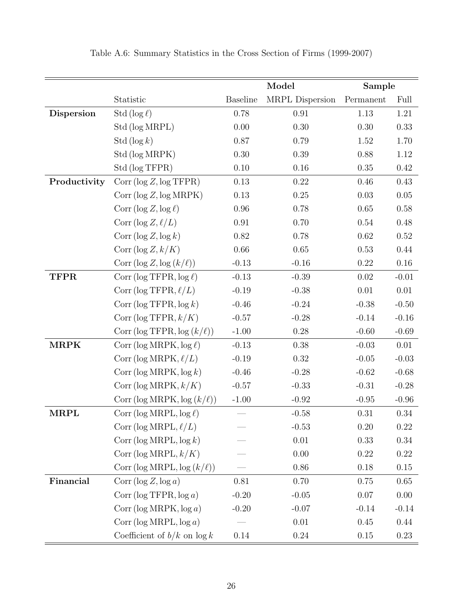|                   |                                        | Model           |                 | Sample    |          |
|-------------------|----------------------------------------|-----------------|-----------------|-----------|----------|
|                   | Statistic                              | <b>Baseline</b> | MRPL Dispersion | Permanent | Full     |
| <b>Dispersion</b> | Std ( $\log \ell$ )                    | 0.78            | 0.91            | 1.13      | 1.21     |
|                   | Std (log MRPL)                         | 0.00            | 0.30            | 0.30      | 0.33     |
|                   | Std $(\log k)$                         | 0.87            | 0.79            | 1.52      | 1.70     |
|                   | Std (log MRPK)                         | 0.30            | 0.39            | 0.88      | 1.12     |
|                   | Std (log TFPR)                         | 0.10            | 0.16            | 0.35      | $0.42\,$ |
| Productivity      | Corr (log Z, log TFPR)                 | 0.13            | 0.22            | 0.46      | 0.43     |
|                   | Corr (log Z, log MRPK)                 | 0.13            | $0.25\,$        | 0.03      | $0.05\,$ |
|                   | Corr ( $\log Z, \log \ell$ )           | 0.96            | 0.78            | 0.65      | 0.58     |
|                   | Corr (log $Z, \ell/L$ )                | 0.91            | 0.70            | 0.54      | 0.48     |
|                   | Corr ( $\log Z$ , $\log k$ )           | 0.82            | 0.78            | $0.62\,$  | $0.52\,$ |
|                   | Corr (log $Z, k/K$ )                   | 0.66            | $0.65\,$        | 0.53      | 0.44     |
|                   | Corr (log Z, log $(k/\ell)$ )          | $-0.13$         | $-0.16$         | $0.22\,$  | $0.16\,$ |
| <b>TFPR</b>       | Corr ( $\log \text{TFPR}, \log \ell$ ) | $-0.13$         | $-0.39$         | $0.02\,$  | $-0.01$  |
|                   | Corr (log TFPR, $\ell/L$ )             | $-0.19$         | $-0.38$         | $0.01\,$  | $0.01\,$ |
|                   | Corr ( $\log \text{TFPR}, \log k$ )    | $-0.46$         | $-0.24$         | $-0.38$   | $-0.50$  |
|                   | Corr (log TFPR, $k/K$ )                | $-0.57$         | $-0.28$         | $-0.14$   | $-0.16$  |
|                   | Corr (log TFPR, $log (k/\ell)$ )       | $-1.00$         | $0.28\,$        | $-0.60$   | $-0.69$  |
| <b>MRPK</b>       | Corr (log MRPK, $log \ell$ )           | $-0.13$         | 0.38            | $-0.03$   | 0.01     |
|                   | Corr (log MRPK, $\ell/L$ )             | $-0.19$         | 0.32            | $-0.05$   | $-0.03$  |
|                   | Corr (log MRPK, $log k$ )              | $-0.46$         | $-0.28$         | $-0.62$   | $-0.68$  |
|                   | Corr (log MRPK, $k/K$ )                | $-0.57$         | $-0.33$         | $-0.31$   | $-0.28$  |
|                   | Corr (log MRPK, $log (k/\ell))$        | $-1.00$         | $-0.92$         | $-0.95$   | $-0.96$  |
| MRPL              | Corr (log MRPL, $\log \ell$ )          |                 | $-0.58$         | 0.31      | 0.34     |
|                   | Corr (log MRPL, $\ell/L$ )             |                 | $-0.53$         | 0.20      | 0.22     |
|                   | Corr (log MRPL, $log k$ )              |                 | 0.01            | 0.33      | 0.34     |
|                   | Corr (log MRPL, $k/K$ )                |                 | 0.00            | 0.22      | 0.22     |
|                   | Corr (log MRPL, log $(k/\ell)$ )       |                 | 0.86            | 0.18      | $0.15\,$ |
| Financial         | Corr ( $\log Z$ , $\log a$ )           | 0.81            | 0.70            | 0.75      | 0.65     |
|                   | Corr ( $log TFPR, log a$ )             | $-0.20$         | $-0.05$         | 0.07      | 0.00     |
|                   | Corr ( $log$ MRPK, $log a$ )           | $-0.20$         | $-0.07$         | $-0.14$   | $-0.14$  |
|                   | Corr ( $log MRPL, log a$ )             |                 | 0.01            | 0.45      | 0.44     |
|                   | Coefficient of $b/k$ on $\log k$       | 0.14            | $0.24\,$        | $0.15\,$  | 0.23     |

Table A.6: Summary Statistics in the Cross Section of Firms (1999-2007)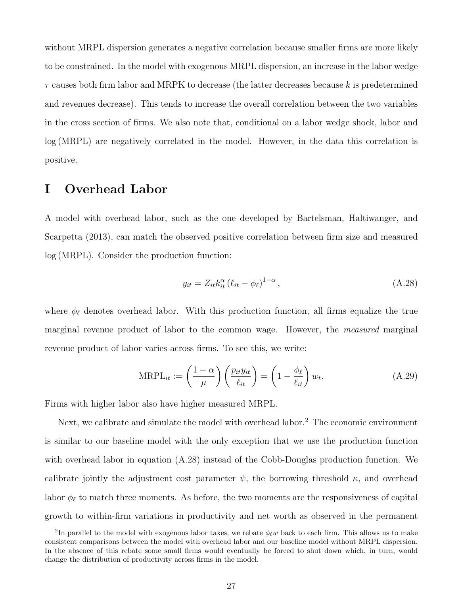without MRPL dispersion generates a negative correlation because smaller firms are more likely to be constrained. In the model with exogenous MRPL dispersion, an increase in the labor wedge  $\tau$  causes both firm labor and MRPK to decrease (the latter decreases because k is predetermined and revenues decrease). This tends to increase the overall correlation between the two variables in the cross section of firms. We also note that, conditional on a labor wedge shock, labor and log (MRPL) are negatively correlated in the model. However, in the data this correlation is positive.

## I Overhead Labor

A model with overhead labor, such as the one developed by [Bartelsman, Haltiwanger, and](#page-59-0) [Scarpetta](#page-59-0) [\(2013\)](#page-59-0), can match the observed positive correlation between firm size and measured log (MRPL). Consider the production function:

<span id="page-89-1"></span>
$$
y_{it} = Z_{it} k_{it}^{\alpha} \left( \ell_{it} - \phi_{\ell} \right)^{1-\alpha}, \tag{A.28}
$$

where  $\phi_{\ell}$  denotes overhead labor. With this production function, all firms equalize the true marginal revenue product of labor to the common wage. However, the measured marginal revenue product of labor varies across firms. To see this, we write:

$$
\text{MRPL}_{it} := \left(\frac{1-\alpha}{\mu}\right) \left(\frac{p_{it}y_{it}}{\ell_{it}}\right) = \left(1 - \frac{\phi_{\ell}}{\ell_{it}}\right) w_{t}.\tag{A.29}
$$

Firms with higher labor also have higher measured MRPL.

Next, we calibrate and simulate the model with overhead labor.<sup>[2](#page-89-0)</sup> The economic environment is similar to our baseline model with the only exception that we use the production function with overhead labor in equation [\(A.28\)](#page-89-1) instead of the Cobb-Douglas production function. We calibrate jointly the adjustment cost parameter  $\psi$ , the borrowing threshold  $\kappa$ , and overhead labor  $\phi_{\ell}$  to match three moments. As before, the two moments are the responsiveness of capital growth to within-firm variations in productivity and net worth as observed in the permanent

<span id="page-89-0"></span><sup>&</sup>lt;sup>2</sup>In parallel to the model with exogenous labor taxes, we rebate  $\phi_\ell w$  back to each firm. This allows us to make consistent comparisons between the model with overhead labor and our baseline model without MRPL dispersion. In the absence of this rebate some small firms would eventually be forced to shut down which, in turn, would change the distribution of productivity across firms in the model.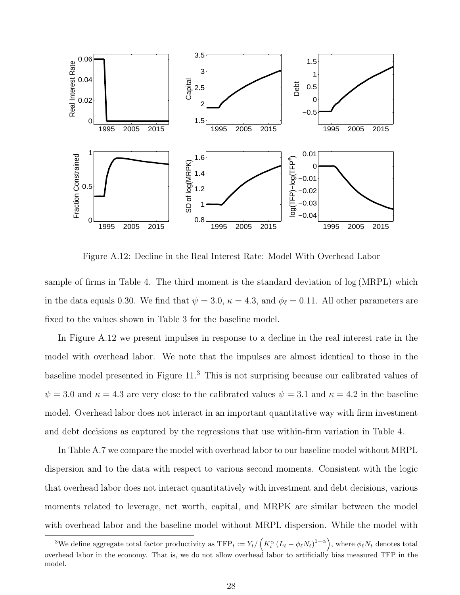

Figure A.12: Decline in the Real Interest Rate: Model With Overhead Labor

sample of firms in Table [4.](#page-27-0) The third moment is the standard deviation of log (MRPL) which in the data equals 0.30. We find that  $\psi = 3.0$ ,  $\kappa = 4.3$ , and  $\phi_{\ell} = 0.11$ . All other parameters are fixed to the values shown in Table [3](#page-23-0) for the baseline model.

In Figure [A.12](#page-38-0) we present impulses in response to a decline in the real interest rate in the model with overhead labor. We note that the impulses are almost identical to those in the baseline model presented in Figure [11.](#page-37-0) [3](#page-90-0) This is not surprising because our calibrated values of  $\psi = 3.0$  and  $\kappa = 4.3$  are very close to the calibrated values  $\psi = 3.1$  and  $\kappa = 4.2$  in the baseline model. Overhead labor does not interact in an important quantitative way with firm investment and debt decisions as captured by the regressions that use within-firm variation in Table [4.](#page-27-0)

In Table [A.7](#page-53-0) we compare the model with overhead labor to our baseline model without MRPL dispersion and to the data with respect to various second moments. Consistent with the logic that overhead labor does not interact quantitatively with investment and debt decisions, various moments related to leverage, net worth, capital, and MRPK are similar between the model with overhead labor and the baseline model without MRPL dispersion. While the model with

<span id="page-90-0"></span><sup>&</sup>lt;sup>3</sup>We define aggregate total factor productivity as  $\text{TFP}_t := Y_t / \left( K_t^{\alpha} \left( L_t - \phi_{\ell} N_t \right)^{1-\alpha} \right)$ , where  $\phi_{\ell} N_t$  denotes total overhead labor in the economy. That is, we do not allow overhead labor to artificially bias measured TFP in the model.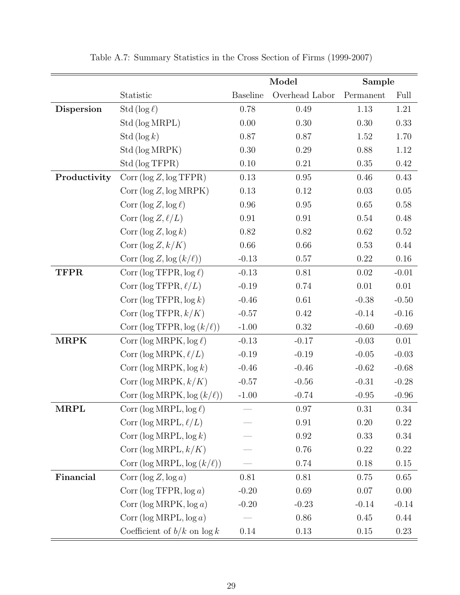|              |                                        | Model           |                | Sample    |          |
|--------------|----------------------------------------|-----------------|----------------|-----------|----------|
|              | Statistic                              | <b>Baseline</b> | Overhead Labor | Permanent | Full     |
| Dispersion   | Std ( $\log \ell$ )                    | 0.78            | 0.49           | 1.13      | 1.21     |
|              | Std (log MRPL)                         | 0.00            | 0.30           | 0.30      | 0.33     |
|              | Std $(\log k)$                         | 0.87            | 0.87           | 1.52      | 1.70     |
|              | Std (log MRPK)                         | $0.30\,$        | 0.29           | 0.88      | 1.12     |
|              | Std (log TFPR)                         | $0.10\,$        | 0.21           | 0.35      | 0.42     |
| Productivity | Corr (log Z, log TFPR)                 | 0.13            | $0.95\,$       | 0.46      | 0.43     |
|              | Corr (log Z, log MRPK)                 | 0.13            | $0.12\,$       | 0.03      | $0.05\,$ |
|              | Corr ( $\log Z, \log \ell$ )           | $0.96\,$        | $0.95\,$       | $0.65\,$  | $0.58\,$ |
|              | Corr (log $Z, \ell/L$ )                | $0.91\,$        | 0.91           | $0.54\,$  | 0.48     |
|              | Corr ( $\log Z$ , $\log k$ )           | $0.82\,$        | 0.82           | $0.62\,$  | $0.52\,$ |
|              | Corr $(\log Z, k/K)$                   | 0.66            | 0.66           | 0.53      | 0.44     |
|              | Corr $(\log Z, \log (k/\ell))$         | $-0.13$         | 0.57           | 0.22      | $0.16\,$ |
| <b>TFPR</b>  | Corr ( $\log \text{TFPR}, \log \ell$ ) | $-0.13$         | 0.81           | 0.02      | $-0.01$  |
|              | Corr (log TFPR, $\ell/L$ )             | $-0.19$         | 0.74           | $0.01\,$  | 0.01     |
|              | Corr ( $\log \text{TFPR}, \log k$ )    | $-0.46$         | 0.61           | $-0.38$   | $-0.50$  |
|              | Corr (log TFPR, $k/K$ )                | $-0.57$         | $0.42\,$       | $-0.14$   | $-0.16$  |
|              | Corr (log TFPR, $log (k/\ell)$ )       | $-1.00$         | $0.32\,$       | $-0.60$   | $-0.69$  |
| <b>MRPK</b>  | Corr (log MRPK, $log \ell$ )           | $-0.13$         | $-0.17$        | $-0.03$   | $0.01\,$ |
|              | Corr (log MRPK, $\ell/L$ )             | $-0.19$         | $-0.19$        | $-0.05$   | $-0.03$  |
|              | Corr ( $\log \text{MRPK}, \log k$ )    | $-0.46$         | $-0.46$        | $-0.62$   | $-0.68$  |
|              | Corr (log MRPK, $k/K$ )                | $-0.57$         | $-0.56$        | $-0.31$   | $-0.28$  |
|              | Corr (log MRPK, log $(k/\ell)$ )       | $-1.00$         | $-0.74$        | $-0.95$   | $-0.96$  |
| <b>MRPL</b>  | Corr (log MRPL, $\log \ell$ )          |                 | $0.97\,$       | $0.31\,$  | 0.34     |
|              | Corr (log MRPL, $\ell/L$ )             |                 | 0.91           | 0.20      | 0.22     |
|              | Corr (log MRPL, $log k$ )              |                 | 0.92           | 0.33      | 0.34     |
|              | Corr (log MRPL, $k/K$ )                |                 | 0.76           | 0.22      | $0.22\,$ |
|              | Corr (log MRPL, log $(k/\ell)$ )       |                 | 0.74           | 0.18      | $0.15\,$ |
| Financial    | Corr ( $\log Z$ , $\log a$ )           | 0.81            | 0.81           | 0.75      | $0.65\,$ |
|              | Corr ( $log TFPR, log a$ )             | $-0.20$         | 0.69           | 0.07      | $0.00\,$ |
|              | Corr ( $log$ MRPK, $log a$ )           | $-0.20$         | $-0.23$        | $-0.14$   | $-0.14$  |
|              | Corr ( $log MRPL, log a$ )             |                 | 0.86           | 0.45      | 0.44     |
|              | Coefficient of $b/k$ on $\log k$       | 0.14            | 0.13           | $0.15\,$  | 0.23     |

Table A.7: Summary Statistics in the Cross Section of Firms (1999-2007)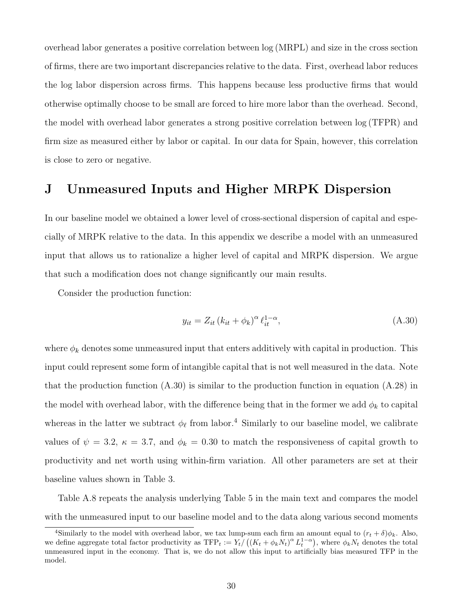overhead labor generates a positive correlation between log (MRPL) and size in the cross section of firms, there are two important discrepancies relative to the data. First, overhead labor reduces the log labor dispersion across firms. This happens because less productive firms that would otherwise optimally choose to be small are forced to hire more labor than the overhead. Second, the model with overhead labor generates a strong positive correlation between log (TFPR) and firm size as measured either by labor or capital. In our data for Spain, however, this correlation is close to zero or negative.

## J Unmeasured Inputs and Higher MRPK Dispersion

In our baseline model we obtained a lower level of cross-sectional dispersion of capital and especially of MRPK relative to the data. In this appendix we describe a model with an unmeasured input that allows us to rationalize a higher level of capital and MRPK dispersion. We argue that such a modification does not change significantly our main results.

Consider the production function:

<span id="page-92-0"></span>
$$
y_{it} = Z_{it} \left( k_{it} + \phi_k \right)^{\alpha} \ell_{it}^{1-\alpha}, \tag{A.30}
$$

where  $\phi_k$  denotes some unmeasured input that enters additively with capital in production. This input could represent some form of intangible capital that is not well measured in the data. Note that the production function  $(A.30)$  is similar to the production function in equation  $(A.28)$  in the model with overhead labor, with the difference being that in the former we add  $\phi_k$  to capital whereas in the latter we subtract  $\phi_{\ell}$  from labor.<sup>[4](#page-92-1)</sup> Similarly to our baseline model, we calibrate values of  $\psi = 3.2$ ,  $\kappa = 3.7$ , and  $\phi_k = 0.30$  to match the responsiveness of capital growth to productivity and net worth using within-firm variation. All other parameters are set at their baseline values shown in Table [3.](#page-23-0)

Table [A.8](#page-54-0) repeats the analysis underlying Table [5](#page-31-0) in the main text and compares the model with the unmeasured input to our baseline model and to the data along various second moments

<span id="page-92-1"></span><sup>&</sup>lt;sup>4</sup>Similarly to the model with overhead labor, we tax lump-sum each firm an amount equal to  $(r_t + \delta)\phi_k$ . Also, we define aggregate total factor productivity as  $TFP_t := Y_t / ((K_t + \phi_k N_t)^{\alpha} L_t^{1-\alpha})$ , where  $\phi_k N_t$  denotes the total unmeasured input in the economy. That is, we do not allow this input to artificially bias measured TFP in the model.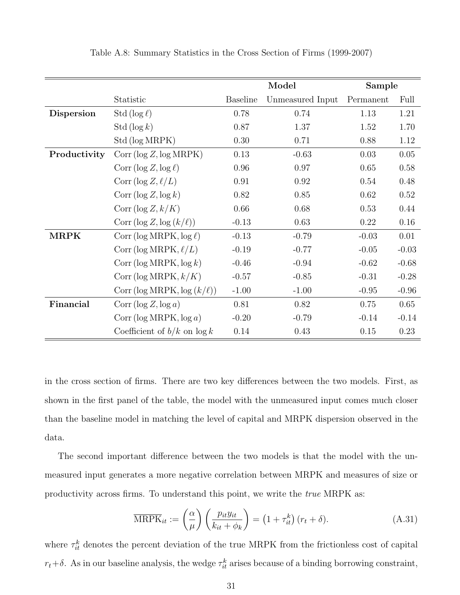|                   |                                        | Model           |                  | Sample    |          |
|-------------------|----------------------------------------|-----------------|------------------|-----------|----------|
|                   | Statistic                              | <b>Baseline</b> | Unmeasured Input | Permanent | Full     |
| <b>Dispersion</b> | Std ( $\log \ell$ )                    | 0.78            | 0.74             | 1.13      | 1.21     |
|                   | Std $(\log k)$                         | 0.87            | 1.37             | 1.52      | 1.70     |
|                   | Std (log MRPK)                         | 0.30            | 0.71             | 0.88      | 1.12     |
| Productivity      | Corr (log Z, log MRPK)                 | 0.13            | $-0.63$          | 0.03      | $0.05\,$ |
|                   | Corr ( $\log Z, \log \ell$ )           | $0.96\,$        | 0.97             | 0.65      | 0.58     |
|                   | Corr (log $Z, \ell/L$ )                | 0.91            | 0.92             | 0.54      | 0.48     |
|                   | Corr ( $\log Z$ , $\log k$ )           | 0.82            | 0.85             | 0.62      | $0.52\,$ |
|                   | Corr (log $Z, k/K$ )                   | 0.66            | 0.68             | 0.53      | 0.44     |
|                   | Corr $(\log Z, \log (k/\ell))$         | $-0.13$         | 0.63             | 0.22      | 0.16     |
| MRPK              | Corr (log MRPK, $log \ell$ )           | $-0.13$         | $-0.79$          | $-0.03$   | 0.01     |
|                   | Corr (log MRPK, $\ell/L$ )             | $-0.19$         | $-0.77$          | $-0.05$   | $-0.03$  |
|                   | Corr ( $\log \text{MRPK}$ , $\log k$ ) | $-0.46$         | $-0.94$          | $-0.62$   | $-0.68$  |
|                   | Corr (log MRPK, $k/K$ )                | $-0.57$         | $-0.85$          | $-0.31$   | $-0.28$  |
|                   | Corr (log MRPK, log $(k/\ell)$ )       | $-1.00$         | $-1.00$          | $-0.95$   | $-0.96$  |
| Financial         | Corr ( $\log Z$ , $\log a$ )           | 0.81            | 0.82             | 0.75      | 0.65     |
|                   | Corr ( $log$ MRPK, $log a$ )           | $-0.20$         | $-0.79$          | $-0.14$   | $-0.14$  |
|                   | Coefficient of $b/k$ on $\log k$       | 0.14            | 0.43             | 0.15      | 0.23     |

Table A.8: Summary Statistics in the Cross Section of Firms (1999-2007)

in the cross section of firms. There are two key differences between the two models. First, as shown in the first panel of the table, the model with the unmeasured input comes much closer than the baseline model in matching the level of capital and MRPK dispersion observed in the data.

The second important difference between the two models is that the model with the unmeasured input generates a more negative correlation between MRPK and measures of size or productivity across firms. To understand this point, we write the true MRPK as:

$$
\overline{\text{MRPK}}_{it} := \left(\frac{\alpha}{\mu}\right) \left(\frac{p_{it}y_{it}}{k_{it} + \phi_k}\right) = \left(1 + \tau_{it}^k\right) (r_t + \delta). \tag{A.31}
$$

where  $\tau_{it}^{k}$  denotes the percent deviation of the true MRPK from the frictionless cost of capital  $r_t + \delta$ . As in our baseline analysis, the wedge  $\tau_{it}^k$  arises because of a binding borrowing constraint,